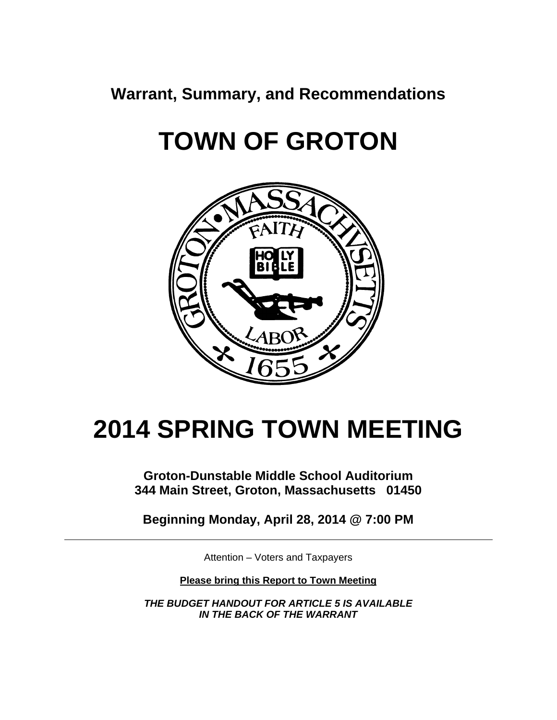**Warrant, Summary, and Recommendations** 

# **TOWN OF GROTON**



# **2014 SPRING TOWN MEETING**

**Groton-Dunstable Middle School Auditorium 344 Main Street, Groton, Massachusetts 01450** 

**Beginning Monday, April 28, 2014 @ 7:00 PM** 

Attention – Voters and Taxpayers

**Please bring this Report to Town Meeting** 

*THE BUDGET HANDOUT FOR ARTICLE 5 IS AVAILABLE IN THE BACK OF THE WARRANT*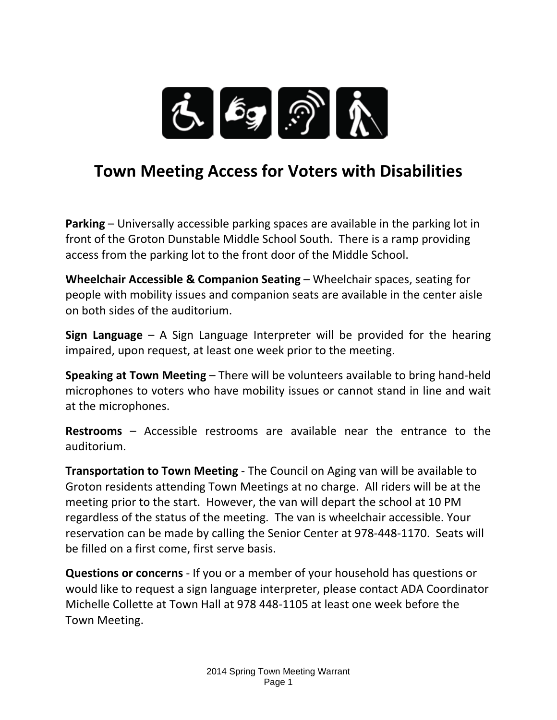

# **Town Meeting Access for Voters with Disabilities**

**Parking** – Universally accessible parking spaces are available in the parking lot in front of the Groton Dunstable Middle School South. There is a ramp providing access from the parking lot to the front door of the Middle School.

**Wheelchair Accessible & Companion Seating** – Wheelchair spaces, seating for people with mobility issues and companion seats are available in the center aisle on both sides of the auditorium.

**Sign Language** – A Sign Language Interpreter will be provided for the hearing impaired, upon request, at least one week prior to the meeting.

**Speaking at Town Meeting** – There will be volunteers available to bring hand‐held microphones to voters who have mobility issues or cannot stand in line and wait at the microphones.

**Restrooms** – Accessible restrooms are available near the entrance to the auditorium.

**Transportation to Town Meeting** ‐ The Council on Aging van will be available to Groton residents attending Town Meetings at no charge. All riders will be at the meeting prior to the start. However, the van will depart the school at 10 PM regardless of the status of the meeting. The van is wheelchair accessible. Your reservation can be made by calling the Senior Center at 978‐448‐1170. Seats will be filled on a first come, first serve basis.

**Questions or concerns** ‐ If you or a member of your household has questions or would like to request a sign language interpreter, please contact ADA Coordinator Michelle Collette at Town Hall at 978 448‐1105 at least one week before the Town Meeting.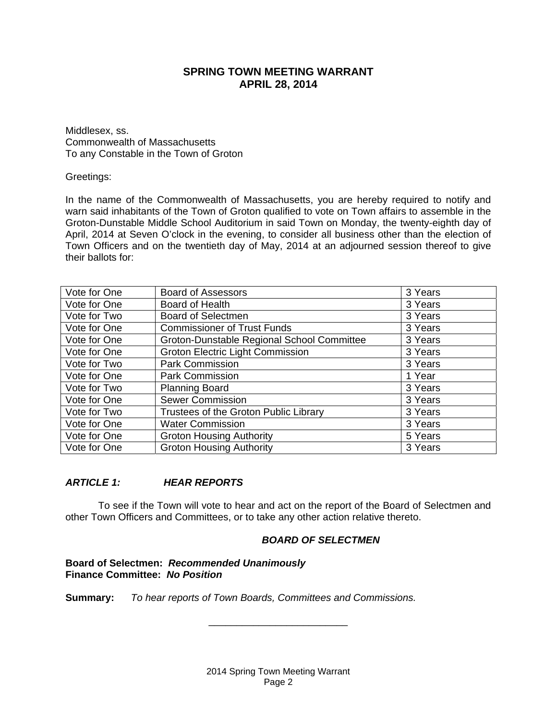#### **SPRING TOWN MEETING WARRANT APRIL 28, 2014**

Middlesex, ss. Commonwealth of Massachusetts To any Constable in the Town of Groton

#### Greetings:

In the name of the Commonwealth of Massachusetts, you are hereby required to notify and warn said inhabitants of the Town of Groton qualified to vote on Town affairs to assemble in the Groton-Dunstable Middle School Auditorium in said Town on Monday, the twenty-eighth day of April, 2014 at Seven O'clock in the evening, to consider all business other than the election of Town Officers and on the twentieth day of May, 2014 at an adjourned session thereof to give their ballots for:

| Vote for One | <b>Board of Assessors</b>                  | 3 Years |
|--------------|--------------------------------------------|---------|
| Vote for One | Board of Health                            | 3 Years |
| Vote for Two | <b>Board of Selectmen</b>                  | 3 Years |
| Vote for One | <b>Commissioner of Trust Funds</b>         | 3 Years |
| Vote for One | Groton-Dunstable Regional School Committee | 3 Years |
| Vote for One | <b>Groton Electric Light Commission</b>    | 3 Years |
| Vote for Two | <b>Park Commission</b>                     | 3 Years |
| Vote for One | <b>Park Commission</b>                     | 1 Year  |
| Vote for Two | <b>Planning Board</b>                      | 3 Years |
| Vote for One | <b>Sewer Commission</b>                    | 3 Years |
| Vote for Two | Trustees of the Groton Public Library      | 3 Years |
| Vote for One | <b>Water Commission</b>                    | 3 Years |
| Vote for One | <b>Groton Housing Authority</b>            | 5 Years |
| Vote for One | <b>Groton Housing Authority</b>            | 3 Years |

#### *ARTICLE 1: HEAR REPORTS*

 To see if the Town will vote to hear and act on the report of the Board of Selectmen and other Town Officers and Committees, or to take any other action relative thereto.

#### *BOARD OF SELECTMEN*

#### **Board of Selectmen:** *Recommended Unanimously*  **Finance Committee:** *No Position*

**Summary:** *To hear reports of Town Boards, Committees and Commissions.*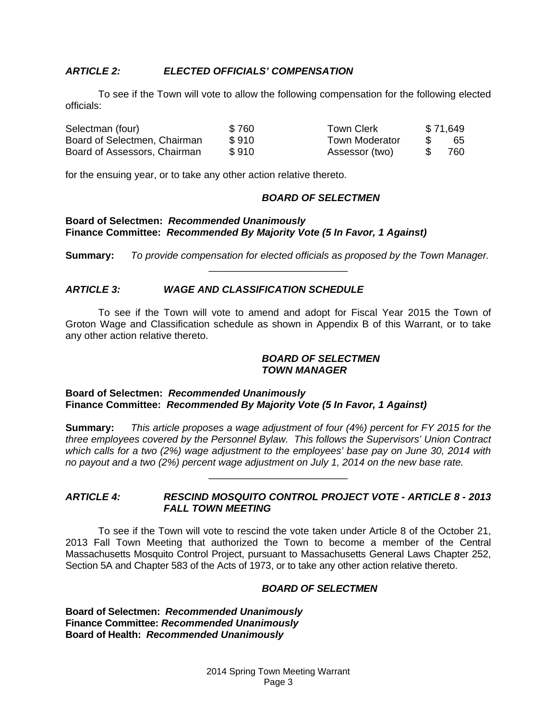#### *ARTICLE 2: ELECTED OFFICIALS' COMPENSATION*

 To see if the Town will vote to allow the following compensation for the following elected officials:

| Selectman (four)             | \$760 | Town Clerk            | \$71.649 |
|------------------------------|-------|-----------------------|----------|
| Board of Selectmen, Chairman | \$910 | <b>Town Moderator</b> | -65      |
| Board of Assessors, Chairman | \$910 | Assessor (two)        | 760.     |

for the ensuing year, or to take any other action relative thereto.

#### *BOARD OF SELECTMEN*

#### **Board of Selectmen:** *Recommended Unanimously*  **Finance Committee:** *Recommended By Majority Vote (5 In Favor, 1 Against)*

**Summary:** *To provide compensation for elected officials as proposed by the Town Manager.* \_\_\_\_\_\_\_\_\_\_\_\_\_\_\_\_\_\_\_\_\_\_\_\_\_

#### *ARTICLE 3: WAGE AND CLASSIFICATION SCHEDULE*

 To see if the Town will vote to amend and adopt for Fiscal Year 2015 the Town of Groton Wage and Classification schedule as shown in Appendix B of this Warrant, or to take any other action relative thereto.

#### *BOARD OF SELECTMEN TOWN MANAGER*

#### **Board of Selectmen:** *Recommended Unanimously*  **Finance Committee:** *Recommended By Majority Vote (5 In Favor, 1 Against)*

**Summary:** *This article proposes a wage adjustment of four (4%) percent for FY 2015 for the three employees covered by the Personnel Bylaw. This follows the Supervisors' Union Contract which calls for a two (2%) wage adjustment to the employees' base pay on June 30, 2014 with no payout and a two (2%) percent wage adjustment on July 1, 2014 on the new base rate.* 

#### *ARTICLE 4: RESCIND MOSQUITO CONTROL PROJECT VOTE - ARTICLE 8 - 2013 FALL TOWN MEETING*

\_\_\_\_\_\_\_\_\_\_\_\_\_\_\_\_\_\_\_\_\_\_\_\_\_

 To see if the Town will vote to rescind the vote taken under Article 8 of the October 21, 2013 Fall Town Meeting that authorized the Town to become a member of the Central Massachusetts Mosquito Control Project, pursuant to Massachusetts General Laws Chapter 252, Section 5A and Chapter 583 of the Acts of 1973, or to take any other action relative thereto.

#### *BOARD OF SELECTMEN*

**Board of Selectmen:** *Recommended Unanimously*  **Finance Committee:** *Recommended Unanimously*  **Board of Health:** *Recommended Unanimously*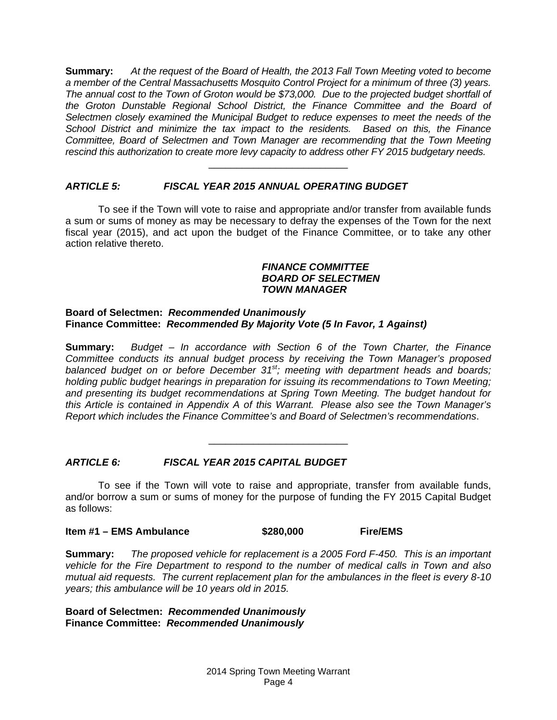**Summary:** *At the request of the Board of Health, the 2013 Fall Town Meeting voted to become a member of the Central Massachusetts Mosquito Control Project for a minimum of three (3) years. The annual cost to the Town of Groton would be \$73,000. Due to the projected budget shortfall of*  the Groton Dunstable Regional School District, the Finance Committee and the Board of *Selectmen closely examined the Municipal Budget to reduce expenses to meet the needs of the School District and minimize the tax impact to the residents. Based on this, the Finance Committee, Board of Selectmen and Town Manager are recommending that the Town Meeting rescind this authorization to create more levy capacity to address other FY 2015 budgetary needs.* 

\_\_\_\_\_\_\_\_\_\_\_\_\_\_\_\_\_\_\_\_\_\_\_\_\_

#### *ARTICLE 5: FISCAL YEAR 2015 ANNUAL OPERATING BUDGET*

 To see if the Town will vote to raise and appropriate and/or transfer from available funds a sum or sums of money as may be necessary to defray the expenses of the Town for the next fiscal year (2015), and act upon the budget of the Finance Committee, or to take any other action relative thereto.

#### *FINANCE COMMITTEE BOARD OF SELECTMEN TOWN MANAGER*

#### **Board of Selectmen:** *Recommended Unanimously*  **Finance Committee:** *Recommended By Majority Vote (5 In Favor, 1 Against)*

**Summary:** *Budget – In accordance with Section 6 of the Town Charter, the Finance Committee conducts its annual budget process by receiving the Town Manager's proposed balanced budget on or before December 31st; meeting with department heads and boards; holding public budget hearings in preparation for issuing its recommendations to Town Meeting; and presenting its budget recommendations at Spring Town Meeting. The budget handout for this Article is contained in Appendix A of this Warrant. Please also see the Town Manager's Report which includes the Finance Committee's and Board of Selectmen's recommendations*.

#### *ARTICLE 6: FISCAL YEAR 2015 CAPITAL BUDGET*

 To see if the Town will vote to raise and appropriate, transfer from available funds, and/or borrow a sum or sums of money for the purpose of funding the FY 2015 Capital Budget as follows:

\_\_\_\_\_\_\_\_\_\_\_\_\_\_\_\_\_\_\_\_\_\_\_\_\_

**Item #1 – EMS Ambulance \$280,000 Fire/EMS** 

**Summary:** *The proposed vehicle for replacement is a 2005 Ford F-450. This is an important vehicle for the Fire Department to respond to the number of medical calls in Town and also mutual aid requests. The current replacement plan for the ambulances in the fleet is every 8-10 years; this ambulance will be 10 years old in 2015.*

**Board of Selectmen:** *Recommended Unanimously*  **Finance Committee:** *Recommended Unanimously*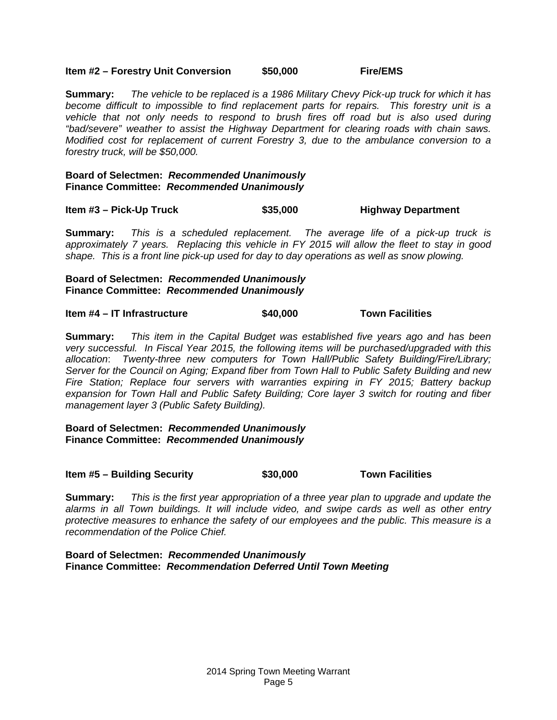#### **Item #2 – Forestry Unit Conversion**  $$50,000$  **Fire/EMS**

**Summary:** *The vehicle to be replaced is a 1986 Military Chevy Pick-up truck for which it has become difficult to impossible to find replacement parts for repairs. This forestry unit is a vehicle that not only needs to respond to brush fires off road but is also used during "bad/severe" weather to assist the Highway Department for clearing roads with chain saws. Modified cost for replacement of current Forestry 3, due to the ambulance conversion to a forestry truck, will be \$50,000.* 

#### **Board of Selectmen:** *Recommended Unanimously*  **Finance Committee:** *Recommended Unanimously*

**Item #3 – Pick-Up Truck**  $$35,000$  **Highway Department** 

**Summary:** *This is a scheduled replacement. The average life of a pick-up truck is approximately 7 years. Replacing this vehicle in FY 2015 will allow the fleet to stay in good shape. This is a front line pick-up used for day to day operations as well as snow plowing.* 

**Board of Selectmen:** *Recommended Unanimously*  **Finance Committee:** *Recommended Unanimously* 

**Item #4 – IT Infrastructure \$40,000 Town Facilities** 

**Summary:** *This item in the Capital Budget was established five years ago and has been very successful. In Fiscal Year 2015, the following items will be purchased/upgraded with this allocation*: *Twenty-three new computers for Town Hall/Public Safety Building/Fire/Library; Server for the Council on Aging; Expand fiber from Town Hall to Public Safety Building and new Fire Station; Replace four servers with warranties expiring in FY 2015; Battery backup expansion for Town Hall and Public Safety Building; Core layer 3 switch for routing and fiber management layer 3 (Public Safety Building).* 

**Board of Selectmen:** *Recommended Unanimously*  **Finance Committee:** *Recommended Unanimously* 

**Item #5 – Building Security**  $$30,000$  **Town Facilities** 

**Summary:** *This is the first year appropriation of a three year plan to upgrade and update the alarms in all Town buildings. It will include video, and swipe cards as well as other entry protective measures to enhance the safety of our employees and the public. This measure is a recommendation of the Police Chief.* 

**Board of Selectmen:** *Recommended Unanimously*  **Finance Committee:** *Recommendation Deferred Until Town Meeting*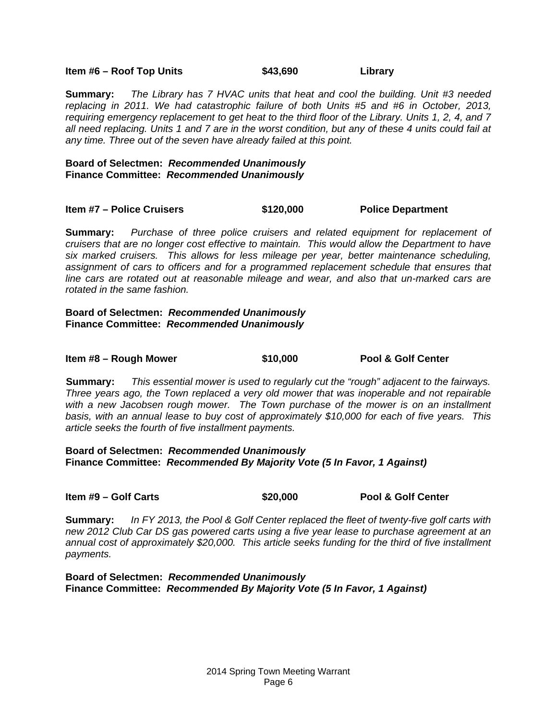#### **Item #6 – Roof Top Units**  $$43,690$  **Library**

**Summary:** *The Library has 7 HVAC units that heat and cool the building. Unit #3 needed replacing in 2011. We had catastrophic failure of both Units #5 and #6 in October, 2013, requiring emergency replacement to get heat to the third floor of the Library. Units 1, 2, 4, and 7 all need replacing. Units 1 and 7 are in the worst condition, but any of these 4 units could fail at any time. Three out of the seven have already failed at this point.*

#### **Board of Selectmen:** *Recommended Unanimously*  **Finance Committee:** *Recommended Unanimously*

#### **Item #7 – Police Cruisers 6120,000 Police Department**

**Summary:** *Purchase of three police cruisers and related equipment for replacement of cruisers that are no longer cost effective to maintain. This would allow the Department to have six marked cruisers. This allows for less mileage per year, better maintenance scheduling, assignment of cars to officers and for a programmed replacement schedule that ensures that line cars are rotated out at reasonable mileage and wear, and also that un-marked cars are rotated in the same fashion.* 

#### **Board of Selectmen:** *Recommended Unanimously*  **Finance Committee:** *Recommended Unanimously*

#### **Item #8 – Rough Mower \$10,000 Pool & Golf Center**

**Summary:** *This essential mower is used to regularly cut the "rough" adjacent to the fairways. Three years ago, the Town replaced a very old mower that was inoperable and not repairable*  with a new Jacobsen rough mower. The Town purchase of the mower is on an installment *basis, with an annual lease to buy cost of approximately \$10,000 for each of five years. This article seeks the fourth of five installment payments.*

**Board of Selectmen:** *Recommended Unanimously*  **Finance Committee:** *Recommended By Majority Vote (5 In Favor, 1 Against)*

**Item #9 – Golf Carts \$20,000 Pool & Golf Center** 

**Summary:** *In FY 2013, the Pool & Golf Center replaced the fleet of twenty-five golf carts with new 2012 Club Car DS gas powered carts using a five year lease to purchase agreement at an annual cost of approximately \$20,000. This article seeks funding for the third of five installment payments.* 

**Board of Selectmen:** *Recommended Unanimously*  **Finance Committee:** *Recommended By Majority Vote (5 In Favor, 1 Against)*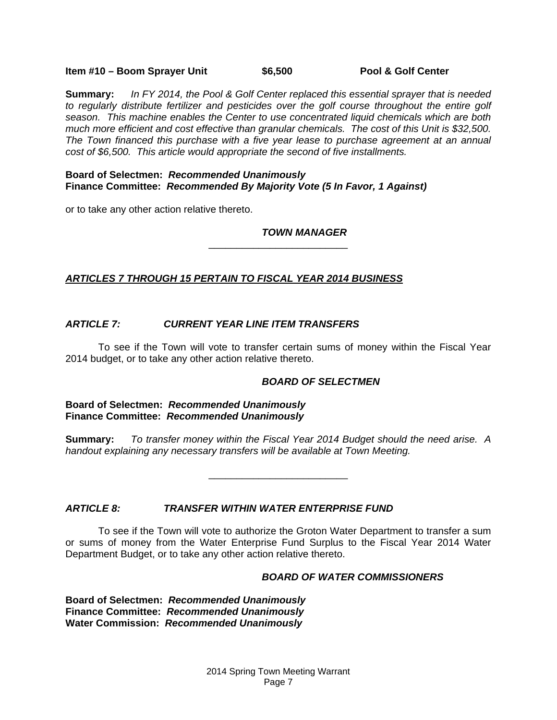#### **Item #10 – Boom Sprayer Unit**  $\frac{1}{2}$  **\$6,500 Pool & Golf Center**

**Summary:** *In FY 2014, the Pool & Golf Center replaced this essential sprayer that is needed to regularly distribute fertilizer and pesticides over the golf course throughout the entire golf season. This machine enables the Center to use concentrated liquid chemicals which are both much more efficient and cost effective than granular chemicals. The cost of this Unit is \$32,500. The Town financed this purchase with a five year lease to purchase agreement at an annual cost of \$6,500. This article would appropriate the second of five installments.* 

#### **Board of Selectmen:** *Recommended Unanimously*  **Finance Committee:** *Recommended By Majority Vote (5 In Favor, 1 Against)*

or to take any other action relative thereto.

#### *TOWN MANAGER*

#### *ARTICLES 7 THROUGH 15 PERTAIN TO FISCAL YEAR 2014 BUSINESS*

#### *ARTICLE 7: CURRENT YEAR LINE ITEM TRANSFERS*

 To see if the Town will vote to transfer certain sums of money within the Fiscal Year 2014 budget, or to take any other action relative thereto.

\_\_\_\_\_\_\_\_\_\_\_\_\_\_\_\_\_\_\_\_\_\_\_\_\_

#### *BOARD OF SELECTMEN*

#### **Board of Selectmen:** *Recommended Unanimously*  **Finance Committee:** *Recommended Unanimously*

**Summary:** *To transfer money within the Fiscal Year 2014 Budget should the need arise. A handout explaining any necessary transfers will be available at Town Meeting.* 

\_\_\_\_\_\_\_\_\_\_\_\_\_\_\_\_\_\_\_\_\_\_\_\_\_

#### *ARTICLE 8: TRANSFER WITHIN WATER ENTERPRISE FUND*

 To see if the Town will vote to authorize the Groton Water Department to transfer a sum or sums of money from the Water Enterprise Fund Surplus to the Fiscal Year 2014 Water Department Budget, or to take any other action relative thereto.

#### *BOARD OF WATER COMMISSIONERS*

**Board of Selectmen:** *Recommended Unanimously*  **Finance Committee:** *Recommended Unanimously*  **Water Commission:** *Recommended Unanimously*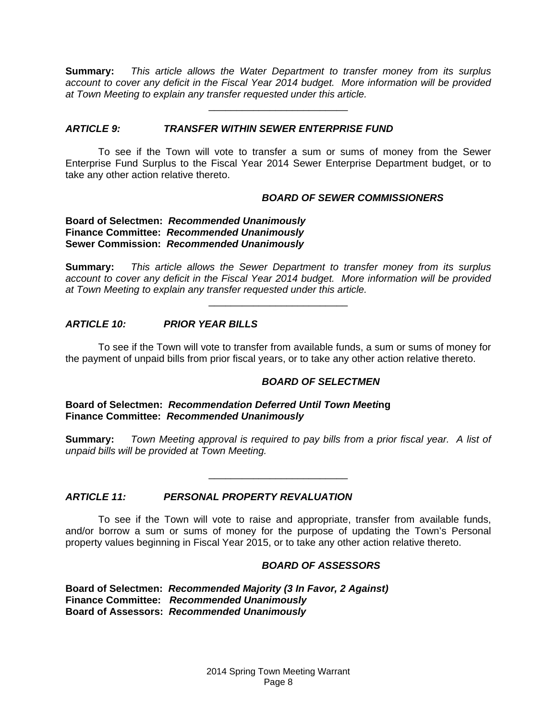**Summary:** *This article allows the Water Department to transfer money from its surplus account to cover any deficit in the Fiscal Year 2014 budget. More information will be provided at Town Meeting to explain any transfer requested under this article.* 

\_\_\_\_\_\_\_\_\_\_\_\_\_\_\_\_\_\_\_\_\_\_\_\_\_

#### *ARTICLE 9: TRANSFER WITHIN SEWER ENTERPRISE FUND*

 To see if the Town will vote to transfer a sum or sums of money from the Sewer Enterprise Fund Surplus to the Fiscal Year 2014 Sewer Enterprise Department budget, or to take any other action relative thereto.

#### *BOARD OF SEWER COMMISSIONERS*

**Board of Selectmen:** *Recommended Unanimously*  **Finance Committee:** *Recommended Unanimously*  **Sewer Commission:** *Recommended Unanimously* 

**Summary:** *This article allows the Sewer Department to transfer money from its surplus account to cover any deficit in the Fiscal Year 2014 budget. More information will be provided at Town Meeting to explain any transfer requested under this article.* 

\_\_\_\_\_\_\_\_\_\_\_\_\_\_\_\_\_\_\_\_\_\_\_\_\_

#### *ARTICLE 10: PRIOR YEAR BILLS*

 To see if the Town will vote to transfer from available funds, a sum or sums of money for the payment of unpaid bills from prior fiscal years, or to take any other action relative thereto.

#### *BOARD OF SELECTMEN*

**Board of Selectmen:** *Recommendation Deferred Until Town Meeti***ng Finance Committee:** *Recommended Unanimously* 

**Summary:** *Town Meeting approval is required to pay bills from a prior fiscal year. A list of unpaid bills will be provided at Town Meeting.* 

\_\_\_\_\_\_\_\_\_\_\_\_\_\_\_\_\_\_\_\_\_\_\_\_\_

#### *ARTICLE 11: PERSONAL PROPERTY REVALUATION*

 To see if the Town will vote to raise and appropriate, transfer from available funds, and/or borrow a sum or sums of money for the purpose of updating the Town's Personal property values beginning in Fiscal Year 2015, or to take any other action relative thereto.

#### *BOARD OF ASSESSORS*

**Board of Selectmen:** *Recommended Majority (3 In Favor, 2 Against)* **Finance Committee:** *Recommended Unanimously*  **Board of Assessors:** *Recommended Unanimously*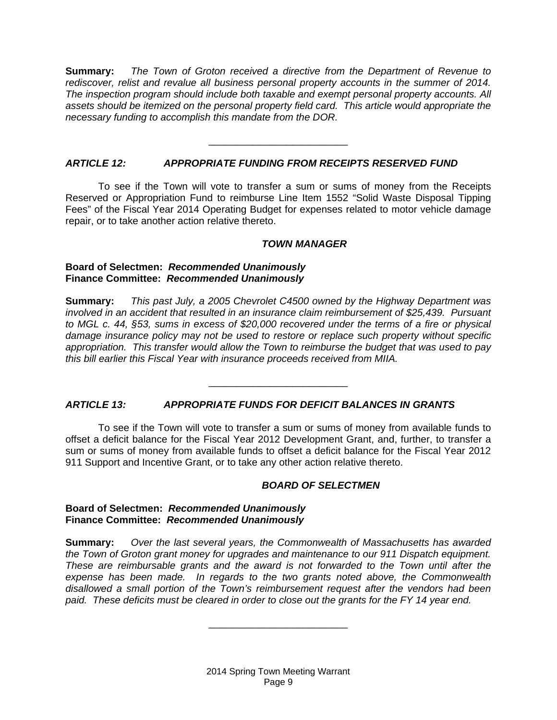**Summary:** *The Town of Groton received a directive from the Department of Revenue to rediscover, relist and revalue all business personal property accounts in the summer of 2014. The inspection program should include both taxable and exempt personal property accounts. All assets should be itemized on the personal property field card. This article would appropriate the necessary funding to accomplish this mandate from the DOR.* 

\_\_\_\_\_\_\_\_\_\_\_\_\_\_\_\_\_\_\_\_\_\_\_\_\_

#### *ARTICLE 12: APPROPRIATE FUNDING FROM RECEIPTS RESERVED FUND*

 To see if the Town will vote to transfer a sum or sums of money from the Receipts Reserved or Appropriation Fund to reimburse Line Item 1552 "Solid Waste Disposal Tipping Fees" of the Fiscal Year 2014 Operating Budget for expenses related to motor vehicle damage repair, or to take another action relative thereto.

#### *TOWN MANAGER*

#### **Board of Selectmen:** *Recommended Unanimously*  **Finance Committee:** *Recommended Unanimously*

**Summary:** *This past July, a 2005 Chevrolet C4500 owned by the Highway Department was involved in an accident that resulted in an insurance claim reimbursement of \$25,439. Pursuant to MGL c. 44, §53, sums in excess of \$20,000 recovered under the terms of a fire or physical damage insurance policy may not be used to restore or replace such property without specific appropriation. This transfer would allow the Town to reimburse the budget that was used to pay this bill earlier this Fiscal Year with insurance proceeds received from MIIA.* 

\_\_\_\_\_\_\_\_\_\_\_\_\_\_\_\_\_\_\_\_\_\_\_\_\_

#### *ARTICLE 13: APPROPRIATE FUNDS FOR DEFICIT BALANCES IN GRANTS*

 To see if the Town will vote to transfer a sum or sums of money from available funds to offset a deficit balance for the Fiscal Year 2012 Development Grant, and, further, to transfer a sum or sums of money from available funds to offset a deficit balance for the Fiscal Year 2012 911 Support and Incentive Grant, or to take any other action relative thereto.

#### *BOARD OF SELECTMEN*

#### **Board of Selectmen:** *Recommended Unanimously*  **Finance Committee:** *Recommended Unanimously*

**Summary:** *Over the last several years, the Commonwealth of Massachusetts has awarded the Town of Groton grant money for upgrades and maintenance to our 911 Dispatch equipment. These are reimbursable grants and the award is not forwarded to the Town until after the expense has been made. In regards to the two grants noted above, the Commonwealth disallowed a small portion of the Town's reimbursement request after the vendors had been paid. These deficits must be cleared in order to close out the grants for the FY 14 year end.*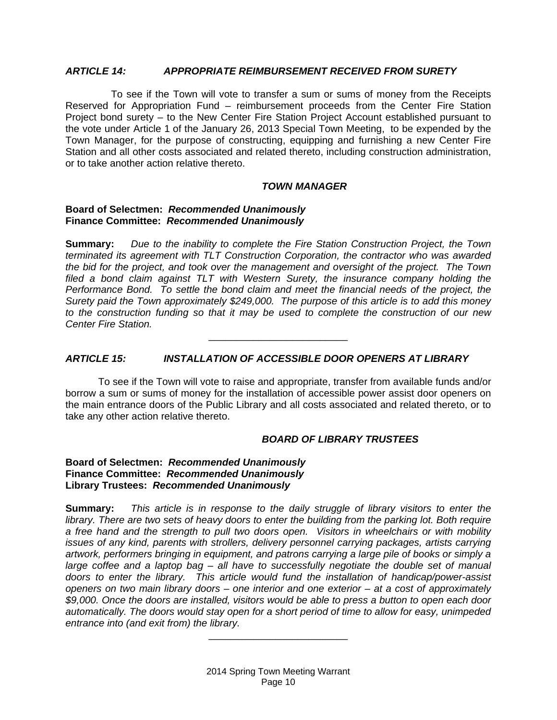#### *ARTICLE 14: APPROPRIATE REIMBURSEMENT RECEIVED FROM SURETY*

 To see if the Town will vote to transfer a sum or sums of money from the Receipts Reserved for Appropriation Fund – reimbursement proceeds from the Center Fire Station Project bond surety – to the New Center Fire Station Project Account established pursuant to the vote under Article 1 of the January 26, 2013 Special Town Meeting, to be expended by the Town Manager, for the purpose of constructing, equipping and furnishing a new Center Fire Station and all other costs associated and related thereto, including construction administration, or to take another action relative thereto.

#### *TOWN MANAGER*

#### **Board of Selectmen:** *Recommended Unanimously*  **Finance Committee:** *Recommended Unanimously*

**Summary:** *Due to the inability to complete the Fire Station Construction Project, the Town terminated its agreement with TLT Construction Corporation, the contractor who was awarded the bid for the project, and took over the management and oversight of the project. The Town filed a bond claim against TLT with Western Surety, the insurance company holding the Performance Bond. To settle the bond claim and meet the financial needs of the project, the Surety paid the Town approximately \$249,000. The purpose of this article is to add this money to the construction funding so that it may be used to complete the construction of our new Center Fire Station.*  \_\_\_\_\_\_\_\_\_\_\_\_\_\_\_\_\_\_\_\_\_\_\_\_\_

#### *ARTICLE 15: INSTALLATION OF ACCESSIBLE DOOR OPENERS AT LIBRARY*

To see if the Town will vote to raise and appropriate, transfer from available funds and/or borrow a sum or sums of money for the installation of accessible power assist door openers on the main entrance doors of the Public Library and all costs associated and related thereto, or to take any other action relative thereto.

#### *BOARD OF LIBRARY TRUSTEES*

#### **Board of Selectmen:** *Recommended Unanimously*  **Finance Committee:** *Recommended Unanimously*  **Library Trustees:** *Recommended Unanimously*

**Summary:** *This article is in response to the daily struggle of library visitors to enter the library. There are two sets of heavy doors to enter the building from the parking lot. Both require a free hand and the strength to pull two doors open. Visitors in wheelchairs or with mobility issues of any kind, parents with strollers, delivery personnel carrying packages, artists carrying artwork, performers bringing in equipment, and patrons carrying a large pile of books or simply a large coffee and a laptop bag – all have to successfully negotiate the double set of manual doors to enter the library. This article would fund the installation of handicap/power-assist openers on two main library doors – one interior and one exterior – at a cost of approximately \$9,000. Once the doors are installed, visitors would be able to press a button to open each door automatically. The doors would stay open for a short period of time to allow for easy, unimpeded entrance into (and exit from) the library.*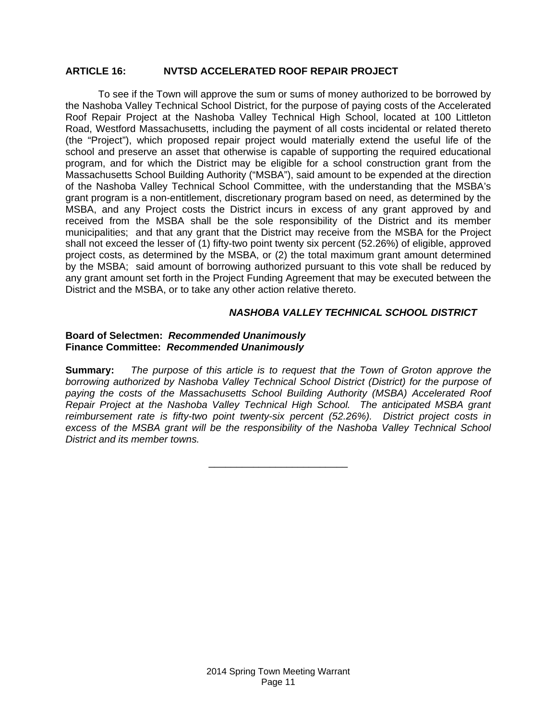#### **ARTICLE 16: NVTSD ACCELERATED ROOF REPAIR PROJECT**

To see if the Town will approve the sum or sums of money authorized to be borrowed by the Nashoba Valley Technical School District, for the purpose of paying costs of the Accelerated Roof Repair Project at the Nashoba Valley Technical High School, located at 100 Littleton Road, Westford Massachusetts, including the payment of all costs incidental or related thereto (the "Project"), which proposed repair project would materially extend the useful life of the school and preserve an asset that otherwise is capable of supporting the required educational program, and for which the District may be eligible for a school construction grant from the Massachusetts School Building Authority ("MSBA"), said amount to be expended at the direction of the Nashoba Valley Technical School Committee, with the understanding that the MSBA's grant program is a non-entitlement, discretionary program based on need, as determined by the MSBA, and any Project costs the District incurs in excess of any grant approved by and received from the MSBA shall be the sole responsibility of the District and its member municipalities; and that any grant that the District may receive from the MSBA for the Project shall not exceed the lesser of (1) fifty-two point twenty six percent (52.26%) of eligible, approved project costs, as determined by the MSBA, or (2) the total maximum grant amount determined by the MSBA; said amount of borrowing authorized pursuant to this vote shall be reduced by any grant amount set forth in the Project Funding Agreement that may be executed between the District and the MSBA, or to take any other action relative thereto.

#### *NASHOBA VALLEY TECHNICAL SCHOOL DISTRICT*

#### **Board of Selectmen:** *Recommended Unanimously*  **Finance Committee:** *Recommended Unanimously*

**Summary:** *The purpose of this article is to request that the Town of Groton approve the borrowing authorized by Nashoba Valley Technical School District (District) for the purpose of paying the costs of the Massachusetts School Building Authority (MSBA) Accelerated Roof Repair Project at the Nashoba Valley Technical High School. The anticipated MSBA grant reimbursement rate is fifty-two point twenty-six percent (52.26%). District project costs in excess of the MSBA grant will be the responsibility of the Nashoba Valley Technical School District and its member towns.*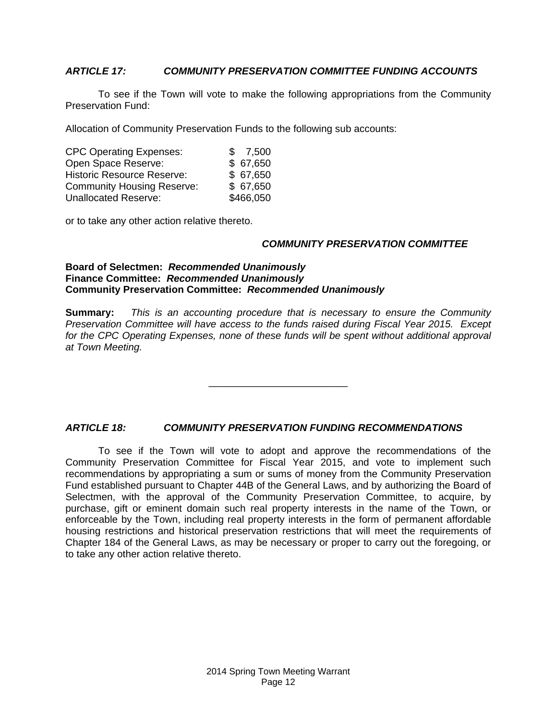#### *ARTICLE 17: COMMUNITY PRESERVATION COMMITTEE FUNDING ACCOUNTS*

To see if the Town will vote to make the following appropriations from the Community Preservation Fund:

Allocation of Community Preservation Funds to the following sub accounts:

| <b>CPC Operating Expenses:</b>    | \$7,500   |
|-----------------------------------|-----------|
| Open Space Reserve:               | \$67,650  |
| <b>Historic Resource Reserve:</b> | \$67,650  |
| <b>Community Housing Reserve:</b> | \$67,650  |
| <b>Unallocated Reserve:</b>       | \$466,050 |

or to take any other action relative thereto.

#### *COMMUNITY PRESERVATION COMMITTEE*

#### **Board of Selectmen:** *Recommended Unanimously*  **Finance Committee:** *Recommended Unanimously*  **Community Preservation Committee:** *Recommended Unanimously*

**Summary:** *This is an accounting procedure that is necessary to ensure the Community Preservation Committee will have access to the funds raised during Fiscal Year 2015. Except for the CPC Operating Expenses, none of these funds will be spent without additional approval at Town Meeting.* 

\_\_\_\_\_\_\_\_\_\_\_\_\_\_\_\_\_\_\_\_\_\_\_\_\_

*ARTICLE 18: COMMUNITY PRESERVATION FUNDING RECOMMENDATIONS* 

To see if the Town will vote to adopt and approve the recommendations of the Community Preservation Committee for Fiscal Year 2015, and vote to implement such recommendations by appropriating a sum or sums of money from the Community Preservation Fund established pursuant to Chapter 44B of the General Laws, and by authorizing the Board of Selectmen, with the approval of the Community Preservation Committee, to acquire, by purchase, gift or eminent domain such real property interests in the name of the Town, or enforceable by the Town, including real property interests in the form of permanent affordable housing restrictions and historical preservation restrictions that will meet the requirements of Chapter 184 of the General Laws, as may be necessary or proper to carry out the foregoing, or to take any other action relative thereto.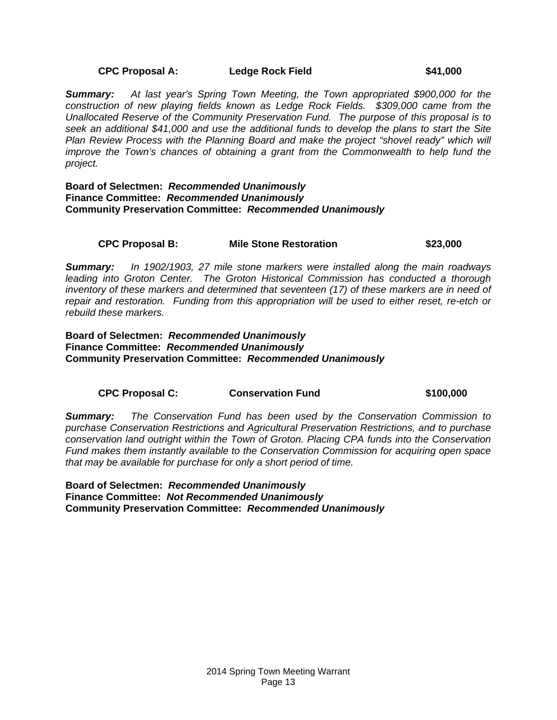#### **CPC Proposal A: Ledge Rock Field \$41,000**

*Summary: At last year's Spring Town Meeting, the Town appropriated \$900,000 for the construction of new playing fields known as Ledge Rock Fields. \$309,000 came from the Unallocated Reserve of the Community Preservation Fund. The purpose of this proposal is to seek an additional \$41,000 and use the additional funds to develop the plans to start the Site Plan Review Process with the Planning Board and make the project "shovel ready" which will improve the Town's chances of obtaining a grant from the Commonwealth to help fund the project.* 

#### **Board of Selectmen:** *Recommended Unanimously*  **Finance Committee:** *Recommended Unanimously*  **Community Preservation Committee:** *Recommended Unanimously*

#### **CPC Proposal B: Mile Stone Restoration \$23,000**

*Summary: In 1902/1903, 27 mile stone markers were installed along the main roadways leading into Groton Center. The Groton Historical Commission has conducted a thorough inventory of these markers and determined that seventeen (17) of these markers are in need of repair and restoration. Funding from this appropriation will be used to either reset, re-etch or rebuild these markers.* 

#### **Board of Selectmen:** *Recommended Unanimously*  **Finance Committee:** *Recommended Unanimously*  **Community Preservation Committee:** *Recommended Unanimously*

#### **CPC Proposal C: Conservation Fund \$100,000**

*Summary: The Conservation Fund has been used by the Conservation Commission to purchase Conservation Restrictions and Agricultural Preservation Restrictions, and to purchase conservation land outright within the Town of Groton. Placing CPA funds into the Conservation Fund makes them instantly available to the Conservation Commission for acquiring open space that may be available for purchase for only a short period of time.*

**Board of Selectmen:** *Recommended Unanimously*  **Finance Committee:** *Not Recommended Unanimously*  **Community Preservation Committee:** *Recommended Unanimously*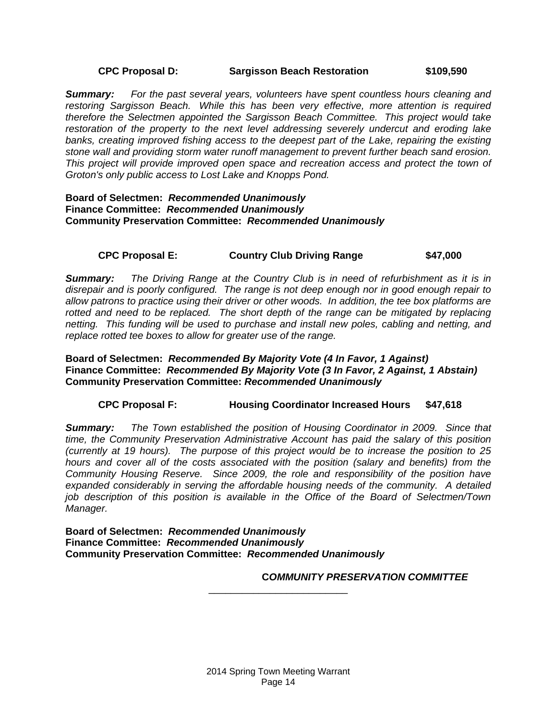#### **CPC Proposal D: Sargisson Beach Restoration \$109,590**

*Summary: For the past several years, volunteers have spent countless hours cleaning and restoring Sargisson Beach. While this has been very effective, more attention is required therefore the Selectmen appointed the Sargisson Beach Committee. This project would take restoration of the property to the next level addressing severely undercut and eroding lake*  banks, creating improved fishing access to the deepest part of the Lake, repairing the existing *stone wall and providing storm water runoff management to prevent further beach sand erosion.*  This project will provide improved open space and recreation access and protect the town of *Groton's only public access to Lost Lake and Knopps Pond.* 

#### **Board of Selectmen:** *Recommended Unanimously*  **Finance Committee:** *Recommended Unanimously*  **Community Preservation Committee:** *Recommended Unanimously*

#### **CPC Proposal E: Country Club Driving Range \$47,000**

*Summary: The Driving Range at the Country Club is in need of refurbishment as it is in disrepair and is poorly configured. The range is not deep enough nor in good enough repair to allow patrons to practice using their driver or other woods. In addition, the tee box platforms are*  rotted and need to be replaced. The short depth of the range can be mitigated by replacing *netting. This funding will be used to purchase and install new poles, cabling and netting, and replace rotted tee boxes to allow for greater use of the range.* 

**Board of Selectmen:** *Recommended By Majority Vote (4 In Favor, 1 Against)* **Finance Committee:** *Recommended By Majority Vote (3 In Favor, 2 Against, 1 Abstain)* **Community Preservation Committee:** *Recommended Unanimously*

#### **CPC Proposal F: Housing Coordinator Increased Hours \$47,618**

*Summary: The Town established the position of Housing Coordinator in 2009. Since that time, the Community Preservation Administrative Account has paid the salary of this position (currently at 19 hours). The purpose of this project would be to increase the position to 25 hours and cover all of the costs associated with the position (salary and benefits) from the Community Housing Reserve. Since 2009, the role and responsibility of the position have expanded considerably in serving the affordable housing needs of the community. A detailed job description of this position is available in the Office of the Board of Selectmen/Town Manager.* 

**Board of Selectmen:** *Recommended Unanimously*  **Finance Committee:** *Recommended Unanimously*  **Community Preservation Committee:** *Recommended Unanimously*

#### **C***OMMUNITY PRESERVATION COMMITTEE*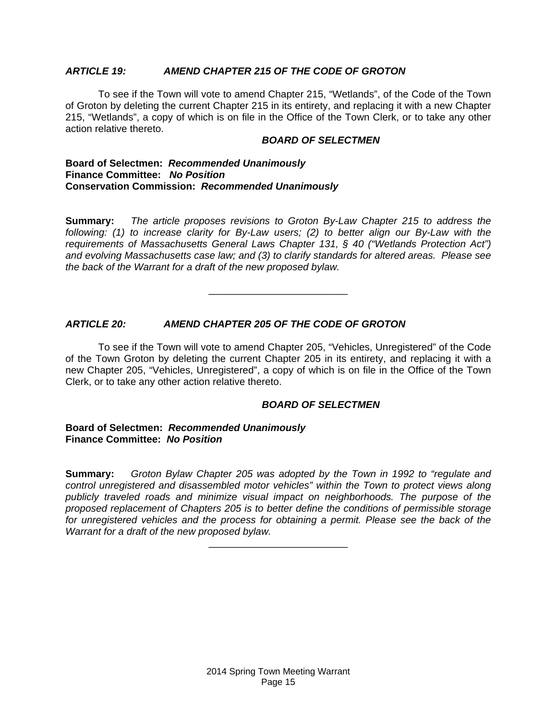#### *ARTICLE 19: AMEND CHAPTER 215 OF THE CODE OF GROTON*

 To see if the Town will vote to amend Chapter 215, "Wetlands", of the Code of the Town of Groton by deleting the current Chapter 215 in its entirety, and replacing it with a new Chapter 215, "Wetlands", a copy of which is on file in the Office of the Town Clerk, or to take any other action relative thereto.

#### *BOARD OF SELECTMEN*

**Board of Selectmen:** *Recommended Unanimously*  **Finance Committee:** *No Position* **Conservation Commission:** *Recommended Unanimously* 

**Summary:** *The article proposes revisions to Groton By-Law Chapter 215 to address the following: (1) to increase clarity for By-Law users; (2) to better align our By-Law with the requirements of Massachusetts General Laws Chapter 131, § 40 ("Wetlands Protection Act") and evolving Massachusetts case law; and (3) to clarify standards for altered areas. Please see the back of the Warrant for a draft of the new proposed bylaw.*

\_\_\_\_\_\_\_\_\_\_\_\_\_\_\_\_\_\_\_\_\_\_\_\_\_

#### *ARTICLE 20: AMEND CHAPTER 205 OF THE CODE OF GROTON*

 To see if the Town will vote to amend Chapter 205, "Vehicles, Unregistered" of the Code of the Town Groton by deleting the current Chapter 205 in its entirety, and replacing it with a new Chapter 205, "Vehicles, Unregistered", a copy of which is on file in the Office of the Town Clerk, or to take any other action relative thereto.

#### *BOARD OF SELECTMEN*

#### **Board of Selectmen:** *Recommended Unanimously*  **Finance Committee:** *No Position*

**Summary:** *Groton Bylaw Chapter 205 was adopted by the Town in 1992 to "regulate and control unregistered and disassembled motor vehicles" within the Town to protect views along publicly traveled roads and minimize visual impact on neighborhoods. The purpose of the proposed replacement of Chapters 205 is to better define the conditions of permissible storage*  for unregistered vehicles and the process for obtaining a permit. Please see the back of the *Warrant for a draft of the new proposed bylaw.*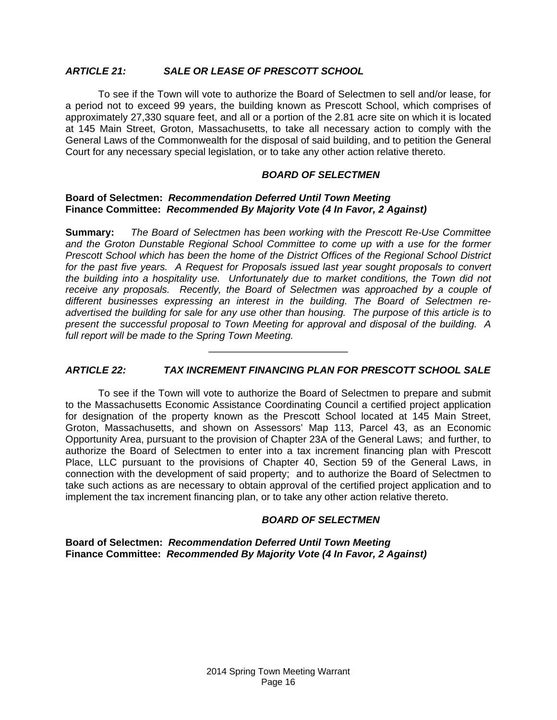#### *ARTICLE 21: SALE OR LEASE OF PRESCOTT SCHOOL*

 To see if the Town will vote to authorize the Board of Selectmen to sell and/or lease, for a period not to exceed 99 years, the building known as Prescott School, which comprises of approximately 27,330 square feet, and all or a portion of the 2.81 acre site on which it is located at 145 Main Street, Groton, Massachusetts, to take all necessary action to comply with the General Laws of the Commonwealth for the disposal of said building, and to petition the General Court for any necessary special legislation, or to take any other action relative thereto.

#### *BOARD OF SELECTMEN*

#### **Board of Selectmen:** *Recommendation Deferred Until Town Meeting*  **Finance Committee:** *Recommended By Majority Vote (4 In Favor, 2 Against)*

**Summary:** *The Board of Selectmen has been working with the Prescott Re-Use Committee and the Groton Dunstable Regional School Committee to come up with a use for the former Prescott School which has been the home of the District Offices of the Regional School District for the past five years. A Request for Proposals issued last year sought proposals to convert the building into a hospitality use. Unfortunately due to market conditions, the Town did not receive any proposals. Recently, the Board of Selectmen was approached by a couple of different businesses expressing an interest in the building. The Board of Selectmen readvertised the building for sale for any use other than housing. The purpose of this article is to present the successful proposal to Town Meeting for approval and disposal of the building. A full report will be made to the Spring Town Meeting.* 

#### *ARTICLE 22: TAX INCREMENT FINANCING PLAN FOR PRESCOTT SCHOOL SALE*

\_\_\_\_\_\_\_\_\_\_\_\_\_\_\_\_\_\_\_\_\_\_\_\_\_

 To see if the Town will vote to authorize the Board of Selectmen to prepare and submit to the Massachusetts Economic Assistance Coordinating Council a certified project application for designation of the property known as the Prescott School located at 145 Main Street, Groton, Massachusetts, and shown on Assessors' Map 113, Parcel 43, as an Economic Opportunity Area, pursuant to the provision of Chapter 23A of the General Laws; and further, to authorize the Board of Selectmen to enter into a tax increment financing plan with Prescott Place, LLC pursuant to the provisions of Chapter 40, Section 59 of the General Laws, in connection with the development of said property; and to authorize the Board of Selectmen to take such actions as are necessary to obtain approval of the certified project application and to implement the tax increment financing plan, or to take any other action relative thereto.

#### *BOARD OF SELECTMEN*

**Board of Selectmen:** *Recommendation Deferred Until Town Meeting* **Finance Committee:** *Recommended By Majority Vote (4 In Favor, 2 Against)*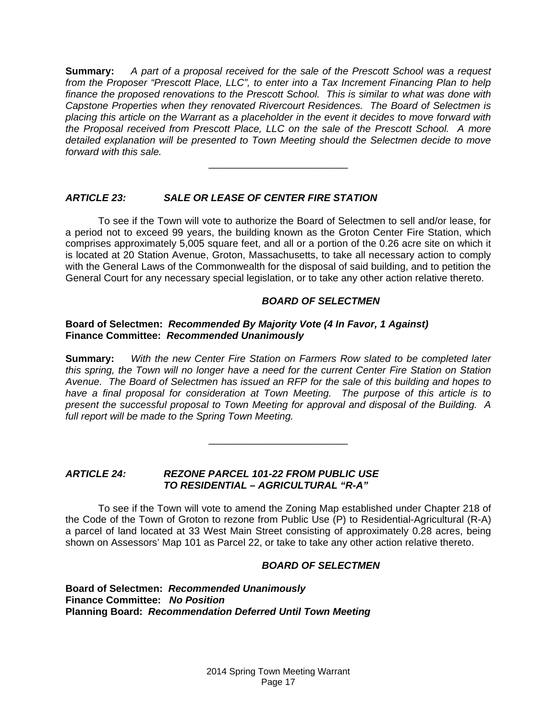**Summary:** *A part of a proposal received for the sale of the Prescott School was a request from the Proposer "Prescott Place, LLC", to enter into a Tax Increment Financing Plan to help finance the proposed renovations to the Prescott School. This is similar to what was done with Capstone Properties when they renovated Rivercourt Residences. The Board of Selectmen is placing this article on the Warrant as a placeholder in the event it decides to move forward with the Proposal received from Prescott Place, LLC on the sale of the Prescott School. A more detailed explanation will be presented to Town Meeting should the Selectmen decide to move forward with this sale.* 

\_\_\_\_\_\_\_\_\_\_\_\_\_\_\_\_\_\_\_\_\_\_\_\_\_

#### *ARTICLE 23: SALE OR LEASE OF CENTER FIRE STATION*

 To see if the Town will vote to authorize the Board of Selectmen to sell and/or lease, for a period not to exceed 99 years, the building known as the Groton Center Fire Station, which comprises approximately 5,005 square feet, and all or a portion of the 0.26 acre site on which it is located at 20 Station Avenue, Groton, Massachusetts, to take all necessary action to comply with the General Laws of the Commonwealth for the disposal of said building, and to petition the General Court for any necessary special legislation, or to take any other action relative thereto.

#### *BOARD OF SELECTMEN*

#### **Board of Selectmen:** *Recommended By Majority Vote (4 In Favor, 1 Against)* **Finance Committee:** *Recommended Unanimously*

**Summary:** *With the new Center Fire Station on Farmers Row slated to be completed later this spring, the Town will no longer have a need for the current Center Fire Station on Station Avenue. The Board of Selectmen has issued an RFP for the sale of this building and hopes to have a final proposal for consideration at Town Meeting. The purpose of this article is to present the successful proposal to Town Meeting for approval and disposal of the Building. A full report will be made to the Spring Town Meeting.* 

\_\_\_\_\_\_\_\_\_\_\_\_\_\_\_\_\_\_\_\_\_\_\_\_\_

*ARTICLE 24: REZONE PARCEL 101-22 FROM PUBLIC USE TO RESIDENTIAL – AGRICULTURAL "R-A"* 

To see if the Town will vote to amend the Zoning Map established under Chapter 218 of the Code of the Town of Groton to rezone from Public Use (P) to Residential-Agricultural (R-A) a parcel of land located at 33 West Main Street consisting of approximately 0.28 acres, being shown on Assessors' Map 101 as Parcel 22, or take to take any other action relative thereto.

#### *BOARD OF SELECTMEN*

**Board of Selectmen:** *Recommended Unanimously*  **Finance Committee:** *No Position* **Planning Board:** *Recommendation Deferred Until Town Meeting*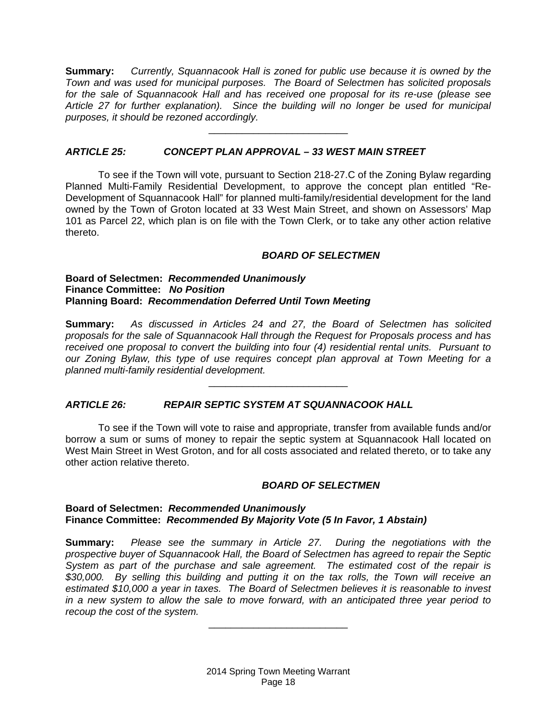**Summary:** *Currently, Squannacook Hall is zoned for public use because it is owned by the Town and was used for municipal purposes. The Board of Selectmen has solicited proposals for the sale of Squannacook Hall and has received one proposal for its re-use (please see Article 27 for further explanation). Since the building will no longer be used for municipal purposes, it should be rezoned accordingly.*

\_\_\_\_\_\_\_\_\_\_\_\_\_\_\_\_\_\_\_\_\_\_\_\_\_

#### *ARTICLE 25: CONCEPT PLAN APPROVAL – 33 WEST MAIN STREET*

 To see if the Town will vote, pursuant to Section 218-27.C of the Zoning Bylaw regarding Planned Multi-Family Residential Development, to approve the concept plan entitled "Re-Development of Squannacook Hall" for planned multi-family/residential development for the land owned by the Town of Groton located at 33 West Main Street, and shown on Assessors' Map 101 as Parcel 22, which plan is on file with the Town Clerk, or to take any other action relative thereto.

#### *BOARD OF SELECTMEN*

#### **Board of Selectmen:** *Recommended Unanimously*  **Finance Committee:** *No Position* **Planning Board:** *Recommendation Deferred Until Town Meeting*

**Summary:** *As discussed in Articles 24 and 27, the Board of Selectmen has solicited proposals for the sale of Squannacook Hall through the Request for Proposals process and has received one proposal to convert the building into four (4) residential rental units. Pursuant to our Zoning Bylaw, this type of use requires concept plan approval at Town Meeting for a planned multi-family residential development.* 

\_\_\_\_\_\_\_\_\_\_\_\_\_\_\_\_\_\_\_\_\_\_\_\_\_

#### *ARTICLE 26: REPAIR SEPTIC SYSTEM AT SQUANNACOOK HALL*

 To see if the Town will vote to raise and appropriate, transfer from available funds and/or borrow a sum or sums of money to repair the septic system at Squannacook Hall located on West Main Street in West Groton, and for all costs associated and related thereto, or to take any other action relative thereto.

#### *BOARD OF SELECTMEN*

#### **Board of Selectmen:** *Recommended Unanimously*  **Finance Committee:** *Recommended By Majority Vote (5 In Favor, 1 Abstain)*

**Summary:** *Please see the summary in Article 27. During the negotiations with the prospective buyer of Squannacook Hall, the Board of Selectmen has agreed to repair the Septic System as part of the purchase and sale agreement. The estimated cost of the repair is \$30,000. By selling this building and putting it on the tax rolls, the Town will receive an estimated \$10,000 a year in taxes. The Board of Selectmen believes it is reasonable to invest in a new system to allow the sale to move forward, with an anticipated three year period to recoup the cost of the system.*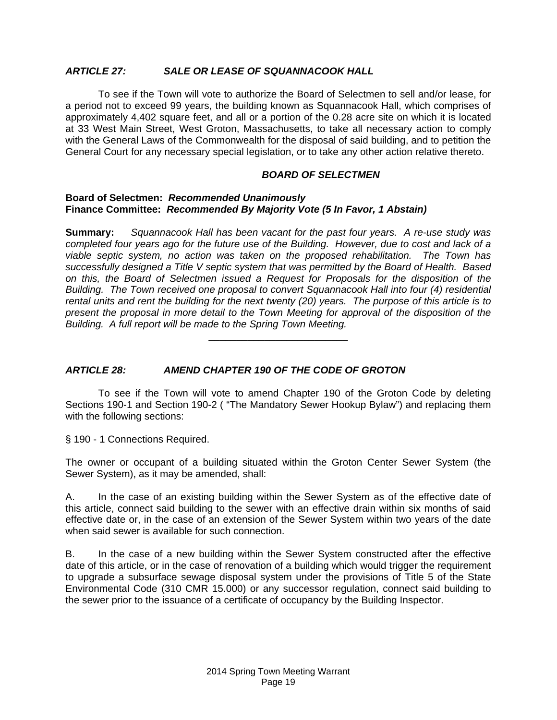#### *ARTICLE 27: SALE OR LEASE OF SQUANNACOOK HALL*

 To see if the Town will vote to authorize the Board of Selectmen to sell and/or lease, for a period not to exceed 99 years, the building known as Squannacook Hall, which comprises of approximately 4,402 square feet, and all or a portion of the 0.28 acre site on which it is located at 33 West Main Street, West Groton, Massachusetts, to take all necessary action to comply with the General Laws of the Commonwealth for the disposal of said building, and to petition the General Court for any necessary special legislation, or to take any other action relative thereto.

#### *BOARD OF SELECTMEN*

#### **Board of Selectmen:** *Recommended Unanimously*  **Finance Committee:** *Recommended By Majority Vote (5 In Favor, 1 Abstain)*

**Summary:** *Squannacook Hall has been vacant for the past four years. A re-use study was completed four years ago for the future use of the Building. However, due to cost and lack of a viable septic system, no action was taken on the proposed rehabilitation. The Town has successfully designed a Title V septic system that was permitted by the Board of Health. Based on this, the Board of Selectmen issued a Request for Proposals for the disposition of the Building. The Town received one proposal to convert Squannacook Hall into four (4) residential rental units and rent the building for the next twenty (20) years. The purpose of this article is to present the proposal in more detail to the Town Meeting for approval of the disposition of the Building. A full report will be made to the Spring Town Meeting.* 

\_\_\_\_\_\_\_\_\_\_\_\_\_\_\_\_\_\_\_\_\_\_\_\_\_

#### *ARTICLE 28: AMEND CHAPTER 190 OF THE CODE OF GROTON*

To see if the Town will vote to amend Chapter 190 of the Groton Code by deleting Sections 190-1 and Section 190-2 ( "The Mandatory Sewer Hookup Bylaw") and replacing them with the following sections:

§ 190 - 1 Connections Required.

The owner or occupant of a building situated within the Groton Center Sewer System (the Sewer System), as it may be amended, shall:

A. In the case of an existing building within the Sewer System as of the effective date of this article, connect said building to the sewer with an effective drain within six months of said effective date or, in the case of an extension of the Sewer System within two years of the date when said sewer is available for such connection.

B. In the case of a new building within the Sewer System constructed after the effective date of this article, or in the case of renovation of a building which would trigger the requirement to upgrade a subsurface sewage disposal system under the provisions of Title 5 of the State Environmental Code (310 CMR 15.000) or any successor regulation, connect said building to the sewer prior to the issuance of a certificate of occupancy by the Building Inspector.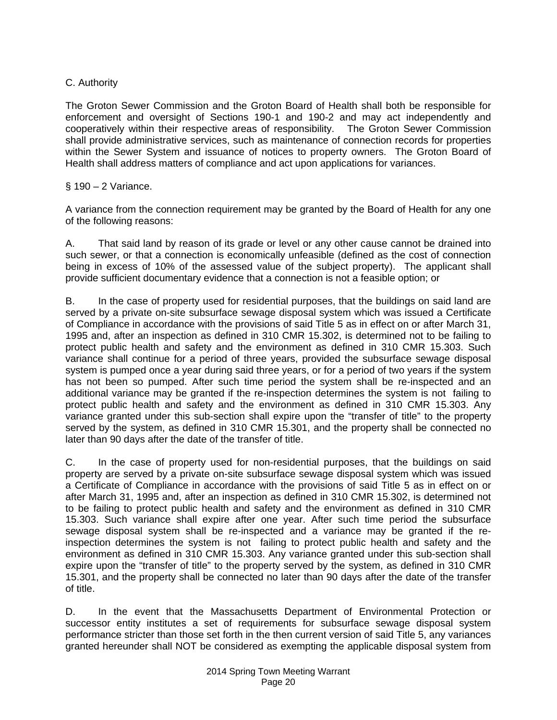#### C. Authority

The Groton Sewer Commission and the Groton Board of Health shall both be responsible for enforcement and oversight of Sections 190-1 and 190-2 and may act independently and cooperatively within their respective areas of responsibility. The Groton Sewer Commission shall provide administrative services, such as maintenance of connection records for properties within the Sewer System and issuance of notices to property owners. The Groton Board of Health shall address matters of compliance and act upon applications for variances.

#### § 190 – 2 Variance.

A variance from the connection requirement may be granted by the Board of Health for any one of the following reasons:

A. That said land by reason of its grade or level or any other cause cannot be drained into such sewer, or that a connection is economically unfeasible (defined as the cost of connection being in excess of 10% of the assessed value of the subject property). The applicant shall provide sufficient documentary evidence that a connection is not a feasible option; or

B. In the case of property used for residential purposes, that the buildings on said land are served by a private on-site subsurface sewage disposal system which was issued a Certificate of Compliance in accordance with the provisions of said Title 5 as in effect on or after March 31, 1995 and, after an inspection as defined in 310 CMR 15.302, is determined not to be failing to protect public health and safety and the environment as defined in 310 CMR 15.303. Such variance shall continue for a period of three years, provided the subsurface sewage disposal system is pumped once a year during said three years, or for a period of two years if the system has not been so pumped. After such time period the system shall be re-inspected and an additional variance may be granted if the re-inspection determines the system is not failing to protect public health and safety and the environment as defined in 310 CMR 15.303. Any variance granted under this sub-section shall expire upon the "transfer of title" to the property served by the system, as defined in 310 CMR 15.301, and the property shall be connected no later than 90 days after the date of the transfer of title.

C. In the case of property used for non-residential purposes, that the buildings on said property are served by a private on-site subsurface sewage disposal system which was issued a Certificate of Compliance in accordance with the provisions of said Title 5 as in effect on or after March 31, 1995 and, after an inspection as defined in 310 CMR 15.302, is determined not to be failing to protect public health and safety and the environment as defined in 310 CMR 15.303. Such variance shall expire after one year. After such time period the subsurface sewage disposal system shall be re-inspected and a variance may be granted if the reinspection determines the system is not failing to protect public health and safety and the environment as defined in 310 CMR 15.303. Any variance granted under this sub-section shall expire upon the "transfer of title" to the property served by the system, as defined in 310 CMR 15.301, and the property shall be connected no later than 90 days after the date of the transfer of title.

D. In the event that the Massachusetts Department of Environmental Protection or successor entity institutes a set of requirements for subsurface sewage disposal system performance stricter than those set forth in the then current version of said Title 5, any variances granted hereunder shall NOT be considered as exempting the applicable disposal system from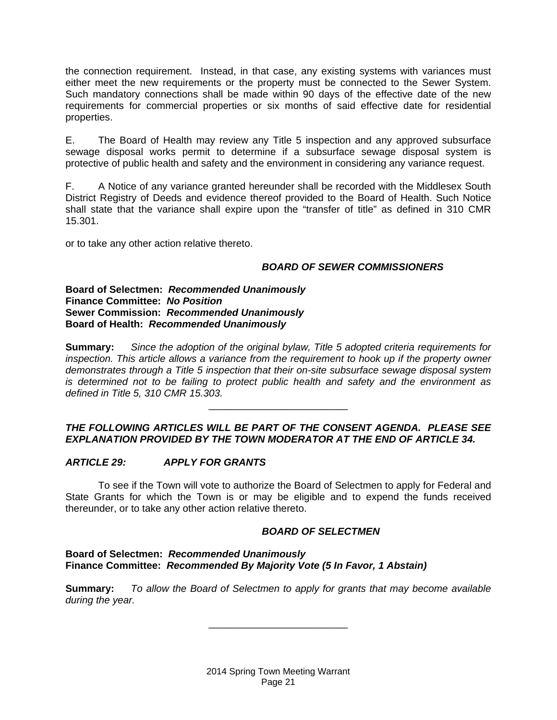the connection requirement. Instead, in that case, any existing systems with variances must either meet the new requirements or the property must be connected to the Sewer System. Such mandatory connections shall be made within 90 days of the effective date of the new requirements for commercial properties or six months of said effective date for residential properties.

E. The Board of Health may review any Title 5 inspection and any approved subsurface sewage disposal works permit to determine if a subsurface sewage disposal system is protective of public health and safety and the environment in considering any variance request.

F. A Notice of any variance granted hereunder shall be recorded with the Middlesex South District Registry of Deeds and evidence thereof provided to the Board of Health. Such Notice shall state that the variance shall expire upon the "transfer of title" as defined in 310 CMR 15.301.

or to take any other action relative thereto.

#### *BOARD OF SEWER COMMISSIONERS*

**Board of Selectmen:** *Recommended Unanimously*  **Finance Committee:** *No Position* **Sewer Commission:** *Recommended Unanimously*  **Board of Health:** *Recommended Unanimously* 

**Summary:** *Since the adoption of the original bylaw, Title 5 adopted criteria requirements for inspection. This article allows a variance from the requirement to hook up if the property owner demonstrates through a Title 5 inspection that their on-site subsurface sewage disposal system is determined not to be failing to protect public health and safety and the environment as defined in Title 5, 310 CMR 15.303.* 

#### *THE FOLLOWING ARTICLES WILL BE PART OF THE CONSENT AGENDA. PLEASE SEE EXPLANATION PROVIDED BY THE TOWN MODERATOR AT THE END OF ARTICLE 34.*

\_\_\_\_\_\_\_\_\_\_\_\_\_\_\_\_\_\_\_\_\_\_\_\_\_

#### *ARTICLE 29: APPLY FOR GRANTS*

 To see if the Town will vote to authorize the Board of Selectmen to apply for Federal and State Grants for which the Town is or may be eligible and to expend the funds received thereunder, or to take any other action relative thereto.

#### *BOARD OF SELECTMEN*

#### **Board of Selectmen:** *Recommended Unanimously*  **Finance Committee:** *Recommended By Majority Vote (5 In Favor, 1 Abstain)*

**Summary:** *To allow the Board of Selectmen to apply for grants that may become available during the year.* 

\_\_\_\_\_\_\_\_\_\_\_\_\_\_\_\_\_\_\_\_\_\_\_\_\_

2014 Spring Town Meeting Warrant Page 21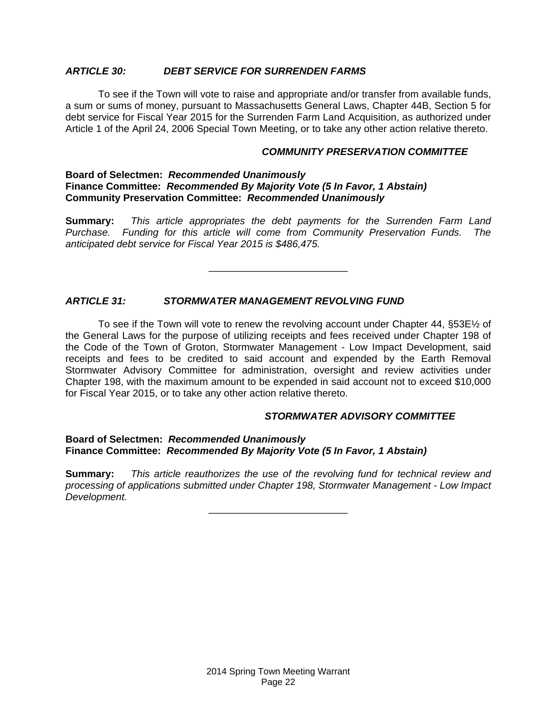#### *ARTICLE 30: DEBT SERVICE FOR SURRENDEN FARMS*

 To see if the Town will vote to raise and appropriate and/or transfer from available funds, a sum or sums of money, pursuant to Massachusetts General Laws, Chapter 44B, Section 5 for debt service for Fiscal Year 2015 for the Surrenden Farm Land Acquisition, as authorized under Article 1 of the April 24, 2006 Special Town Meeting, or to take any other action relative thereto.

#### *COMMUNITY PRESERVATION COMMITTEE*

#### **Board of Selectmen:** *Recommended Unanimously*  **Finance Committee:** *Recommended By Majority Vote (5 In Favor, 1 Abstain)* **Community Preservation Committee:** *Recommended Unanimously*

**Summary:** *This article appropriates the debt payments for the Surrenden Farm Land Purchase. Funding for this article will come from Community Preservation Funds. The anticipated debt service for Fiscal Year 2015 is \$486,475.*

\_\_\_\_\_\_\_\_\_\_\_\_\_\_\_\_\_\_\_\_\_\_\_\_\_

#### *ARTICLE 31: STORMWATER MANAGEMENT REVOLVING FUND*

To see if the Town will vote to renew the revolving account under Chapter 44,  $\S53E\%$  of the General Laws for the purpose of utilizing receipts and fees received under Chapter 198 of the Code of the Town of Groton, Stormwater Management - Low Impact Development, said receipts and fees to be credited to said account and expended by the Earth Removal Stormwater Advisory Committee for administration, oversight and review activities under Chapter 198, with the maximum amount to be expended in said account not to exceed \$10,000 for Fiscal Year 2015, or to take any other action relative thereto.

#### *STORMWATER ADVISORY COMMITTEE*

#### **Board of Selectmen:** *Recommended Unanimously*  **Finance Committee:** *Recommended By Majority Vote (5 In Favor, 1 Abstain)*

**Summary:** *This article reauthorizes the use of the revolving fund for technical review and processing of applications submitted under Chapter 198, Stormwater Management - Low Impact Development.*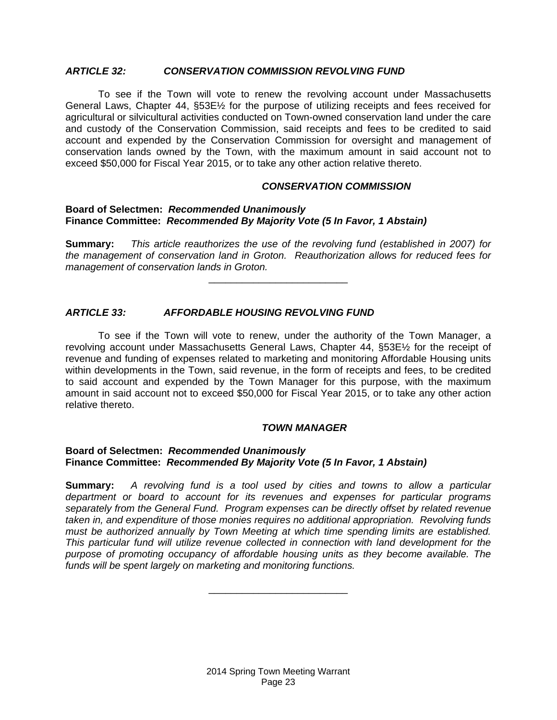#### *ARTICLE 32: CONSERVATION COMMISSION REVOLVING FUND*

To see if the Town will vote to renew the revolving account under Massachusetts General Laws, Chapter 44, §53E½ for the purpose of utilizing receipts and fees received for agricultural or silvicultural activities conducted on Town-owned conservation land under the care and custody of the Conservation Commission, said receipts and fees to be credited to said account and expended by the Conservation Commission for oversight and management of conservation lands owned by the Town, with the maximum amount in said account not to exceed \$50,000 for Fiscal Year 2015, or to take any other action relative thereto.

#### *CONSERVATION COMMISSION*

#### **Board of Selectmen:** *Recommended Unanimously*  **Finance Committee:** *Recommended By Majority Vote (5 In Favor, 1 Abstain)*

**Summary:** *This article reauthorizes the use of the revolving fund (established in 2007) for the management of conservation land in Groton. Reauthorization allows for reduced fees for management of conservation lands in Groton.* 

\_\_\_\_\_\_\_\_\_\_\_\_\_\_\_\_\_\_\_\_\_\_\_\_\_

#### *ARTICLE 33: AFFORDABLE HOUSING REVOLVING FUND*

To see if the Town will vote to renew, under the authority of the Town Manager, a revolving account under Massachusetts General Laws, Chapter 44, §53E½ for the receipt of revenue and funding of expenses related to marketing and monitoring Affordable Housing units within developments in the Town, said revenue, in the form of receipts and fees, to be credited to said account and expended by the Town Manager for this purpose, with the maximum amount in said account not to exceed \$50,000 for Fiscal Year 2015, or to take any other action relative thereto.

#### *TOWN MANAGER*

#### **Board of Selectmen:** *Recommended Unanimously*  **Finance Committee:** *Recommended By Majority Vote (5 In Favor, 1 Abstain)*

**Summary:** *A revolving fund is a tool used by cities and towns to allow a particular department or board to account for its revenues and expenses for particular programs separately from the General Fund. Program expenses can be directly offset by related revenue taken in, and expenditure of those monies requires no additional appropriation. Revolving funds must be authorized annually by Town Meeting at which time spending limits are established. This particular fund will utilize revenue collected in connection with land development for the purpose of promoting occupancy of affordable housing units as they become available. The funds will be spent largely on marketing and monitoring functions.*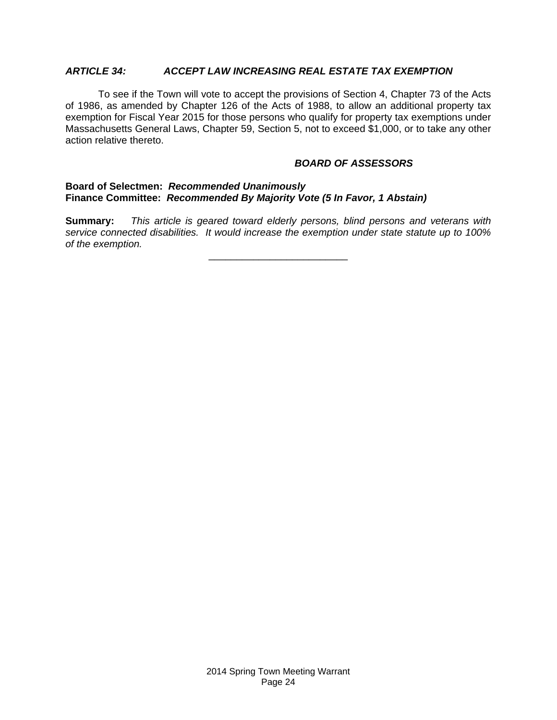#### *ARTICLE 34: ACCEPT LAW INCREASING REAL ESTATE TAX EXEMPTION*

To see if the Town will vote to accept the provisions of Section 4, Chapter 73 of the Acts of 1986, as amended by Chapter 126 of the Acts of 1988, to allow an additional property tax exemption for Fiscal Year 2015 for those persons who qualify for property tax exemptions under Massachusetts General Laws, Chapter 59, Section 5, not to exceed \$1,000, or to take any other action relative thereto.

#### *BOARD OF ASSESSORS*

#### **Board of Selectmen:** *Recommended Unanimously*  **Finance Committee:** *Recommended By Majority Vote (5 In Favor, 1 Abstain)*

**Summary:** *This article is geared toward elderly persons, blind persons and veterans with service connected disabilities. It would increase the exemption under state statute up to 100% of the exemption.*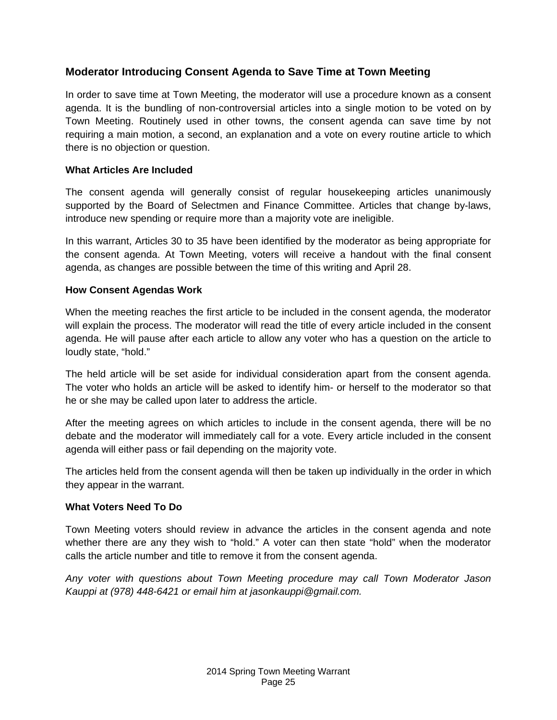#### **Moderator Introducing Consent Agenda to Save Time at Town Meeting**

In order to save time at Town Meeting, the moderator will use a procedure known as a consent agenda. It is the bundling of non-controversial articles into a single motion to be voted on by Town Meeting. Routinely used in other towns, the consent agenda can save time by not requiring a main motion, a second, an explanation and a vote on every routine article to which there is no objection or question.

#### **What Articles Are Included**

The consent agenda will generally consist of regular housekeeping articles unanimously supported by the Board of Selectmen and Finance Committee. Articles that change by-laws, introduce new spending or require more than a majority vote are ineligible.

In this warrant, Articles 30 to 35 have been identified by the moderator as being appropriate for the consent agenda. At Town Meeting, voters will receive a handout with the final consent agenda, as changes are possible between the time of this writing and April 28.

#### **How Consent Agendas Work**

When the meeting reaches the first article to be included in the consent agenda, the moderator will explain the process. The moderator will read the title of every article included in the consent agenda. He will pause after each article to allow any voter who has a question on the article to loudly state, "hold."

The held article will be set aside for individual consideration apart from the consent agenda. The voter who holds an article will be asked to identify him- or herself to the moderator so that he or she may be called upon later to address the article.

After the meeting agrees on which articles to include in the consent agenda, there will be no debate and the moderator will immediately call for a vote. Every article included in the consent agenda will either pass or fail depending on the majority vote.

The articles held from the consent agenda will then be taken up individually in the order in which they appear in the warrant.

#### **What Voters Need To Do**

Town Meeting voters should review in advance the articles in the consent agenda and note whether there are any they wish to "hold." A voter can then state "hold" when the moderator calls the article number and title to remove it from the consent agenda.

*Any voter with questions about Town Meeting procedure may call Town Moderator Jason Kauppi at (978) 448-6421 or email him at jasonkauppi@gmail.com.*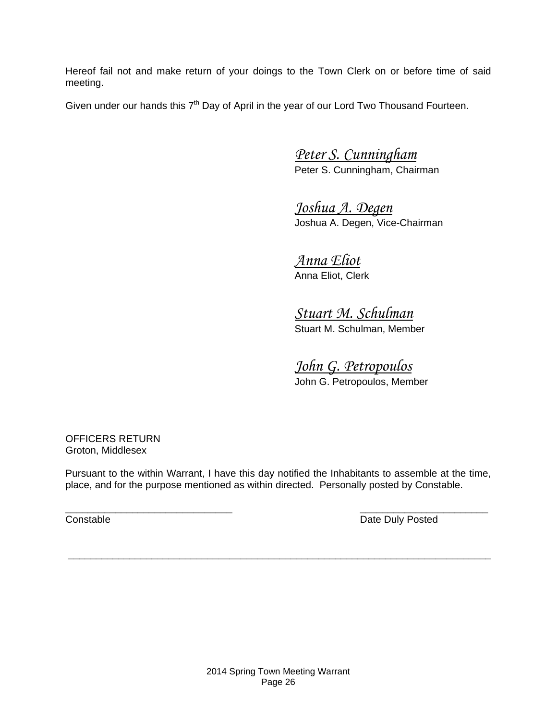Hereof fail not and make return of your doings to the Town Clerk on or before time of said meeting.

Given under our hands this 7<sup>th</sup> Day of April in the year of our Lord Two Thousand Fourteen.

*Peter S. Cunningham* 

Peter S. Cunningham, Chairman

 *Joshua A. Degen*  Joshua A. Degen, Vice-Chairman

 *Anna Eliot*  Anna Eliot, Clerk

 *Stuart M. Schulman*  Stuart M. Schulman, Member

 *John G. Petropoulos* 

John G. Petropoulos, Member

OFFICERS RETURN Groton, Middlesex

Pursuant to the within Warrant, I have this day notified the Inhabitants to assemble at the time, place, and for the purpose mentioned as within directed. Personally posted by Constable.

\_\_\_\_\_\_\_\_\_\_\_\_\_\_\_\_\_\_\_\_\_\_\_\_\_\_\_\_\_\_\_\_\_\_\_\_\_\_\_\_\_\_\_\_\_\_\_\_\_\_\_\_\_\_\_\_\_\_\_\_\_\_\_\_\_\_\_\_\_\_\_\_\_\_\_\_

\_\_\_\_\_\_\_\_\_\_\_\_\_\_\_\_\_\_\_\_\_\_\_\_\_\_\_\_\_\_ \_\_\_\_\_\_\_\_\_\_\_\_\_\_\_\_\_\_\_\_\_\_\_ Constable **Constable Date Duly Posted**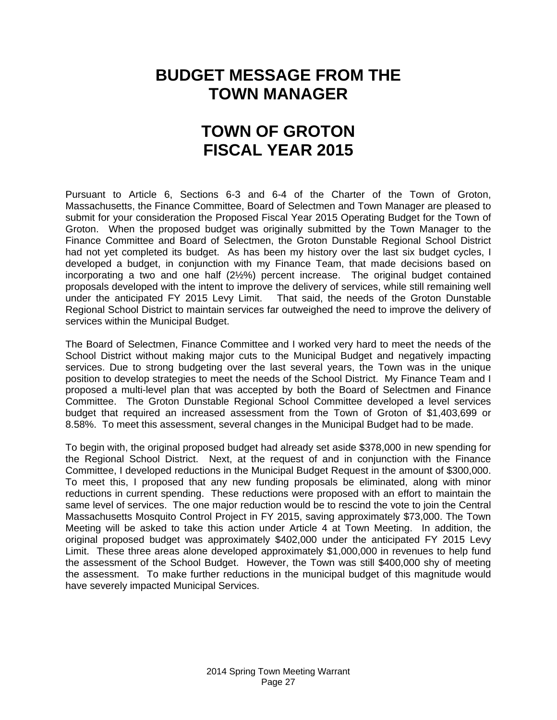## **BUDGET MESSAGE FROM THE TOWN MANAGER**

## **TOWN OF GROTON FISCAL YEAR 2015**

Pursuant to Article 6, Sections 6-3 and 6-4 of the Charter of the Town of Groton, Massachusetts, the Finance Committee, Board of Selectmen and Town Manager are pleased to submit for your consideration the Proposed Fiscal Year 2015 Operating Budget for the Town of Groton. When the proposed budget was originally submitted by the Town Manager to the Finance Committee and Board of Selectmen, the Groton Dunstable Regional School District had not yet completed its budget. As has been my history over the last six budget cycles, I developed a budget, in conjunction with my Finance Team, that made decisions based on incorporating a two and one half (2½%) percent increase. The original budget contained proposals developed with the intent to improve the delivery of services, while still remaining well under the anticipated FY 2015 Levy Limit. That said, the needs of the Groton Dunstable Regional School District to maintain services far outweighed the need to improve the delivery of services within the Municipal Budget.

The Board of Selectmen, Finance Committee and I worked very hard to meet the needs of the School District without making major cuts to the Municipal Budget and negatively impacting services. Due to strong budgeting over the last several years, the Town was in the unique position to develop strategies to meet the needs of the School District. My Finance Team and I proposed a multi-level plan that was accepted by both the Board of Selectmen and Finance Committee. The Groton Dunstable Regional School Committee developed a level services budget that required an increased assessment from the Town of Groton of \$1,403,699 or 8.58%. To meet this assessment, several changes in the Municipal Budget had to be made.

To begin with, the original proposed budget had already set aside \$378,000 in new spending for the Regional School District. Next, at the request of and in conjunction with the Finance Committee, I developed reductions in the Municipal Budget Request in the amount of \$300,000. To meet this, I proposed that any new funding proposals be eliminated, along with minor reductions in current spending. These reductions were proposed with an effort to maintain the same level of services. The one major reduction would be to rescind the vote to join the Central Massachusetts Mosquito Control Project in FY 2015, saving approximately \$73,000. The Town Meeting will be asked to take this action under Article 4 at Town Meeting. In addition, the original proposed budget was approximately \$402,000 under the anticipated FY 2015 Levy Limit. These three areas alone developed approximately \$1,000,000 in revenues to help fund the assessment of the School Budget. However, the Town was still \$400,000 shy of meeting the assessment. To make further reductions in the municipal budget of this magnitude would have severely impacted Municipal Services.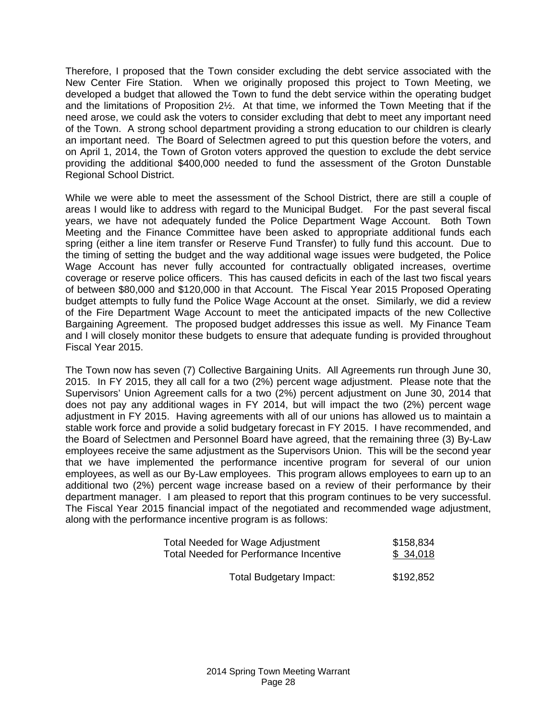Therefore, I proposed that the Town consider excluding the debt service associated with the New Center Fire Station. When we originally proposed this project to Town Meeting, we developed a budget that allowed the Town to fund the debt service within the operating budget and the limitations of Proposition 2½. At that time, we informed the Town Meeting that if the need arose, we could ask the voters to consider excluding that debt to meet any important need of the Town. A strong school department providing a strong education to our children is clearly an important need. The Board of Selectmen agreed to put this question before the voters, and on April 1, 2014, the Town of Groton voters approved the question to exclude the debt service providing the additional \$400,000 needed to fund the assessment of the Groton Dunstable Regional School District.

While we were able to meet the assessment of the School District, there are still a couple of areas I would like to address with regard to the Municipal Budget. For the past several fiscal years, we have not adequately funded the Police Department Wage Account. Both Town Meeting and the Finance Committee have been asked to appropriate additional funds each spring (either a line item transfer or Reserve Fund Transfer) to fully fund this account. Due to the timing of setting the budget and the way additional wage issues were budgeted, the Police Wage Account has never fully accounted for contractually obligated increases, overtime coverage or reserve police officers. This has caused deficits in each of the last two fiscal years of between \$80,000 and \$120,000 in that Account. The Fiscal Year 2015 Proposed Operating budget attempts to fully fund the Police Wage Account at the onset. Similarly, we did a review of the Fire Department Wage Account to meet the anticipated impacts of the new Collective Bargaining Agreement. The proposed budget addresses this issue as well. My Finance Team and I will closely monitor these budgets to ensure that adequate funding is provided throughout Fiscal Year 2015.

The Town now has seven (7) Collective Bargaining Units. All Agreements run through June 30, 2015. In FY 2015, they all call for a two (2%) percent wage adjustment. Please note that the Supervisors' Union Agreement calls for a two (2%) percent adjustment on June 30, 2014 that does not pay any additional wages in FY 2014, but will impact the two (2%) percent wage adjustment in FY 2015. Having agreements with all of our unions has allowed us to maintain a stable work force and provide a solid budgetary forecast in FY 2015. I have recommended, and the Board of Selectmen and Personnel Board have agreed, that the remaining three (3) By-Law employees receive the same adjustment as the Supervisors Union. This will be the second year that we have implemented the performance incentive program for several of our union employees, as well as our By-Law employees. This program allows employees to earn up to an additional two (2%) percent wage increase based on a review of their performance by their department manager. I am pleased to report that this program continues to be very successful. The Fiscal Year 2015 financial impact of the negotiated and recommended wage adjustment, along with the performance incentive program is as follows:

| Total Needed for Wage Adjustment       | \$158,834 |
|----------------------------------------|-----------|
| Total Needed for Performance Incentive | \$34,018  |
| <b>Total Budgetary Impact:</b>         | \$192,852 |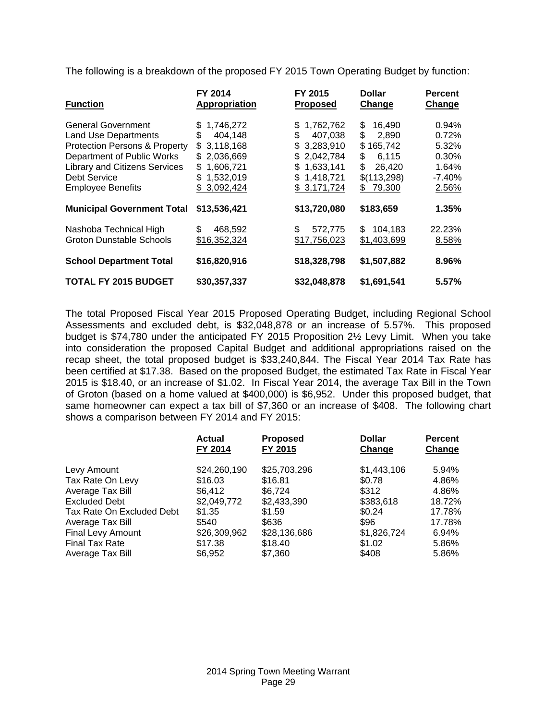The following is a breakdown of the proposed FY 2015 Town Operating Budget by function:

| <b>Function</b>                                                                                                | FY 2014<br>Appropriation                                          | FY 2015<br>Proposed                                      | <b>Dollar</b><br>Change                                    | <b>Percent</b><br>Change            |
|----------------------------------------------------------------------------------------------------------------|-------------------------------------------------------------------|----------------------------------------------------------|------------------------------------------------------------|-------------------------------------|
| <b>General Government</b><br><b>Land Use Departments</b><br><b>Protection Persons &amp; Property</b>           | 1,746,272<br>\$.<br>404,148<br>S<br>\$3,118,168                   | 1,762,762<br>\$<br>407,038<br>\$<br>\$<br>3,283,910      | 16,490<br>\$<br>\$<br>2,890<br>\$165,742                   | 0.94%<br>0.72%<br>5.32%             |
| Department of Public Works<br><b>Library and Citizens Services</b><br>Debt Service<br><b>Employee Benefits</b> | \$2,036,669<br>1,606,721<br>\$<br>1,532,019<br>\$.<br>\$3,092,424 | \$2,042,784<br>\$1,633,141<br>\$1,418,721<br>\$3,171,724 | 6,115<br>\$<br>\$<br>26,420<br>\$(113,298)<br>79,300<br>S. | 0.30%<br>1.64%<br>$-7.40%$<br>2.56% |
| <b>Municipal Government Total</b>                                                                              | \$13,536,421                                                      | \$13,720,080                                             | \$183,659                                                  | 1.35%                               |
| Nashoba Technical High<br><b>Groton Dunstable Schools</b>                                                      | \$<br>468,592<br>\$16,352,324                                     | \$<br>572,775<br>\$17,756,023                            | 104,183<br>\$<br>\$1,403,699                               | 22.23%<br>8.58%                     |
| <b>School Department Total</b>                                                                                 | \$16,820,916                                                      | \$18,328,798                                             | \$1,507,882                                                | 8.96%                               |
| <b>TOTAL FY 2015 BUDGET</b>                                                                                    | \$30,357,337                                                      | \$32,048,878                                             | \$1,691,541                                                | 5.57%                               |

The total Proposed Fiscal Year 2015 Proposed Operating Budget, including Regional School Assessments and excluded debt, is \$32,048,878 or an increase of 5.57%. This proposed budget is \$74,780 under the anticipated FY 2015 Proposition 2½ Levy Limit. When you take into consideration the proposed Capital Budget and additional appropriations raised on the recap sheet, the total proposed budget is \$33,240,844. The Fiscal Year 2014 Tax Rate has been certified at \$17.38. Based on the proposed Budget, the estimated Tax Rate in Fiscal Year 2015 is \$18.40, or an increase of \$1.02. In Fiscal Year 2014, the average Tax Bill in the Town of Groton (based on a home valued at \$400,000) is \$6,952. Under this proposed budget, that same homeowner can expect a tax bill of \$7,360 or an increase of \$408. The following chart shows a comparison between FY 2014 and FY 2015:

|                           | <b>Actual</b><br>FY 2014 | <b>Proposed</b><br>FY 2015 | <b>Dollar</b><br>Change | <b>Percent</b><br>Change |
|---------------------------|--------------------------|----------------------------|-------------------------|--------------------------|
| Levy Amount               | \$24,260,190             | \$25,703,296               | \$1,443,106             | 5.94%                    |
| Tax Rate On Levy          | \$16.03                  | \$16.81                    | \$0.78                  | 4.86%                    |
| Average Tax Bill          | \$6,412                  | \$6,724                    | \$312                   | 4.86%                    |
| <b>Excluded Debt</b>      | \$2,049,772              | \$2,433,390                | \$383,618               | 18.72%                   |
| Tax Rate On Excluded Debt | \$1.35                   | \$1.59                     | \$0.24                  | 17.78%                   |
| Average Tax Bill          | \$540                    | \$636                      | \$96                    | 17.78%                   |
| <b>Final Levy Amount</b>  | \$26,309,962             | \$28,136,686               | \$1,826,724             | 6.94%                    |
| <b>Final Tax Rate</b>     | \$17.38                  | \$18.40                    | \$1.02                  | 5.86%                    |
| Average Tax Bill          | \$6.952                  | \$7,360                    | \$408                   | 5.86%                    |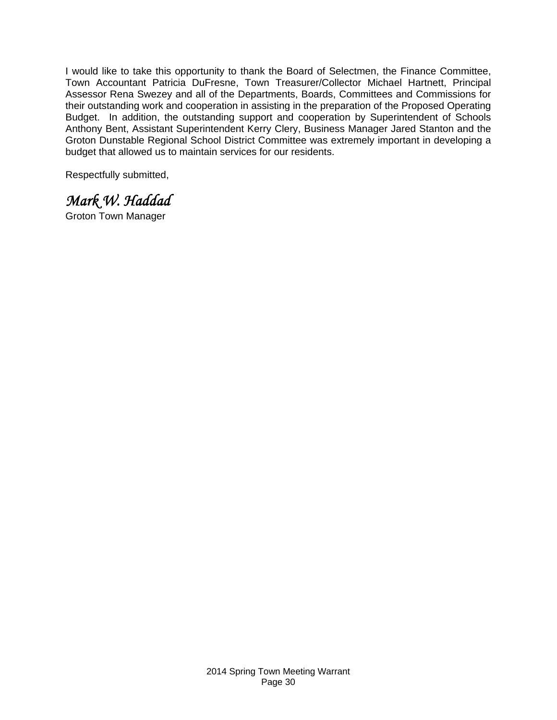I would like to take this opportunity to thank the Board of Selectmen, the Finance Committee, Town Accountant Patricia DuFresne, Town Treasurer/Collector Michael Hartnett, Principal Assessor Rena Swezey and all of the Departments, Boards, Committees and Commissions for their outstanding work and cooperation in assisting in the preparation of the Proposed Operating Budget. In addition, the outstanding support and cooperation by Superintendent of Schools Anthony Bent, Assistant Superintendent Kerry Clery, Business Manager Jared Stanton and the Groton Dunstable Regional School District Committee was extremely important in developing a budget that allowed us to maintain services for our residents.

Respectfully submitted,

### *Mark W. Haddad*

Groton Town Manager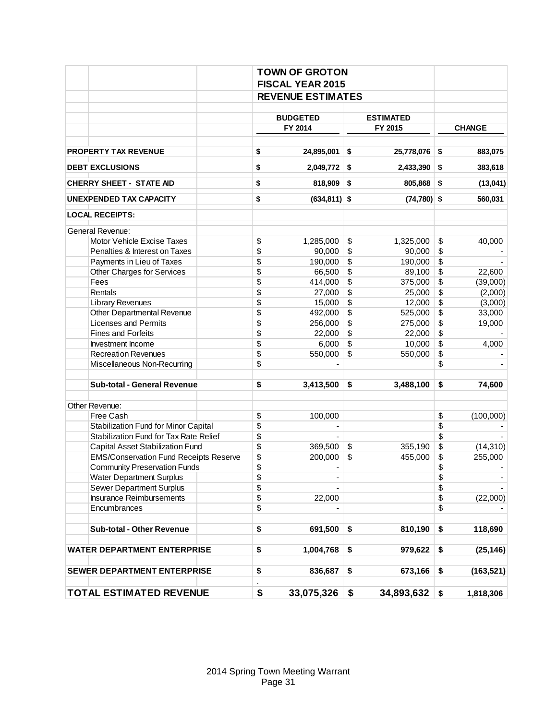|                                                           | <b>TOWN OF GROTON</b><br><b>FISCAL YEAR 2015</b> |                         |                  |                          |               |
|-----------------------------------------------------------|--------------------------------------------------|-------------------------|------------------|--------------------------|---------------|
|                                                           | <b>REVENUE ESTIMATES</b>                         |                         |                  |                          |               |
|                                                           |                                                  |                         |                  |                          |               |
|                                                           | <b>BUDGETED</b>                                  |                         | <b>ESTIMATED</b> |                          |               |
|                                                           | FY 2014                                          |                         | FY 2015          |                          | <b>CHANGE</b> |
|                                                           |                                                  |                         |                  |                          |               |
| <b>PROPERTY TAX REVENUE</b>                               | \$<br>24,895,001                                 | \$                      | 25,778,076       | -\$                      | 883,075       |
| <b>DEBT EXCLUSIONS</b>                                    | \$<br>$2,049,772$ \$                             |                         | 2,433,390        | S.                       | 383,618       |
| <b>CHERRY SHEET - STATE AID</b>                           | \$<br>818,909                                    | \$                      | 805,868          | -\$                      | (13,041)      |
| <b>UNEXPENDED TAX CAPACITY</b>                            | \$<br>$(634, 811)$ \$                            |                         | $(74, 780)$ \$   |                          | 560,031       |
| <b>LOCAL RECEIPTS:</b>                                    |                                                  |                         |                  |                          |               |
| General Revenue:                                          |                                                  |                         |                  |                          |               |
| Motor Vehicle Excise Taxes                                | \$<br>1,285,000                                  | \$                      | 1,325,000        | \$                       | 40,000        |
| Penalties & Interest on Taxes                             | \$<br>90,000                                     | \$                      | 90,000           | \$                       |               |
| Payments in Lieu of Taxes                                 | \$<br>190,000                                    | \$                      | 190,000          | \$                       |               |
| Other Charges for Services                                | \$<br>66,500                                     | \$                      | 89,100           | \$                       | 22,600        |
| Fees                                                      | \$<br>414,000                                    | \$                      | 375,000          | \$                       | (39,000)      |
| Rentals                                                   | \$<br>27,000                                     | \$                      | 25,000           | \$                       | (2,000)       |
| <b>Library Revenues</b>                                   | \$<br>15,000                                     | \$                      | 12,000           | \$                       | (3,000)       |
| Other Departmental Revenue                                | \$<br>492,000                                    | \$                      | 525,000          | \$                       | 33,000        |
| <b>Licenses and Permits</b>                               | \$<br>256,000                                    | \$                      | 275,000          | $\overline{\mathcal{L}}$ | 19,000        |
| <b>Fines and Forfeits</b>                                 | \$<br>22,000                                     | \$                      | 22,000           | \$                       |               |
| Investment Income                                         | \$                                               | \$                      |                  |                          |               |
|                                                           | \$<br>6,000                                      | $\sqrt[6]{\frac{1}{2}}$ | 10,000           | \$<br>\$                 | 4,000         |
| <b>Recreation Revenues</b><br>Miscellaneous Non-Recurring | \$<br>550,000                                    |                         | 550,000          | \$                       |               |
|                                                           |                                                  |                         |                  |                          |               |
| Sub-total - General Revenue                               | \$<br>3,413,500                                  | \$                      | 3,488,100        | \$                       | 74,600        |
| Other Revenue:                                            |                                                  |                         |                  |                          |               |
| Free Cash                                                 | \$<br>100,000                                    |                         |                  | \$                       | (100,000)     |
| Stabilization Fund for Minor Capital                      | \$                                               |                         |                  | \$                       |               |
| Stabilization Fund for Tax Rate Relief                    | \$                                               |                         |                  | \$                       |               |
| <b>Capital Asset Stabilization Fund</b>                   | \$<br>369,500                                    | \$                      | 355,190          | \$                       | (14, 310)     |
| <b>EMS/Conservation Fund Receipts Reserve</b>             | \$<br>200,000                                    | \$                      | 455,000          | \$                       | 255,000       |
| <b>Community Preservation Funds</b>                       | \$                                               |                         |                  | \$                       |               |
| <b>Water Department Surplus</b>                           | \$                                               |                         |                  | \$                       |               |
| <b>Sewer Department Surplus</b>                           | \$                                               |                         |                  | \$                       |               |
| Insurance Reimbursements                                  | \$<br>22,000                                     |                         |                  | \$                       | (22,000)      |
| Encumbrances                                              | \$                                               |                         |                  | \$                       |               |
| <b>Sub-total - Other Revenue</b>                          | \$<br>691,500                                    | \$                      | 810,190          | \$                       | 118,690       |
|                                                           |                                                  |                         |                  |                          |               |
| <b>WATER DEPARTMENT ENTERPRISE</b>                        | \$<br>1,004,768                                  | \$                      | 979,622          | \$                       | (25, 146)     |
| <b>SEWER DEPARTMENT ENTERPRISE</b>                        | \$<br>836,687                                    | \$                      | 673,166          | \$                       | (163, 521)    |
| <b>TOTAL ESTIMATED REVENUE</b>                            | \$<br>33,075,326                                 | \$                      | 34,893,632       | \$                       | 1,818,306     |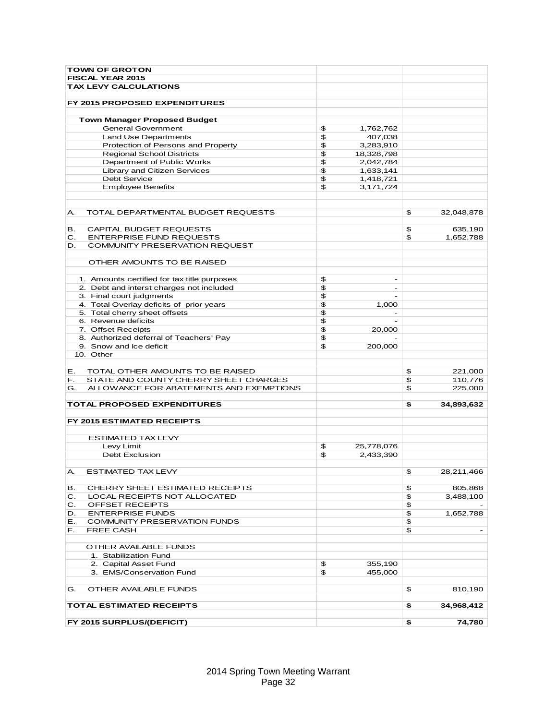| <b>TOWN OF GROTON</b><br>FISCAL YEAR 2015<br>TAX LEVY CALCULATIONS |          |                          |                           |            |
|--------------------------------------------------------------------|----------|--------------------------|---------------------------|------------|
|                                                                    |          |                          |                           |            |
| <b>FY 2015 PROPOSED EXPENDITURES</b>                               |          |                          |                           |            |
|                                                                    |          |                          |                           |            |
| <b>Town Manager Proposed Budget</b>                                |          |                          |                           |            |
| <b>General Government</b>                                          | \$       | 1,762,762                |                           |            |
| <b>Land Use Departments</b>                                        | \$       | 407,038                  |                           |            |
| Protection of Persons and Property                                 | \$       | 3,283,910                |                           |            |
| <b>Regional School Districts</b>                                   | \$       | 18,328,798               |                           |            |
| Department of Public Works                                         | \$       | 2,042,784                |                           |            |
| Library and Citizen Services                                       | \$       | 1,633,141                |                           |            |
| <b>Debt Service</b>                                                | \$       | 1,418,721                |                           |            |
| <b>Employee Benefits</b>                                           | \$       | 3,171,724                |                           |            |
|                                                                    |          |                          |                           |            |
| TOTAL DEPARTMENTAL BUDGET REQUESTS<br>Α.                           |          |                          | \$                        | 32,048,878 |
| CAPITAL BUDGET REQUESTS<br>В.                                      |          |                          | \$                        | 635,190    |
| <b>ENTERPRISE FUND REQUESTS</b><br>С.                              |          |                          | \$                        | 1,652,788  |
| D.<br>COMMUNITY PRESERVATION REQUEST                               |          |                          |                           |            |
|                                                                    |          |                          |                           |            |
| OTHER AMOUNTS TO BE RAISED                                         |          |                          |                           |            |
| 1. Amounts certified for tax title purposes                        | \$       |                          |                           |            |
| 2. Debt and interst charges not included                           | \$       | $\overline{\phantom{a}}$ |                           |            |
| 3. Final court judgments                                           | \$       |                          |                           |            |
| 4. Total Overlay deficits of prior years                           | \$       | 1,000                    |                           |            |
| 5. Total cherry sheet offsets                                      | \$       |                          |                           |            |
| 6. Revenue deficits                                                | \$       |                          |                           |            |
| 7. Offset Receipts                                                 | \$       | 20,000                   |                           |            |
| 8. Authorized deferral of Teachers' Pay                            | \$       |                          |                           |            |
| 9. Snow and Ice deficit                                            | \$       | 200,000                  |                           |            |
| 10. Other                                                          |          |                          |                           |            |
|                                                                    |          |                          |                           |            |
| TOTAL OTHER AMOUNTS TO BE RAISED<br>Е.                             |          |                          | \$                        | 221,000    |
| STATE AND COUNTY CHERRY SHEET CHARGES<br>F.                        |          |                          | \$                        | 110,776    |
| ALLOWANCE FOR ABATEMENTS AND EXEMPTIONS<br>G.                      |          |                          | \$                        | 225,000    |
|                                                                    |          |                          |                           |            |
| TOTAL PROPOSED EXPENDITURES                                        |          |                          | \$                        | 34,893,632 |
|                                                                    |          |                          |                           |            |
| FY 2015 ESTIMATED RECEIPTS                                         |          |                          |                           |            |
|                                                                    |          |                          |                           |            |
| <b>ESTIMATED TAX LEVY</b><br>Levy Limit                            |          |                          |                           |            |
| <b>Debt Exclusion</b>                                              | \$<br>\$ | 25,778,076               |                           |            |
|                                                                    |          | 2,433,390                |                           |            |
| ESTIMATED TAX LEVY                                                 |          |                          | \$                        | 28,211,466 |
| Α.                                                                 |          |                          |                           |            |
| CHERRY SHEET ESTIMATED RECEIPTS<br>В.                              |          |                          | \$                        | 805,868    |
| LOCAL RECEIPTS NOT ALLOCATED<br>C.                                 |          |                          | $\overline{\mathfrak{s}}$ | 3,488,100  |
| С.<br>OFFSET RECEIPTS                                              |          |                          | $\overline{\mathfrak{s}}$ |            |
| <b>ENTERPRISE FUNDS</b><br>D.                                      |          |                          | $\overline{\mathfrak{s}}$ | 1,652,788  |
| Ε.<br>COMMUNITY PRESERVATION FUNDS                                 |          |                          | \$                        |            |
| FREE CASH<br>F.                                                    |          |                          | \$                        |            |
|                                                                    |          |                          |                           |            |
| OTHER AVAILABLE FUNDS                                              |          |                          |                           |            |
| 1. Stabilization Fund                                              |          |                          |                           |            |
| 2. Capital Asset Fund                                              | \$       | 355,190                  |                           |            |
| 3. EMS/Conservation Fund                                           | \$       | 455,000                  |                           |            |
|                                                                    |          |                          |                           |            |
| OTHER AVAILABLE FUNDS<br>G.                                        |          |                          | \$                        | 810,190    |
|                                                                    |          |                          |                           |            |
| TOTAL ESTIMATED RECEIPTS                                           |          |                          | \$                        | 34,968,412 |
|                                                                    |          |                          |                           |            |
| FY 2015 SURPLUS/(DEFICIT)                                          |          |                          | \$                        | 74,780     |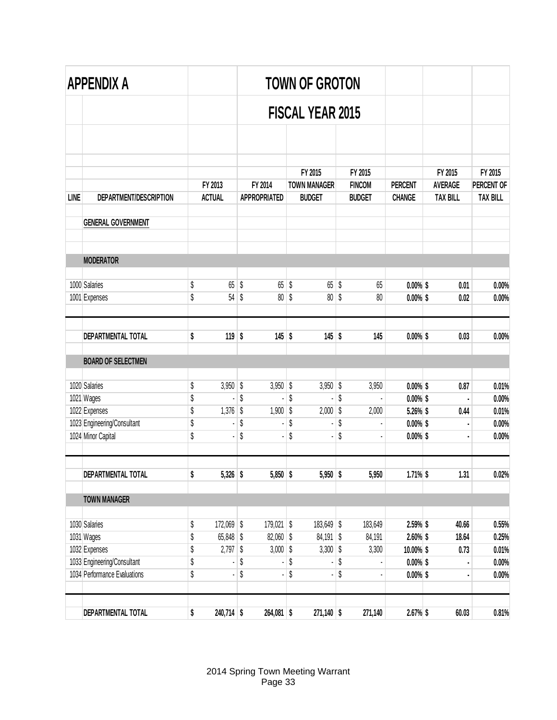|             | APPENDIX A                   |                          |                                | <b>TOWN OF GROTON</b>                |                                |                                 |                                   |                               |
|-------------|------------------------------|--------------------------|--------------------------------|--------------------------------------|--------------------------------|---------------------------------|-----------------------------------|-------------------------------|
|             |                              |                          |                                | <b>FISCAL YEAR 2015</b>              |                                |                                 |                                   |                               |
|             |                              |                          |                                |                                      |                                |                                 |                                   |                               |
|             |                              |                          |                                | FY 2015                              | FY 2015                        |                                 | FY 2015                           | FY 2015                       |
| <b>LINE</b> | DEPARTMENT/DESCRIPTION       | FY 2013<br><b>ACTUAL</b> | FY 2014<br><b>APPROPRIATED</b> | <b>TOWN MANAGER</b><br><b>BUDGET</b> | <b>FINCOM</b><br><b>BUDGET</b> | <b>PERCENT</b><br><b>CHANGE</b> | <b>AVERAGE</b><br><b>TAX BILL</b> | PERCENT OF<br><b>TAX BILL</b> |
|             | <b>GENERAL GOVERNMENT</b>    |                          |                                |                                      |                                |                                 |                                   |                               |
|             | <b>MODERATOR</b>             |                          |                                |                                      |                                |                                 |                                   |                               |
|             |                              |                          |                                |                                      |                                |                                 |                                   |                               |
|             | 1000 Salaries                | \$<br>65                 | \$<br>65                       | \$<br>65                             | \$<br>65                       | $0.00\%$ \$                     | 0.01                              | 0.00%                         |
|             | 1001 Expenses                | \$<br>54                 | \$<br>80                       | \$<br>80 <sup>°</sup>                | \$<br>80                       | $0.00\%$ \$                     | 0.02                              | 0.00%                         |
|             | DEPARTMENTAL TOTAL           | \$<br>$119$ \$           | $145$ \$                       | $145$ \$                             | 145                            | $0.00\%$ \$                     | 0.03                              | 0.00%                         |
|             | <b>BOARD OF SELECTMEN</b>    |                          |                                |                                      |                                |                                 |                                   |                               |
|             | 1020 Salaries                | \$<br>3,950              | \$<br>3,950                    | \$<br>$3,950$ \$                     | 3,950                          | $0.00\%$ \$                     | 0.87                              | 0.01%                         |
|             | 1021 Wages                   | \$                       | \$                             | \$                                   | \$                             | $0.00\%$ \$                     |                                   | 0.00%                         |
|             | 1022 Expenses                | \$<br>1,376              | \$<br>1,900                    | \$<br>2,000                          | \$<br>2,000                    | 5.26% \$                        | 0.44                              | 0.01%                         |
|             | 1023 Engineering/Consultant  | \$                       | \$                             | \$                                   | \$                             | $0.00\%$ \$                     |                                   | 0.00%                         |
|             | 1024 Minor Capital           | \$                       | \$                             | \$                                   | \$                             | $0.00\%$ \$                     |                                   | 0.00%                         |
|             | DEPARTMENTAL TOTAL           | \$<br>$5,326$ \$         | $5,850$ \$                     | $5,950$ \$                           | 5,950                          | 1.71% \$                        | 1.31                              | 0.02%                         |
|             | <b>TOWN MANAGER</b>          |                          |                                |                                      |                                |                                 |                                   |                               |
|             | 1030 Salaries                | \$<br>172,069 \$         | $179,021$ \$                   | 183,649 \$                           | 183,649                        | 2.59% \$                        | 40.66                             | 0.55%                         |
|             | 1031 Wages                   | \$<br>65,848 \$          | 82,060 \$                      | 84,191 \$                            | 84,191                         | 2.60% \$                        | 18.64                             | 0.25%                         |
|             | 1032 Expenses                | \$<br>$2,797$ \$         | 3,000                          | \$<br>$3,300$ \$                     | 3,300                          | 10.00% \$                       | 0.73                              | 0.01%                         |
|             | 1033 Engineering/Consultant  | \$                       | \$                             | \$                                   | \$                             | $0.00\%$ \$                     |                                   | 0.00%                         |
|             | 1034 Performance Evaluations | \$<br>ä,                 | \$                             | \$                                   | \$                             | $0.00\%$ \$                     |                                   | 0.00%                         |
|             | DEPARTMENTAL TOTAL           | \$<br>240,714 \$         | $264,081$ \$                   | $271,140$ \$                         | 271,140                        | 2.67% \$                        | 60.03                             | 0.81%                         |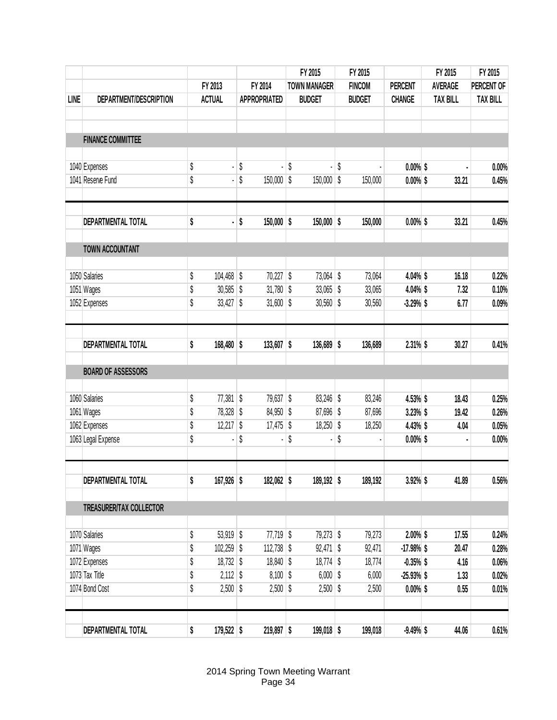|             |                           |                    |            |                     | FY 2015 |                     |    | FY 2015       |                | FY 2015 |                 | FY 2015         |  |
|-------------|---------------------------|--------------------|------------|---------------------|---------|---------------------|----|---------------|----------------|---------|-----------------|-----------------|--|
|             |                           | FY 2013            |            | FY 2014             |         | <b>TOWN MANAGER</b> |    | <b>FINCOM</b> | <b>PERCENT</b> |         | <b>AVERAGE</b>  | PERCENT OF      |  |
| <b>LINE</b> | DEPARTMENT/DESCRIPTION    | <b>ACTUAL</b>      |            | <b>APPROPRIATED</b> |         | <b>BUDGET</b>       |    | <b>BUDGET</b> | <b>CHANGE</b>  |         | <b>TAX BILL</b> | <b>TAX BILL</b> |  |
|             | <b>FINANCE COMMITTEE</b>  |                    |            |                     |         |                     |    |               |                |         |                 |                 |  |
|             | 1040 Expenses             | \$                 |            | \$<br>l,            | \$      |                     | \$ |               | $0.00\%$ \$    |         |                 | 0.00%           |  |
|             | 1041 Reserve Fund         | \$                 |            | \$<br>$150,000$ \$  |         | $150,000$ \$        |    | 150,000       | $0.00\%$ \$    |         | 33.21           | 0.45%           |  |
|             | DEPARTMENTAL TOTAL        | \$                 |            | \$<br>$150,000$ \$  |         | $150,000$ \$        |    | 150,000       | $0.00\%$ \$    |         | 33.21           | 0.45%           |  |
|             | <b>TOWN ACCOUNTANT</b>    |                    |            |                     |         |                     |    |               |                |         |                 |                 |  |
|             | 1050 Salaries             | \$<br>$104,468$ \$ |            | $70,227$ \$         |         | $73,064$ \$         |    | 73,064        | 4.04% \$       |         | 16.18           | 0.22%           |  |
|             | 1051 Wages                | \$<br>$30,585$ \$  |            | $31,780$ \$         |         | 33,065              | \$ | 33,065        | 4.04% \$       |         | 7.32            | 0.10%           |  |
|             | 1052 Expenses             | \$<br>$33,427$ \$  |            | $31,600$ \$         |         | $30,560$ \$         |    | 30,560        | $-3.29%$ \$    |         | 6.77            | 0.09%           |  |
|             | DEPARTMENTAL TOTAL        | \$<br>168,480 \$   |            | $133,607$ \$        |         | $136,689$ \$        |    | 136,689       | $2.31\%$ \$    |         | 30.27           | 0.41%           |  |
|             | <b>BOARD OF ASSESSORS</b> |                    |            |                     |         |                     |    |               |                |         |                 |                 |  |
|             | 1060 Salaries             | \$<br>$77,381$ \$  |            | $79,637$ \$         |         | $83,246$ \$         |    | 83,246        | 4.53% \$       |         | 18.43           | 0.25%           |  |
|             | 1061 Wages                | \$<br>78,328 \$    |            | 84,950 \$           |         | 87,696              | \$ | 87,696        | $3.23\%$ \$    |         | 19.42           | 0.26%           |  |
|             | 1062 Expenses             | \$<br>12,217       |            | \$<br>$17,475$ \$   |         | 18,250              | \$ | 18,250        | 4.43% \$       |         | 4.04            | 0.05%           |  |
|             | 1063 Legal Expense        | \$                 |            | \$                  | \$      |                     | \$ |               | $0.00\%$ \$    |         |                 | 0.00%           |  |
|             | <b>DEPARTMENTAL TOTAL</b> | \$<br>$167,926$ \$ |            | 182,062 \$          |         | 189,192 \$          |    | 189,192       | 3.92% \$       |         | 41.89           | 0.56%           |  |
|             | TREASURER/TAX COLLECTOR   |                    |            |                     |         |                     |    |               |                |         |                 |                 |  |
|             |                           |                    |            |                     |         |                     |    |               |                |         |                 |                 |  |
|             | 1070 Salaries             | \$<br>$53,919$ \$  |            | $77,719$ \$         |         | $79,273$ \$         |    | 79,273        | $2.00\%$ \$    |         | 17.55           | 0.24%           |  |
|             | 1071 Wages                | \$<br>$102,259$ \$ |            | $112,738$ \$        |         | $92,471$ \$         |    | 92,471        | $-17.98\%$ \$  |         | 20.47           | 0.28%           |  |
|             | 1072 Expenses             | \$<br>$18,732$ \$  |            | $18,840$ \$         |         | $18,774$ \$         |    | 18,774        | $-0.35%$ \$    |         | 4.16            | 0.06%           |  |
|             | 1073 Tax Title            | \$                 | $2,112$ \$ | $8,100$ \$          |         | $6,000$ \$          |    | 6,000         | $-25.93%$ \$   |         | 1.33            | 0.02%           |  |
|             | 1074 Bond Cost            | \$                 | $2,500$ \$ | $2,500$ \$          |         | $2,500$ \$          |    | 2,500         | $0.00\%$ \$    |         | 0.55            | 0.01%           |  |
|             | DEPARTMENTAL TOTAL        | \$<br>$179,522$ \$ |            | $219,897$ \$        |         | $199,018$ \$        |    | 199,018       | $-9.49%$ \$    |         | 44.06           | 0.61%           |  |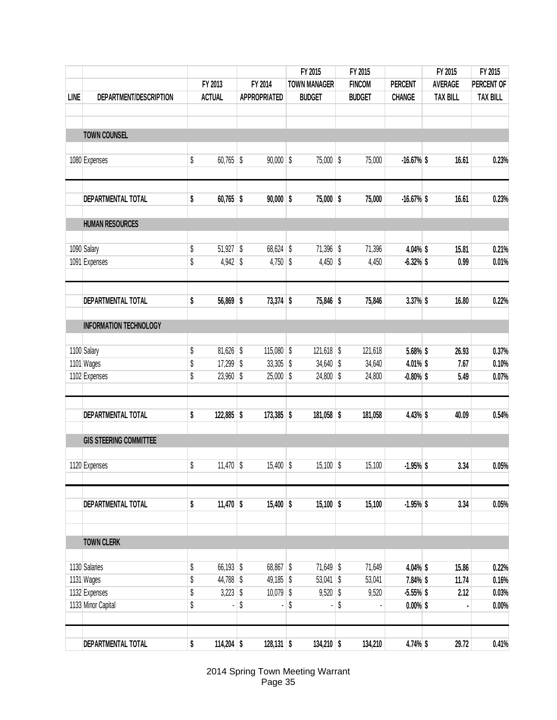|             |                               |                    |    |                     | FY 2015 |                     | FY 2015 |               |                | FY 2015         |                | FY 2015         |  |
|-------------|-------------------------------|--------------------|----|---------------------|---------|---------------------|---------|---------------|----------------|-----------------|----------------|-----------------|--|
|             |                               | FY 2013            |    | FY 2014             |         | <b>TOWN MANAGER</b> |         | <b>FINCOM</b> | <b>PERCENT</b> |                 | <b>AVERAGE</b> | PERCENT OF      |  |
| <b>LINE</b> | DEPARTMENT/DESCRIPTION        | <b>ACTUAL</b>      |    | <b>APPROPRIATED</b> |         | <b>BUDGET</b>       |         | <b>BUDGET</b> | <b>CHANGE</b>  | <b>TAX BILL</b> |                | <b>TAX BILL</b> |  |
|             | <b>TOWN COUNSEL</b>           |                    |    |                     |         |                     |         |               |                |                 |                |                 |  |
|             | 1080 Expenses                 | \$<br>$60,765$ \$  |    | $90,000$ \$         |         | 75,000 \$           |         | 75,000        | $-16.67%$ \$   |                 | 16.61          | 0.23%           |  |
|             | DEPARTMENTAL TOTAL            | \$<br>$60,765$ \$  |    | $90,000$ \$         |         | 75,000 \$           |         | 75,000        | $-16.67%$ \$   |                 | 16.61          | 0.23%           |  |
|             | <b>HUMAN RESOURCES</b>        |                    |    |                     |         |                     |         |               |                |                 |                |                 |  |
|             | 1090 Salary                   | \$<br>$51,927$ \$  |    | 68,624 \$           |         | 71,396 \$           |         | 71,396        | 4.04% \$       |                 | 15.81          | 0.21%           |  |
|             | 1091 Expenses                 | \$<br>$4,942$ \$   |    | $4,750$ \$          |         | $4,450$ \$          |         | 4,450         | $-6.32%$ \$    |                 | 0.99           | 0.01%           |  |
|             | DEPARTMENTAL TOTAL            | \$<br>56,869 \$    |    | $73,374$ \$         |         | 75,846 \$           |         | 75,846        | $3.37\%$ \$    |                 | 16.80          | 0.22%           |  |
|             | <b>INFORMATION TECHNOLOGY</b> |                    |    |                     |         |                     |         |               |                |                 |                |                 |  |
|             | 1100 Salary                   | \$<br>$81,626$ \$  |    | $115,080$ \$        |         | $121,618$ \$        |         | 121,618       | 5.68% \$       |                 | 26.93          | 0.37%           |  |
|             | 1101 Wages                    | \$<br>17,299 \$    |    | $33,305$ \$         |         | 34,640 \$           |         | 34,640        | 4.01% \$       |                 | 7.67           | 0.10%           |  |
|             | 1102 Expenses                 | \$<br>23,960 \$    |    | $25,000$ \$         |         | 24,800 \$           |         | 24,800        | $-0.80\%$ \$   |                 | 5.49           | 0.07%           |  |
|             | DEPARTMENTAL TOTAL            | \$<br>122,885 \$   |    | $173,385$ \$        |         | $181,058$ \$        |         | 181,058       | 4.43% \$       |                 | 40.09          | 0.54%           |  |
|             | <b>GIS STEERING COMMITTEE</b> |                    |    |                     |         |                     |         |               |                |                 |                |                 |  |
|             | 1120 Expenses                 | \$<br>$11,470$ \$  |    | $15,400$ \$         |         | $15,100$ \$         |         | 15,100        | $-1.95%$ \$    |                 | 3.34           | 0.05%           |  |
|             | DEPARTMENTAL TOTAL            | \$<br>$11,470$ \$  |    | $15,400$ \$         |         | $15,100$ \$         |         | 15,100        | $-1.95%$ \$    |                 | 3.34           | 0.05%           |  |
|             | <b>TOWN CLERK</b>             |                    |    |                     |         |                     |         |               |                |                 |                |                 |  |
|             | 1130 Salaries                 | \$<br>66,193 \$    |    | $68,867$ \$         |         | 71,649 \$           |         | 71,649        | 4.04% \$       |                 | 15.86          | 0.22%           |  |
|             | 1131 Wages                    | \$<br>44,788 \$    |    | 49,185 \$           |         | $53,041$ \$         |         | 53,041        | 7.84% \$       |                 | 11.74          | 0.16%           |  |
|             | 1132 Expenses                 | \$<br>$3,223$ \$   |    | 10,079 \$           |         | $9,520$ \$          |         | 9,520         | $-5.55%$ \$    |                 | 2.12           | 0.03%           |  |
|             | 1133 Minor Capital            | \$                 | \$ |                     | \$      |                     | \$      |               | $0.00\%$ \$    |                 |                | 0.00%           |  |
|             | DEPARTMENTAL TOTAL            | \$<br>$114,204$ \$ |    | $128,131$ \$        |         | $134,210$ \$        |         | 134,210       | 4.74% \$       |                 | 29.72          | 0.41%           |  |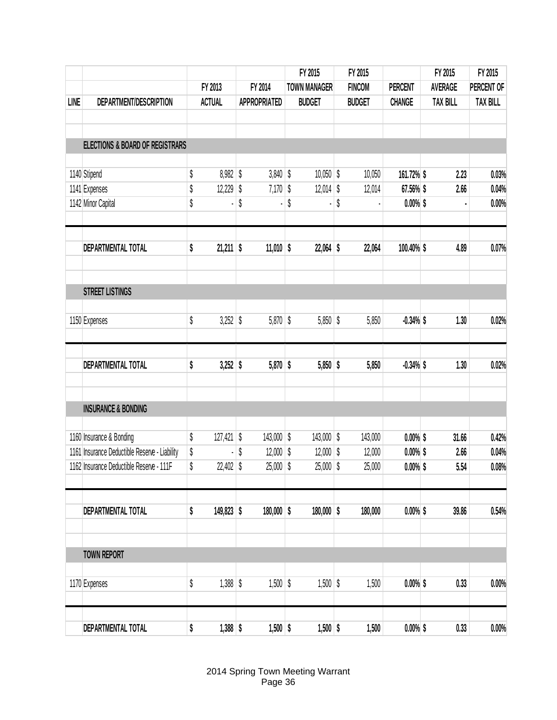|             |                                               |                    |                     |              | FY 2015       |                     | FY 2015 |               |                                 |  | FY 2015         | FY 2015         |  |
|-------------|-----------------------------------------------|--------------------|---------------------|--------------|---------------|---------------------|---------|---------------|---------------------------------|--|-----------------|-----------------|--|
|             | DEPARTMENT/DESCRIPTION                        | FY 2013            |                     | FY 2014      |               | <b>TOWN MANAGER</b> |         | <b>FINCOM</b> | <b>PERCENT</b><br><b>CHANGE</b> |  | <b>AVERAGE</b>  | PERCENT OF      |  |
| <b>LINE</b> |                                               | <b>ACTUAL</b>      | <b>APPROPRIATED</b> |              | <b>BUDGET</b> |                     |         | <b>BUDGET</b> |                                 |  | <b>TAX BILL</b> | <b>TAX BILL</b> |  |
|             |                                               |                    |                     |              |               |                     |         |               |                                 |  |                 |                 |  |
|             | ELECTIONS & BOARD OF REGISTRARS               |                    |                     |              |               |                     |         |               |                                 |  |                 |                 |  |
|             | 1140 Stipend                                  | \$<br>$8,982$ \$   |                     | $3,840$ \$   |               | $10,050$ \$         |         | 10,050        | 161.72% \$                      |  | 2.23            | 0.03%           |  |
|             | 1141 Expenses                                 | \$<br>$12,229$ \$  |                     | $7,170$ \$   |               | $12,014$ \$         |         | 12,014        | 67.56% \$                       |  | 2.66            | 0.04%           |  |
|             | 1142 Minor Capital                            | \$                 | \$                  |              | \$            |                     | \$      |               | $0.00\%$ \$                     |  |                 | 0.00%           |  |
|             |                                               |                    |                     |              |               |                     |         |               |                                 |  |                 |                 |  |
|             | DEPARTMENTAL TOTAL                            | \$<br>$21,211$ \$  |                     | $11,010$ \$  |               | $22,064$ \$         |         | 22,064        | 100.40% \$                      |  | 4.89            | 0.07%           |  |
|             |                                               |                    |                     |              |               |                     |         |               |                                 |  |                 |                 |  |
|             | <b>STREET LISTINGS</b>                        |                    |                     |              |               |                     |         |               |                                 |  |                 |                 |  |
|             | 1150 Expenses                                 | \$<br>$3,252$ \$   |                     | $5,870$ \$   |               | $5,850$ \$          |         | 5,850         | $-0.34\%$ \$                    |  | 1.30            | 0.02%           |  |
|             |                                               |                    |                     |              |               |                     |         |               |                                 |  |                 |                 |  |
|             | DEPARTMENTAL TOTAL                            | \$<br>$3,252$ \$   |                     | $5,870$ \$   |               | $5,850$ \$          |         | 5,850         | $-0.34\%$ \$                    |  | 1.30            | 0.02%           |  |
|             |                                               |                    |                     |              |               |                     |         |               |                                 |  |                 |                 |  |
|             | <b>INSURANCE &amp; BONDING</b>                |                    |                     |              |               |                     |         |               |                                 |  |                 |                 |  |
|             | 1160 Insurance & Bonding                      | \$<br>$127,421$ \$ |                     | $143,000$ \$ |               | 143,000 \$          |         | 143,000       | $0.00\%$ \$                     |  | 31.66           | 0.42%           |  |
|             | 1161 Insurance Deductible Reserve - Liability | \$                 | \$                  | $12,000$ \$  |               | $12,000$ \$         |         | 12,000        | $0.00\%$ \$                     |  | 2.66            | 0.04%           |  |
|             | 1162 Insurance Deductible Reserve - 111F      | \$<br>$22,402$ \$  |                     | $25,000$ \$  |               | $25,000$ \$         |         | 25,000        | $0.00\%$ \$                     |  | 5.54            | 0.08%           |  |
|             |                                               |                    |                     |              |               |                     |         |               |                                 |  |                 |                 |  |
|             | DEPARTMENTAL TOTAL                            | \$<br>$149,823$ \$ |                     | $180,000$ \$ |               | $180,000$ \$        |         | 180,000       | $0.00\%$ \$                     |  | 39.86           | 0.54%           |  |
|             | <b>TOWN REPORT</b>                            |                    |                     |              |               |                     |         |               |                                 |  |                 |                 |  |
|             | 1170 Expenses                                 | \$<br>$1,388$ \$   |                     | $1,500$ \$   |               | $1,500$ \$          |         | 1,500         | $0.00\%$ \$                     |  | 0.33            | 0.00%           |  |
|             |                                               |                    |                     |              |               |                     |         |               |                                 |  |                 |                 |  |
|             | DEPARTMENTAL TOTAL                            | \$<br>$1,388$ \$   |                     | $1,500$ \$   |               | $1,500$ \$          |         | 1,500         | $0.00\%$ \$                     |  | 0.33            | 0.00%           |  |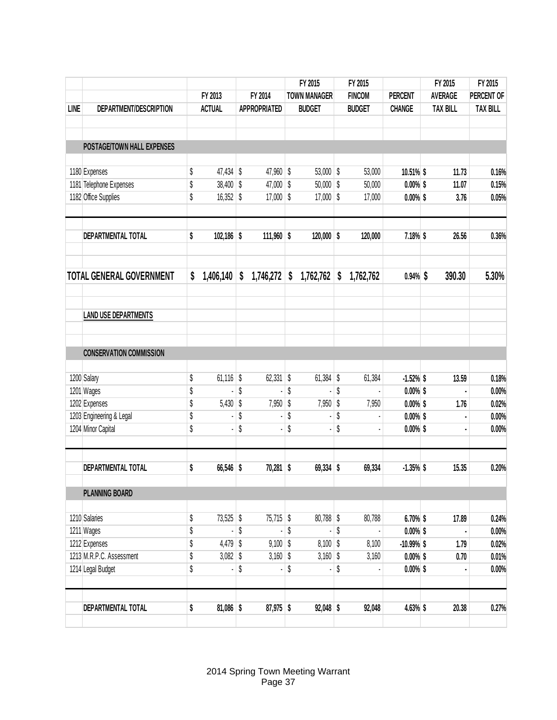|             |                                 |                   |                                | FY 2015             |                         | FY 2015       |                | FY 2015         | FY 2015         |
|-------------|---------------------------------|-------------------|--------------------------------|---------------------|-------------------------|---------------|----------------|-----------------|-----------------|
|             |                                 | FY 2013           | FY 2014                        | <b>TOWN MANAGER</b> |                         | <b>FINCOM</b> | <b>PERCENT</b> | <b>AVERAGE</b>  | PERCENT OF      |
| <b>LINE</b> | DEPARTMENT/DESCRIPTION          | <b>ACTUAL</b>     | <b>APPROPRIATED</b>            | <b>BUDGET</b>       |                         | <b>BUDGET</b> | <b>CHANGE</b>  | <b>TAX BILL</b> | <b>TAX BILL</b> |
|             |                                 |                   |                                |                     |                         |               |                |                 |                 |
|             | POSTAGE/TOWN HALL EXPENSES      |                   |                                |                     |                         |               |                |                 |                 |
|             | 1180 Expenses                   | \$<br>$47,434$ \$ | 47,960 \$                      | $53,000$ \$         |                         | 53,000        | 10.51% \$      | 11.73           | 0.16%           |
|             | 1181 Telephone Expenses         | \$<br>$38,400$ \$ | 47,000 $\frac{1}{9}$           | $50,000$ \$         |                         | 50,000        | $0.00\%$ \$    | 11.07           | 0.15%           |
|             | 1182 Office Supplies            | \$<br>$16,352$ \$ | $17,000$ \$                    | $17,000$ \$         |                         | 17,000        | $0.00\%$ \$    | 3.76            | 0.05%           |
|             | DEPARTMENTAL TOTAL              | \$<br>102,186 \$  | $111,960$ \$                   | $120,000$ \$        |                         | 120,000       | 7.18% \$       | 26.56           | 0.36%           |
|             | <b>TOTAL GENERAL GOVERNMENT</b> | \$<br>1,406,140   | \$<br>1,746,272                | \$<br>1,762,762     | \$                      | 1,762,762     | $0.94\%$ \$    | 390.30          | 5.30%           |
|             | <b>LAND USE DEPARTMENTS</b>     |                   |                                |                     |                         |               |                |                 |                 |
|             | <b>CONSERVATION COMMISSION</b>  |                   |                                |                     |                         |               |                |                 |                 |
|             | 1200 Salary                     | \$<br>$61,116$ \$ | $62,331$ \$                    | $61,384$ \$         |                         | 61,384        | $-1.52\%$ \$   | 13.59           | 0.18%           |
|             | 1201 Wages                      | \$                | \$                             | \$                  | \$                      |               | $0.00\%$ \$    |                 | 0.00%           |
|             | 1202 Expenses                   | \$<br>$5,430$ \$  | $7,950$ \$                     | 7,950 \$            |                         | 7,950         | $0.00\%$ \$    | 1.76            | 0.02%           |
|             | 1203 Engineering & Legal        | \$                | \$                             | \$                  | \$                      |               | $0.00\%$ \$    |                 | 0.00%           |
|             | 1204 Minor Capital              | \$                | \$                             | \$                  | \$                      |               | $0.00\%$ \$    |                 | 0.00%           |
|             | DEPARTMENTAL TOTAL              | \$<br>66,546 \$   | $70,281$ \$                    | 69,334 \$           |                         | 69,334        | $-1.35%$ \$    | 15.35           | 0.20%           |
|             | <b>PLANNING BOARD</b>           |                   |                                |                     |                         |               |                |                 |                 |
|             | 1210 Salaries                   | \$<br>73,525 \$   | $75,715$ \$                    | 80,788 \$           |                         | 80,788        | 6.70% \$       | 17.89           | 0.24%           |
|             | 1211 Wages                      | \$                | \$<br>$\overline{\phantom{a}}$ | \$                  | \$                      |               | $0.00\%$ \$    | ä               | 0.00%           |
|             | 1212 Expenses                   | \$<br>$4,479$ \$  | $9,100$ \$                     | $8,100$ \$          |                         | 8,100         | $-10.99%$ \$   | 1.79            | 0.02%           |
|             | 1213 M.R.P.C. Assessment        | \$<br>$3,082$ \$  | $3,160$ \$                     | $3,160$ \$          |                         | 3,160         | $0.00\%$ \$    | 0.70            | 0.01%           |
|             | 1214 Legal Budget               | \$                | \$                             | \$                  | $\sqrt[6]{\frac{1}{2}}$ |               | $0.00\%$ \$    |                 | 0.00%           |
|             | DEPARTMENTAL TOTAL              | \$<br>$81,086$ \$ | $87,975$ \$                    | $92,048$ \$         |                         | 92,048        | 4.63% \$       | 20.38           | 0.27%           |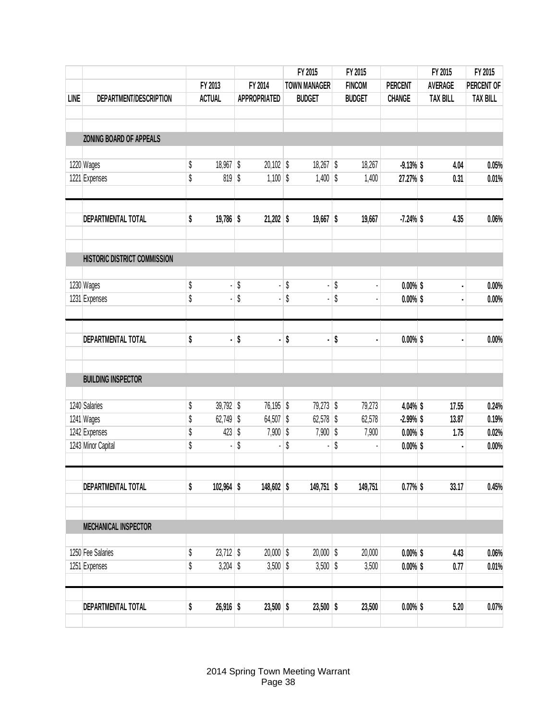|             |                              |                    |                     |             | FY 2015             |                         | FY 2015       |                | FY 2015         | FY 2015         |
|-------------|------------------------------|--------------------|---------------------|-------------|---------------------|-------------------------|---------------|----------------|-----------------|-----------------|
|             |                              | FY 2013            | FY 2014             |             | <b>TOWN MANAGER</b> |                         | <b>FINCOM</b> | <b>PERCENT</b> | <b>AVERAGE</b>  | PERCENT OF      |
| <b>LINE</b> | DEPARTMENT/DESCRIPTION       | <b>ACTUAL</b>      | <b>APPROPRIATED</b> |             | <b>BUDGET</b>       |                         | <b>BUDGET</b> | <b>CHANGE</b>  | <b>TAX BILL</b> | <b>TAX BILL</b> |
|             | ZONING BOARD OF APPEALS      |                    |                     |             |                     |                         |               |                |                 |                 |
|             | 1220 Wages                   | \$<br>$18,967$ \$  | $20,102$ \$         |             | $18,267$ \$         |                         | 18,267        | $-9.13%$ \$    | 4.04            | 0.05%           |
|             | 1221 Expenses                | \$<br>$819$ \$     | $1,100$ \$          |             | $1,400$ \$          |                         | 1,400         | 27.27% \$      | 0.31            | 0.01%           |
|             | <b>DEPARTMENTAL TOTAL</b>    | \$<br>19,786 \$    | $21,202$ \$         |             | $19,667$ \$         |                         | 19,667        | $-7.24\%$ \$   | 4.35            | 0.06%           |
|             | HISTORIC DISTRICT COMMISSION |                    |                     |             |                     |                         |               |                |                 |                 |
|             |                              |                    |                     |             |                     |                         |               |                |                 |                 |
|             | 1230 Wages                   | \$                 | \$                  | \$          |                     | $\sqrt[6]{\frac{1}{2}}$ |               | $0.00\%$ \$    |                 | 0.00%           |
|             | 1231 Expenses                | \$                 | \$                  | $\sqrt{\ }$ |                     | \$                      |               | $0.00\%$ \$    |                 | 0.00%           |
|             | <b>DEPARTMENTAL TOTAL</b>    | \$<br>٠            | \$                  | \$          |                     | \$                      |               | $0.00\%$ \$    |                 | 0.00%           |
|             | <b>BUILDING INSPECTOR</b>    |                    |                     |             |                     |                         |               |                |                 |                 |
|             | 1240 Salaries                | \$<br>$39,792$ \$  | 76,195 \$           |             | 79,273 \$           |                         | 79,273        | 4.04% \$       | 17.55           | 0.24%           |
|             | 1241 Wages                   | \$<br>$62,749$ \$  | 64,507 \$           |             | $62,578$ \$         |                         | 62,578        | $-2.99%$ \$    | 13.87           | 0.19%           |
|             | 1242 Expenses                | \$<br>423 \$       | $7,900$ \$          |             | $7,900$ \$          |                         | 7,900         | $0.00\%$ \$    | 1.75            | 0.02%           |
|             | 1243 Minor Capital           | \$                 | \$                  | \$          |                     | \$                      |               | $0.00\%$ \$    |                 | 0.00%           |
|             | <b>DEPARTMENTAL TOTAL</b>    | \$<br>$102,964$ \$ | $148,602$ \$        |             | $149,751$ \$        |                         | 149,751       | $0.77\%$ \$    | 33.17           | 0.45%           |
|             |                              |                    |                     |             |                     |                         |               |                |                 |                 |
|             | <b>MECHANICAL INSPECTOR</b>  |                    |                     |             |                     |                         |               |                |                 |                 |
|             | 1250 Fee Salaries            | \$<br>$23,712$ \$  | $20,000$ \$         |             | $20,000$ \$         |                         | 20,000        | $0.00\%$ \$    | 4.43            | 0.06%           |
|             | 1251 Expenses                | \$<br>$3,204$ \$   | $3,500$ \$          |             | $3,500$ \$          |                         | 3,500         | $0.00\%$ \$    | 0.77            | 0.01%           |
|             | DEPARTMENTAL TOTAL           | \$<br>26,916 \$    | $23,500$ \$         |             | $23,500$ \$         |                         | 23,500        | $0.00\%$ \$    | 5.20            | 0.07%           |
|             |                              |                    |                     |             |                     |                         |               |                |                 |                 |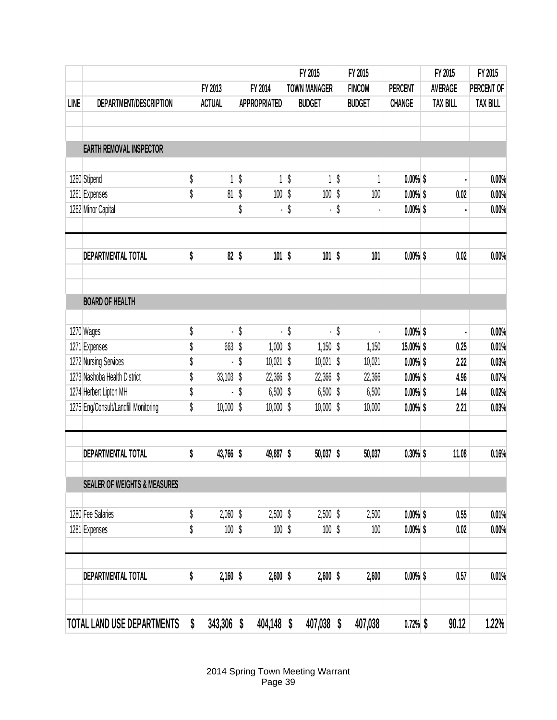|      |                                         |                    |    |                     | FY 2015              |    | FY 2015       |                | FY 2015         | FY 2015         |
|------|-----------------------------------------|--------------------|----|---------------------|----------------------|----|---------------|----------------|-----------------|-----------------|
|      |                                         | FY 2013            |    | FY 2014             | <b>TOWN MANAGER</b>  |    | <b>FINCOM</b> | <b>PERCENT</b> | <b>AVERAGE</b>  | PERCENT OF      |
| LINE | DEPARTMENT/DESCRIPTION                  | <b>ACTUAL</b>      |    | <b>APPROPRIATED</b> | <b>BUDGET</b>        |    | <b>BUDGET</b> | <b>CHANGE</b>  | <b>TAX BILL</b> | <b>TAX BILL</b> |
|      | <b>EARTH REMOVAL INSPECTOR</b>          |                    |    |                     |                      |    |               |                |                 |                 |
|      |                                         |                    |    |                     |                      |    |               |                |                 |                 |
|      | 1260 Stipend                            | \$<br>1            | \$ | 1                   | \$<br>$\overline{1}$ | \$ | 1             | $0.00\%$ \$    |                 | 0.00%           |
|      | 1261 Expenses                           | \$<br>81           | \$ | 100                 | \$<br>100            | \$ | 100           | $0.00\%$ \$    | 0.02            | 0.00%           |
|      | 1262 Minor Capital                      |                    | \$ |                     | \$                   | \$ |               | $0.00\%$ \$    |                 | 0.00%           |
|      | DEPARTMENTAL TOTAL                      | \$<br>82           | \$ | $101$ \$            | $101$ \$             |    | 101           | $0.00\%$ \$    | 0.02            | 0.00%           |
|      |                                         |                    |    |                     |                      |    |               |                |                 |                 |
|      | <b>BOARD OF HEALTH</b>                  |                    |    |                     |                      |    |               |                |                 |                 |
|      | 1270 Wages                              | \$                 | \$ |                     | \$                   | \$ |               | $0.00\%$ \$    |                 | 0.00%           |
|      | 1271 Expenses                           | \$<br>663          | \$ | 1,000               | \$<br>1,150          | \$ | 1,150         | 15.00% \$      | 0.25            | 0.01%           |
|      | 1272 Nursing Services                   | \$                 | \$ | 10,021              | \$<br>10,021         | \$ | 10,021        | $0.00\%$ \$    | 2.22            | 0.03%           |
|      | 1273 Nashoba Health District            | \$<br>33,103       | \$ | $22,366$ \$         | 22,366               | S  | 22,366        | $0.00\%$ \$    | 4.96            | 0.07%           |
|      | 1274 Herbert Lipton MH                  | \$                 | \$ | 6,500               | \$<br>6,500          | \$ | 6,500         | $0.00\%$ \$    | 1.44            | 0.02%           |
|      | 1275 Eng/Consult/Landfill Monitoring    | \$<br>10,000       | S  | $10,000$ \$         | 10,000               | \$ | 10,000        | $0.00\%$ \$    | 2.21            | 0.03%           |
|      | DEPARTMENTAL TOTAL                      | \$<br>$43,766$ \$  |    | 49,887              | \$<br>$50,037$ \$    |    | 50,037        | $0.30\%$ \$    | 11.08           | 0.16%           |
|      | <b>SEALER OF WEIGHTS &amp; MEASURES</b> |                    |    |                     |                      |    |               |                |                 |                 |
|      | 1280 Fee Salaries                       | \$<br>$2,060$ \$   |    | $2,500$ \$          | $2,500$ \$           |    | 2,500         | $0.00\%$ \$    | 0.55            | 0.01%           |
|      | 1281 Expenses                           | \$<br>100          | \$ | 100                 | \$<br>100            | \$ | 100           | $0.00\%$ \$    | 0.02            | 0.00%           |
|      |                                         |                    |    |                     |                      |    |               |                |                 |                 |
|      | DEPARTMENTAL TOTAL                      | \$<br>$2,160$ \$   |    | $2,600$ \$          | $2,600$ \$           |    | 2,600         | $0.00\%$ \$    | 0.57            | 0.01%           |
|      | TOTAL LAND USE DEPARTMENTS              | \$<br>$343,306$ \$ |    | 404,148             | \$<br>407,038        | \$ | 407,038       | 0.72%          | 90.12           | 1.22%           |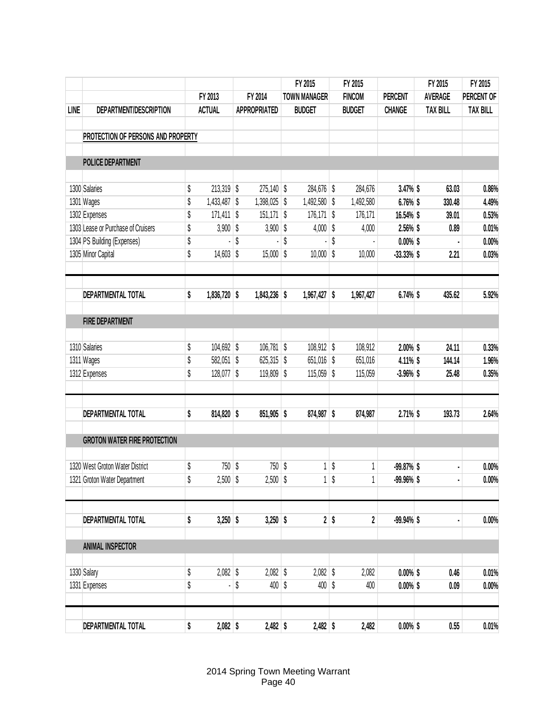|             |                                     |                      |                     | FY 2015             |           | FY 2015                 |                | FY 2015         |        | FY 2015         |
|-------------|-------------------------------------|----------------------|---------------------|---------------------|-----------|-------------------------|----------------|-----------------|--------|-----------------|
|             |                                     | FY 2013              | FY 2014             | <b>TOWN MANAGER</b> |           | <b>FINCOM</b>           | <b>PERCENT</b> | <b>AVERAGE</b>  |        | PERCENT OF      |
| <b>LINE</b> | DEPARTMENT/DESCRIPTION              | <b>ACTUAL</b>        | <b>APPROPRIATED</b> | <b>BUDGET</b>       |           | <b>BUDGET</b>           | <b>CHANGE</b>  | <b>TAX BILL</b> |        | <b>TAX BILL</b> |
|             |                                     |                      |                     |                     |           |                         |                |                 |        |                 |
|             | PROTECTION OF PERSONS AND PROPERTY  |                      |                     |                     |           |                         |                |                 |        |                 |
|             | <b>POLICE DEPARTMENT</b>            |                      |                     |                     |           |                         |                |                 |        |                 |
|             | 1300 Salaries                       | \$<br>$213,319$ \$   | $275,140$ \$        | 284,676 \$          |           | 284,676                 | 3.47% \$       |                 | 63.03  | 0.86%           |
|             | 1301 Wages                          | \$<br>$1,433,487$ \$ | $1,398,025$ \$      | 1,492,580 \$        |           | 1,492,580               | 6.76% \$       |                 | 330.48 | 4.49%           |
|             | 1302 Expenses                       | \$<br>$171,411$ \$   | $151,171$ \$        | $176,171$ \$        |           | 176,171                 | 16.54% \$      |                 | 39.01  | 0.53%           |
|             | 1303 Lease or Purchase of Cruisers  | \$<br>$3,900$ \$     | $3,900$ \$          | $4,000$ \$          |           | 4,000                   | $2.56\%$ \$    |                 | 0.89   | 0.01%           |
|             | 1304 PS Building (Expenses)         | \$                   | \$                  | \$                  | \$        |                         | $0.00\%$ \$    |                 |        | 0.00%           |
|             | 1305 Minor Capital                  | \$<br>$14,603$ \$    | $15,000$ \$         | $10,000$ \$         |           | 10,000                  | $-33.33%$ \$   |                 | 2.21   | 0.03%           |
|             | <b>DEPARTMENTAL TOTAL</b>           | \$<br>1,836,720 \$   | $1,843,236$ \$      | $1,967,427$ \$      |           | 1,967,427               | 6.74% \$       |                 | 435.62 | 5.92%           |
|             |                                     |                      |                     |                     |           |                         |                |                 |        |                 |
|             | <b>FIRE DEPARTMENT</b>              |                      |                     |                     |           |                         |                |                 |        |                 |
|             | 1310 Salaries                       | \$<br>$104,692$ \$   | $106,781$ \$        | $108,912$ \$        |           | 108,912                 | $2.00\%$ \$    |                 | 24.11  | 0.33%           |
|             | 1311 Wages                          | \$<br>$582,051$ \$   | $625,315$ \$        | $651,016$ \$        |           | 651,016                 | 4.11% \$       |                 | 144.14 | 1.96%           |
|             | 1312 Expenses                       | \$<br>$128,077$ \$   | $119,809$ \$        | $115,059$ \$        |           | 115,059                 | $-3.96\%$ \$   |                 | 25.48  | 0.35%           |
|             | DEPARTMENTAL TOTAL                  | \$<br>814,820 \$     | $851,905$ \$        | 874,987 \$          |           | 874,987                 | 2.71% \$       |                 | 193.73 | 2.64%           |
|             | <b>GROTON WATER FIRE PROTECTION</b> |                      |                     |                     |           |                         |                |                 |        |                 |
|             |                                     |                      |                     |                     |           |                         |                |                 |        |                 |
|             | 1320 West Groton Water District     | \$<br>$750$ \$       | $750$ \$            |                     | $1 \,$ \$ | 1                       | $-99.87%$ \$   |                 |        | 0.00%           |
|             | 1321 Groton Water Department        | \$<br>$2,500$ \$     | $2,500$ \$          | 1 <sup>1</sup>      | \$        |                         | $-99.96\%$ \$  |                 |        | 0.00%           |
|             | DEPARTMENTAL TOTAL                  | \$<br>$3,250$ \$     | $3,250$ \$          | $2 \,$ \$           |           | $\overline{\mathbf{2}}$ | $-99.94\%$ \$  |                 |        | 0.00%           |
|             | <b>ANIMAL INSPECTOR</b>             |                      |                     |                     |           |                         |                |                 |        |                 |
|             |                                     |                      |                     |                     |           |                         |                |                 |        |                 |
|             | 1330 Salary                         | \$<br>$2,082$ \$     | $2,082$ \$          | $2,082$ \$          |           | 2,082                   | $0.00\%$ \$    |                 | 0.46   | 0.01%           |
|             | 1331 Expenses                       | \$                   | \$<br>$400$ \$      | $400$ \$            |           | 400                     | $0.00\%$ \$    |                 | 0.09   | 0.00%           |
|             | DEPARTMENTAL TOTAL                  | \$<br>$2,082$ \$     | $2,482$ \$          | $2,482$ \$          |           | 2,482                   | $0.00\%$ \$    |                 | 0.55   | 0.01%           |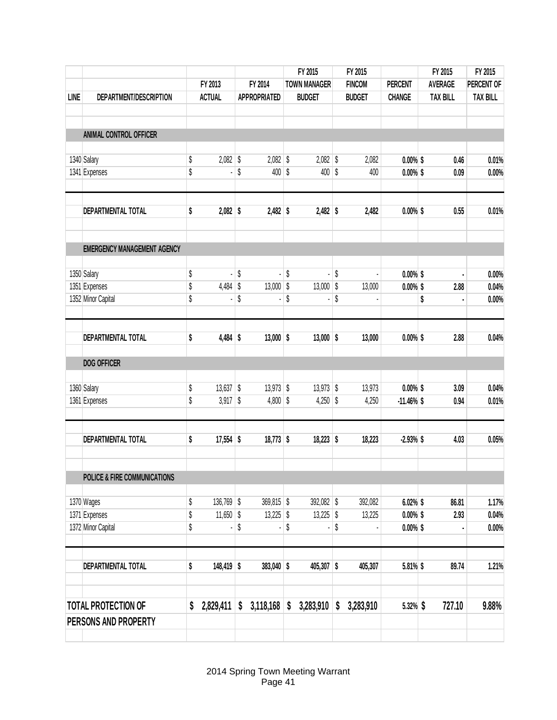|             |                                    |                    |                         |                     |            | FY 2015             |        | FY 2015       |                            | FY 2015         | FY 2015         |
|-------------|------------------------------------|--------------------|-------------------------|---------------------|------------|---------------------|--------|---------------|----------------------------|-----------------|-----------------|
|             |                                    | FY 2013            |                         | FY 2014             |            | <b>TOWN MANAGER</b> |        | <b>FINCOM</b> | <b>PERCENT</b>             | AVERAGE         | PERCENT OF      |
| <b>LINE</b> | DEPARTMENT/DESCRIPTION             | <b>ACTUAL</b>      |                         | <b>APPROPRIATED</b> |            | <b>BUDGET</b>       |        | <b>BUDGET</b> | <b>CHANGE</b>              | <b>TAX BILL</b> | <b>TAX BILL</b> |
|             | ANIMAL CONTROL OFFICER             |                    |                         |                     |            |                     |        |               |                            |                 |                 |
|             |                                    | \$<br>$2,082$ \$   |                         | $2,082$ \$          |            | $2,082$ \$          |        | 2,082         |                            |                 | 0.01%           |
|             | 1340 Salary<br>1341 Expenses       | \$                 | \$                      | $400$ \$            |            | 400 \$              |        | 400           | $0.00\%$ \$<br>$0.00\%$ \$ | 0.46<br>0.09    | 0.00%           |
|             | DEPARTMENTAL TOTAL                 | \$<br>$2,082$ \$   |                         | $2,482$ \$          |            | $2,482$ \$          |        | 2,482         | $0.00\%$ \$                | 0.55            | 0.01%           |
|             | <b>EMERGENCY MANAGEMENT AGENCY</b> |                    |                         |                     |            |                     |        |               |                            |                 |                 |
|             | 1350 Salary                        | \$                 | \$                      | i,                  | $\sqrt{2}$ |                     | $-$ \$ |               | $0.00\%$ \$                |                 | 0.00%           |
|             | 1351 Expenses                      | \$<br>$4,484$ \$   |                         | $13,000$ \$         |            | $13,000$ \$         |        | 13,000        | $0.00\%$ \$                | 2.88            | 0.04%           |
|             | 1352 Minor Capital                 | \$                 | \$                      |                     | \$         |                     | \$     |               |                            | \$              | 0.00%           |
|             | DEPARTMENTAL TOTAL                 | \$<br>$4,484$ \$   |                         | $13,000$ \$         |            | $13,000$ \$         |        | 13,000        | $0.00\%$ \$                | 2.88            | 0.04%           |
|             | <b>DOG OFFICER</b>                 |                    |                         |                     |            |                     |        |               |                            |                 |                 |
|             | 1360 Salary                        | \$<br>$13,637$ \$  |                         | $13,973$ \$         |            | $13,973$ \$         |        | 13,973        | $0.00\%$ \$                | 3.09            | 0.04%           |
|             | 1361 Expenses                      | \$<br>$3,917$ \$   |                         | $4,800$ \$          |            | $4,250$ \$          |        | 4,250         | $-11.46\%$ \$              | 0.94            | 0.01%           |
|             | DEPARTMENTAL TOTAL                 | \$<br>$17,554$ \$  |                         | $18,773$ \$         |            | $18,223$ \$         |        | 18,223        | $-2.93%$ \$                | 4.03            | 0.05%           |
|             | POLICE & FIRE COMMUNICATIONS       |                    |                         |                     |            |                     |        |               |                            |                 |                 |
|             | 1370 Wages                         | \$<br>136,769 \$   |                         | 369,815 \$          |            | 392,082 \$          |        | 392,082       | $6.02%$ \$                 | 86.81           | 1.17%           |
|             | 1371 Expenses                      | \$<br>$11,650$ \$  |                         | $13,225$ \$         |            | $13,225$ \$         |        | 13,225        | $0.00\%$ \$                | 2.93            | 0.04%           |
|             | 1372 Minor Capital                 | \$                 | \$                      |                     | \$         |                     | \$     |               | $0.00\%$ \$                |                 | 0.00%           |
|             | <b>DEPARTMENTAL TOTAL</b>          | \$<br>$148,419$ \$ |                         | 383,040 \$          |            | $405,307$ \$        |        | 405,307       | 5.81% \$                   | 89.74           | 1.21%           |
|             | <b>TOTAL PROTECTION OF</b>         | \$<br>2,829,411    | $\sqrt[3]{\frac{1}{2}}$ | 3,118,168           | \$         | 3,283,910           | \$     | 3,283,910     | $5.32\%$ \$                | 727.10          | 9.88%           |
|             | PERSONS AND PROPERTY               |                    |                         |                     |            |                     |        |               |                            |                 |                 |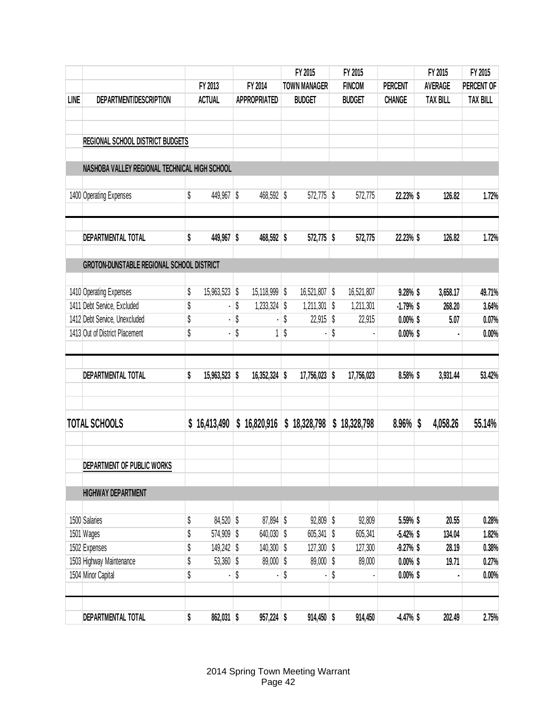|                        |                                                                                                                                                                                                                                                                                                                                                                                       |                                                                                         |                                                                                                       |                                                                                                                                                                  |                                                |                                                                                                                                                                |                                         |                                                                                                                                                                                                 |                                                                                                                         |                           |                                                                                                                                                                                                | FY 2015                                                                                                |
|------------------------|---------------------------------------------------------------------------------------------------------------------------------------------------------------------------------------------------------------------------------------------------------------------------------------------------------------------------------------------------------------------------------------|-----------------------------------------------------------------------------------------|-------------------------------------------------------------------------------------------------------|------------------------------------------------------------------------------------------------------------------------------------------------------------------|------------------------------------------------|----------------------------------------------------------------------------------------------------------------------------------------------------------------|-----------------------------------------|-------------------------------------------------------------------------------------------------------------------------------------------------------------------------------------------------|-------------------------------------------------------------------------------------------------------------------------|---------------------------|------------------------------------------------------------------------------------------------------------------------------------------------------------------------------------------------|--------------------------------------------------------------------------------------------------------|
|                        |                                                                                                                                                                                                                                                                                                                                                                                       |                                                                                         |                                                                                                       |                                                                                                                                                                  |                                                |                                                                                                                                                                |                                         |                                                                                                                                                                                                 |                                                                                                                         |                           |                                                                                                                                                                                                | PERCENT OF                                                                                             |
| DEPARTMENT/DESCRIPTION |                                                                                                                                                                                                                                                                                                                                                                                       | <b>ACTUAL</b>                                                                           |                                                                                                       |                                                                                                                                                                  |                                                | <b>BUDGET</b>                                                                                                                                                  |                                         | <b>BUDGET</b>                                                                                                                                                                                   | <b>CHANGE</b>                                                                                                           |                           | <b>TAX BILL</b>                                                                                                                                                                                | <b>TAX BILL</b>                                                                                        |
|                        |                                                                                                                                                                                                                                                                                                                                                                                       |                                                                                         |                                                                                                       |                                                                                                                                                                  |                                                |                                                                                                                                                                |                                         |                                                                                                                                                                                                 |                                                                                                                         |                           |                                                                                                                                                                                                |                                                                                                        |
|                        |                                                                                                                                                                                                                                                                                                                                                                                       |                                                                                         |                                                                                                       |                                                                                                                                                                  |                                                |                                                                                                                                                                |                                         |                                                                                                                                                                                                 |                                                                                                                         |                           |                                                                                                                                                                                                |                                                                                                        |
|                        |                                                                                                                                                                                                                                                                                                                                                                                       |                                                                                         |                                                                                                       |                                                                                                                                                                  |                                                |                                                                                                                                                                |                                         |                                                                                                                                                                                                 |                                                                                                                         |                           |                                                                                                                                                                                                |                                                                                                        |
|                        | \$                                                                                                                                                                                                                                                                                                                                                                                    |                                                                                         |                                                                                                       |                                                                                                                                                                  |                                                |                                                                                                                                                                |                                         | 572,775                                                                                                                                                                                         |                                                                                                                         |                           | 126.82                                                                                                                                                                                         | 1.72%                                                                                                  |
|                        | \$                                                                                                                                                                                                                                                                                                                                                                                    |                                                                                         |                                                                                                       |                                                                                                                                                                  |                                                |                                                                                                                                                                |                                         | 572,775                                                                                                                                                                                         |                                                                                                                         |                           | 126.82                                                                                                                                                                                         | 1.72%                                                                                                  |
|                        |                                                                                                                                                                                                                                                                                                                                                                                       |                                                                                         |                                                                                                       |                                                                                                                                                                  |                                                |                                                                                                                                                                |                                         |                                                                                                                                                                                                 |                                                                                                                         |                           |                                                                                                                                                                                                |                                                                                                        |
|                        |                                                                                                                                                                                                                                                                                                                                                                                       |                                                                                         |                                                                                                       |                                                                                                                                                                  |                                                |                                                                                                                                                                |                                         |                                                                                                                                                                                                 |                                                                                                                         |                           |                                                                                                                                                                                                | 49.71%                                                                                                 |
|                        |                                                                                                                                                                                                                                                                                                                                                                                       |                                                                                         |                                                                                                       |                                                                                                                                                                  |                                                |                                                                                                                                                                |                                         |                                                                                                                                                                                                 |                                                                                                                         |                           |                                                                                                                                                                                                | 3.64%                                                                                                  |
|                        |                                                                                                                                                                                                                                                                                                                                                                                       |                                                                                         |                                                                                                       |                                                                                                                                                                  |                                                |                                                                                                                                                                |                                         |                                                                                                                                                                                                 |                                                                                                                         |                           |                                                                                                                                                                                                | 0.07%                                                                                                  |
|                        | \$                                                                                                                                                                                                                                                                                                                                                                                    |                                                                                         | \$                                                                                                    |                                                                                                                                                                  | \$                                             |                                                                                                                                                                | \$                                      |                                                                                                                                                                                                 |                                                                                                                         |                           |                                                                                                                                                                                                | 0.00%                                                                                                  |
| DEPARTMENTAL TOTAL     | \$                                                                                                                                                                                                                                                                                                                                                                                    |                                                                                         |                                                                                                       |                                                                                                                                                                  |                                                |                                                                                                                                                                | \$                                      | 17,756,023                                                                                                                                                                                      |                                                                                                                         |                           | 3,931.44                                                                                                                                                                                       | 53.42%                                                                                                 |
|                        |                                                                                                                                                                                                                                                                                                                                                                                       |                                                                                         |                                                                                                       |                                                                                                                                                                  |                                                |                                                                                                                                                                |                                         |                                                                                                                                                                                                 |                                                                                                                         | \$                        | 4,058.26                                                                                                                                                                                       | 55.14%                                                                                                 |
|                        |                                                                                                                                                                                                                                                                                                                                                                                       |                                                                                         |                                                                                                       |                                                                                                                                                                  |                                                |                                                                                                                                                                |                                         |                                                                                                                                                                                                 |                                                                                                                         |                           |                                                                                                                                                                                                |                                                                                                        |
|                        |                                                                                                                                                                                                                                                                                                                                                                                       |                                                                                         |                                                                                                       |                                                                                                                                                                  |                                                |                                                                                                                                                                |                                         |                                                                                                                                                                                                 |                                                                                                                         |                           |                                                                                                                                                                                                |                                                                                                        |
|                        |                                                                                                                                                                                                                                                                                                                                                                                       |                                                                                         |                                                                                                       |                                                                                                                                                                  |                                                |                                                                                                                                                                |                                         |                                                                                                                                                                                                 |                                                                                                                         |                           |                                                                                                                                                                                                |                                                                                                        |
|                        |                                                                                                                                                                                                                                                                                                                                                                                       |                                                                                         |                                                                                                       |                                                                                                                                                                  |                                                |                                                                                                                                                                |                                         |                                                                                                                                                                                                 |                                                                                                                         |                           |                                                                                                                                                                                                | 0.28%<br>1.82%                                                                                         |
|                        |                                                                                                                                                                                                                                                                                                                                                                                       |                                                                                         |                                                                                                       |                                                                                                                                                                  |                                                |                                                                                                                                                                |                                         |                                                                                                                                                                                                 |                                                                                                                         |                           |                                                                                                                                                                                                | 0.38%                                                                                                  |
|                        |                                                                                                                                                                                                                                                                                                                                                                                       |                                                                                         |                                                                                                       |                                                                                                                                                                  |                                                |                                                                                                                                                                |                                         |                                                                                                                                                                                                 |                                                                                                                         |                           |                                                                                                                                                                                                | 0.27%                                                                                                  |
|                        | \$                                                                                                                                                                                                                                                                                                                                                                                    |                                                                                         | \$                                                                                                    |                                                                                                                                                                  | \$                                             |                                                                                                                                                                | \$                                      |                                                                                                                                                                                                 |                                                                                                                         |                           |                                                                                                                                                                                                | 0.00%                                                                                                  |
|                        |                                                                                                                                                                                                                                                                                                                                                                                       |                                                                                         |                                                                                                       |                                                                                                                                                                  |                                                |                                                                                                                                                                |                                         |                                                                                                                                                                                                 |                                                                                                                         |                           |                                                                                                                                                                                                | 2.75%                                                                                                  |
|                        | 1400 Operating Expenses<br>DEPARTMENTAL TOTAL<br>1410 Operating Expenses<br>1411 Debt Service, Excluded<br>1412 Debt Service, Unexcluded<br>1413 Out of District Placement<br><b>TOTAL SCHOOLS</b><br>DEPARTMENT OF PUBLIC WORKS<br><b>HIGHWAY DEPARTMENT</b><br>1500 Salaries<br>1501 Wages<br>1502 Expenses<br>1503 Highway Maintenance<br>1504 Minor Capital<br>DEPARTMENTAL TOTAL | <b>REGIONAL SCHOOL DISTRICT BUDGETS</b><br>\$<br>\$<br>\$<br>\$<br>\$<br>\$<br>\$<br>\$ | FY 2013<br>NASHOBA VALLEY REGIONAL TECHNICAL HIGH SCHOOL<br>GROTON-DUNSTABLE REGIONAL SCHOOL DISTRICT | 449,967 \$<br>449,967 \$<br>15,963,523 \$<br>\$<br>\$<br>15,963,523 \$<br>\$16,413,490<br>$84,520$ \$<br>574,909 \$<br>$149,242$ \$<br>$53,360$ \$<br>862,031 \$ | FY 2014<br><b>APPROPRIATED</b><br>\$16,820,916 | 468,592 \$<br>468,592 \$<br>15,118,999 \$<br>$1,233,324$ \$<br>\$<br>$\mathbf{1}$<br>16,352,324 \$<br>87,894 \$<br>$640,030$ \$<br>$140,300$ \$<br>$89,000$ \$ | FY 2015<br>\$18,328,798<br>$957,224$ \$ | <b>TOWN MANAGER</b><br>572,775 \$<br>572,775 \$<br>16,521,807 \$<br>1,211,301<br>\$<br>$22,915$ \$<br>17,756,023<br>$92,809$ \$<br>$605,341$ \$<br>$127,300$ \$<br>89,000<br>\$<br>$914,450$ \$ | FY 2015<br><b>FINCOM</b><br>16,521,807<br>1,211,301<br>22,915<br>\$18,328,798<br>92,809<br>605,341<br>127,300<br>89,000 | <b>PERCENT</b><br>914,450 | 22.23% \$<br>22.23% \$<br>$9.28\%$ \$<br>$-1.79%$ \$<br>$0.00\%$ \$<br>$0.00\%$ \$<br>8.58% \$<br>8.96%<br>5.59% \$<br>$-5.42%$ \$<br>$-9.27%$ \$<br>$0.00\%$ \$<br>$0.00\%$ \$<br>$-4.47%$ \$ | FY 2015<br><b>AVERAGE</b><br>3,658.17<br>268.20<br>5.07<br>20.55<br>134.04<br>28.19<br>19.71<br>202.49 |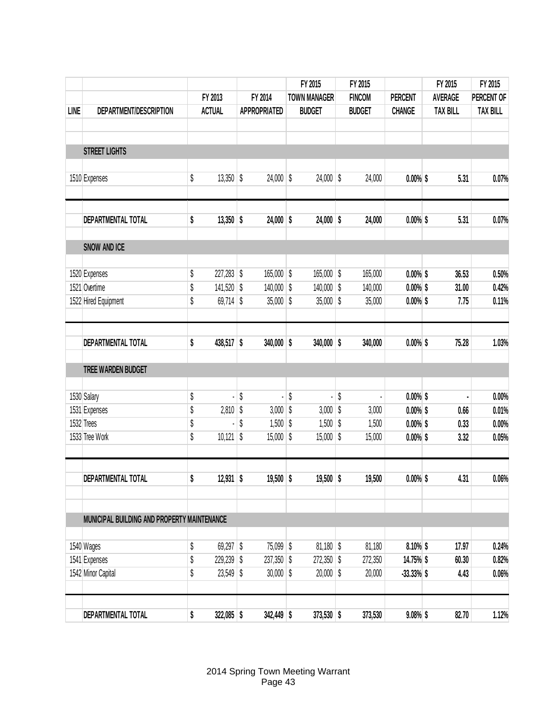|             |                                             |          |               |            |                          |                         | FY 2015                  | FY 2015         |                            | FY 2015         | FY 2015         |
|-------------|---------------------------------------------|----------|---------------|------------|--------------------------|-------------------------|--------------------------|-----------------|----------------------------|-----------------|-----------------|
|             |                                             |          | FY 2013       |            | FY 2014                  |                         | <b>TOWN MANAGER</b>      | <b>FINCOM</b>   | <b>PERCENT</b>             | <b>AVERAGE</b>  | PERCENT OF      |
| <b>LINE</b> | DEPARTMENT/DESCRIPTION                      |          | <b>ACTUAL</b> |            | <b>APPROPRIATED</b>      |                         | <b>BUDGET</b>            | <b>BUDGET</b>   | <b>CHANGE</b>              | <b>TAX BILL</b> | <b>TAX BILL</b> |
|             | <b>STREET LIGHTS</b>                        |          |               |            |                          |                         |                          |                 |                            |                 |                 |
|             | 1510 Expenses                               | \$       | 13,350 \$     |            | $24,000$ \$              |                         | $24,000$ \$              | 24,000          | $0.00\%$ \$                | 5.31            | 0.07%           |
|             | DEPARTMENTAL TOTAL                          | \$       | $13,350$ \$   |            | $24,000$ \$              |                         | $24,000$ \$              | 24,000          | $0.00\%$ \$                | 5.31            | 0.07%           |
|             | <b>SNOW AND ICE</b>                         |          |               |            |                          |                         |                          |                 |                            |                 |                 |
|             | 1520 Expenses                               | \$       | 227,283 \$    |            | $165,000$ \$             |                         | $165,000$ \$             | 165,000         | $0.00\%$ \$                | 36.53           | 0.50%           |
|             | 1521 Overtime                               | \$       | 141,520 \$    |            | $140,000$ \$             |                         | $140,000$ \$             | 140,000         | $0.00\%$ \$                | 31.00           | 0.42%           |
|             | 1522 Hired Equipment                        | \$       | $69,714$ \$   |            | $35,000$ \$              |                         | $35,000$ \$              | 35,000          | $0.00\%$ \$                | 7.75            | 0.11%           |
|             | DEPARTMENTAL TOTAL                          | \$       | $438,517$ \$  |            | $340,000$ \$             |                         | $340,000$ \$             | 340,000         | $0.00\%$ \$                | 75.28           | 1.03%           |
|             | TREE WARDEN BUDGET                          |          |               |            |                          |                         |                          |                 |                            |                 |                 |
|             |                                             |          |               |            |                          |                         |                          |                 |                            |                 |                 |
|             | 1530 Salary                                 | \$       |               | $\sqrt{2}$ |                          | $\sqrt[6]{\frac{1}{2}}$ | ¥,                       | \$              | $0.00\%$ \$                |                 | 0.00%           |
|             | 1531 Expenses<br>1532 Trees                 | \$       | $2,810$ \$    | S          | $3,000$ \$<br>$1,500$ \$ |                         | $3,000$ \$<br>$1,500$ \$ | 3,000           | $0.00\%$ \$                | 0.66            | 0.01%           |
|             | 1533 Tree Work                              | \$<br>\$ | $10,121$ \$   |            | $15,000$ \$              |                         | $15,000$ \$              | 1,500<br>15,000 | $0.00\%$ \$<br>$0.00\%$ \$ | 0.33<br>3.32    | 0.00%<br>0.05%  |
|             | DEPARTMENTAL TOTAL                          | \$       | $12,931$ \$   |            | $19,500$ \$              |                         | $19,500$ \$              | 19,500          | $0.00\%$ \$                | 4.31            | 0.06%           |
|             |                                             |          |               |            |                          |                         |                          |                 |                            |                 |                 |
|             | MUNICIPAL BUILDING AND PROPERTY MAINTENANCE |          |               |            |                          |                         |                          |                 |                            |                 |                 |
|             | 1540 Wages                                  | \$       | $69,297$ \$   |            | 75,099 \$                |                         | $81,180$ \$              | 81,180          | 8.10% \$                   | 17.97           | 0.24%           |
|             | 1541 Expenses                               | \$       | 229,239 \$    |            | 237,350 \$               |                         | 272,350 \$               | 272,350         | 14.75% \$                  | 60.30           | 0.82%           |
|             | 1542 Minor Capital                          | \$       | $23,549$ \$   |            | $30,000$ \$              |                         | $20,000$ \$              | 20,000          | $-33.33%$ \$               | 4.43            | 0.06%           |
|             | DEPARTMENTAL TOTAL                          | \$       | $322,085$ \$  |            | 342,449 \$               |                         | 373,530 \$               | 373,530         | $9.08\%$ \$                | 82.70           | 1.12%           |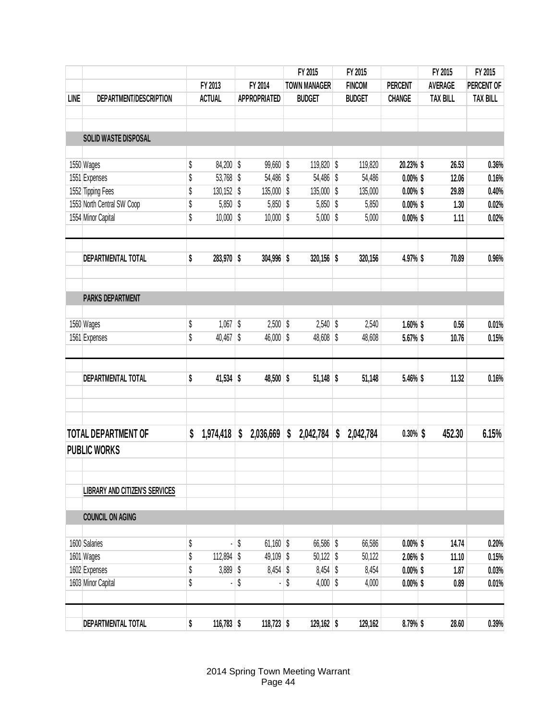|             |                                       |                     |    |                     | FY 2015             | FY 2015         |                | FY 2015         | FY 2015         |
|-------------|---------------------------------------|---------------------|----|---------------------|---------------------|-----------------|----------------|-----------------|-----------------|
|             |                                       | FY 2013             |    | FY 2014             | <b>TOWN MANAGER</b> | <b>FINCOM</b>   | <b>PERCENT</b> | <b>AVERAGE</b>  | PERCENT OF      |
| <b>LINE</b> | DEPARTMENT/DESCRIPTION                | <b>ACTUAL</b>       |    | <b>APPROPRIATED</b> | <b>BUDGET</b>       | <b>BUDGET</b>   | <b>CHANGE</b>  | <b>TAX BILL</b> | <b>TAX BILL</b> |
|             |                                       |                     |    |                     |                     |                 |                |                 |                 |
|             | <b>SOLID WASTE DISPOSAL</b>           |                     |    |                     |                     |                 |                |                 |                 |
|             | 1550 Wages                            | \$<br>$84,200$ \$   |    | 99,660 \$           | 119,820 \$          | 119,820         | 20.23% \$      | 26.53           | 0.36%           |
|             | 1551 Expenses                         | \$<br>53,768 \$     |    | 54,486 \$           | 54,486 \$           | 54,486          | $0.00\%$ \$    | 12.06           | 0.16%           |
|             | 1552 Tipping Fees                     | \$<br>$130, 152$ \$ |    | $135,000$ \$        | $135,000$ \$        | 135,000         | $0.00\%$ \$    | 29.89           | 0.40%           |
|             | 1553 North Central SW Coop            | \$<br>$5,850$ \$    |    | $5,850$ \$          | $5,850$ \$          | 5,850           | $0.00\%$ \$    | 1.30            | 0.02%           |
|             | 1554 Minor Capital                    | \$<br>$10,000$ \$   |    | $10,000$ \$         | $5,000$ \$          | 5,000           | $0.00\%$ \$    | 1.11            | 0.02%           |
|             | DEPARTMENTAL TOTAL                    | \$<br>283,970 \$    |    | $304,996$ \$        | $320,156$ \$        | 320,156         | 4.97% \$       | 70.89           | 0.96%           |
|             |                                       |                     |    |                     |                     |                 |                |                 |                 |
|             | <b>PARKS DEPARTMENT</b>               |                     |    |                     |                     |                 |                |                 |                 |
|             | 1560 Wages                            | \$<br>$1,067$ \$    |    | $2,500$ \$          | $2,540$ \$          | 2,540           | $1.60%$ \$     | 0.56            | 0.01%           |
|             | 1561 Expenses                         | \$<br>40,467        | \$ | 46,000 \$           | 48,608   \$         | 48,608          | 5.67% \$       | 10.76           | 0.15%           |
|             | DEPARTMENTAL TOTAL                    | \$<br>$41,534$ \$   |    | 48,500 \$           | $51,148$ \$         | 51,148          | 5.46% \$       | 11.32           | 0.16%           |
|             |                                       |                     |    |                     |                     |                 |                |                 |                 |
|             | <b>TOTAL DEPARTMENT OF</b>            | \$<br>1,974,418     | S  | 2,036,669           | \$<br>2,042,784     | \$<br>2,042,784 | $0.30\%$ \$    | 452.30          | 6.15%           |
|             | <b>PUBLIC WORKS</b>                   |                     |    |                     |                     |                 |                |                 |                 |
|             | <b>LIBRARY AND CITIZEN'S SERVICES</b> |                     |    |                     |                     |                 |                |                 |                 |
|             | <b>COUNCIL ON AGING</b>               |                     |    |                     |                     |                 |                |                 |                 |
|             | 1600 Salaries                         | \$                  | \$ | $61,160$ \$         | 66,586 \$           | 66,586          | $0.00\%$ \$    | 14.74           | 0.20%           |
|             | 1601 Wages                            | \$<br>$112,894$ \$  |    | 49,109 \$           | $50,122$ \$         | 50,122          | $2.06\%$ \$    | 11.10           | 0.15%           |
|             | 1602 Expenses                         | \$<br>$3,889$ \$    |    | $8,454$ \$          | $8,454$ \$          | 8,454           | $0.00\%$ \$    | 1.87            | 0.03%           |
|             | 1603 Minor Capital                    | \$                  | \$ |                     | \$<br>$4,000$ \$    | 4,000           | $0.00\%$ \$    | 0.89            | 0.01%           |
|             | DEPARTMENTAL TOTAL                    | \$<br>$116,783$ \$  |    | $118,723$ \$        | $129,162$ \$        | 129,162         | 8.79% \$       | 28.60           | 0.39%           |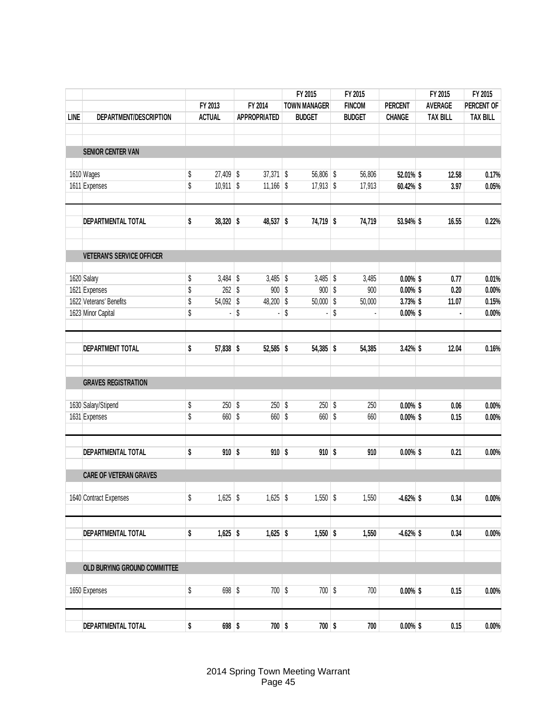|             |                                      |                                      |                    |                        | FY 2015                  | FY 2015          |                            | FY 2015         | FY 2015         |
|-------------|--------------------------------------|--------------------------------------|--------------------|------------------------|--------------------------|------------------|----------------------------|-----------------|-----------------|
|             |                                      | FY 2013                              |                    | FY 2014                | <b>TOWN MANAGER</b>      | <b>FINCOM</b>    | <b>PERCENT</b>             | <b>AVERAGE</b>  | PERCENT OF      |
| <b>LINE</b> | DEPARTMENT/DESCRIPTION               | <b>ACTUAL</b>                        |                    | <b>APPROPRIATED</b>    | <b>BUDGET</b>            | <b>BUDGET</b>    | <b>CHANGE</b>              | <b>TAX BILL</b> | <b>TAX BILL</b> |
|             | <b>SENIOR CENTER VAN</b>             |                                      |                    |                        |                          |                  |                            |                 |                 |
|             |                                      |                                      |                    | $37,371$ \$            |                          |                  |                            |                 |                 |
|             | 1610 Wages<br>1611 Expenses          | \$<br>27,409 \$<br>$10,911$ \$<br>\$ |                    | $11,166$ \$            | 56,806 \$<br>$17,913$ \$ | 56,806<br>17,913 | 52.01% \$<br>60.42% \$     | 12.58<br>3.97   | 0.17%<br>0.05%  |
|             |                                      |                                      |                    |                        |                          |                  |                            |                 |                 |
|             | DEPARTMENTAL TOTAL                   | \$<br>38,320 \$                      |                    | 48,537 \$              | 74,719 \$                | 74,719           | 53.94% \$                  | 16.55           | 0.22%           |
|             | <b>VETERAN'S SERVICE OFFICER</b>     |                                      |                    |                        |                          |                  |                            |                 |                 |
|             |                                      |                                      |                    |                        |                          |                  |                            |                 |                 |
|             | 1620 Salary<br>1621 Expenses         | \$<br>$3,484$ \$<br>\$               | $262$ \$           | $3,485$ \$<br>$900$ \$ | $3,485$ \$<br>$900$ \$   | 3,485<br>900     | $0.00\%$ \$<br>$0.00\%$ \$ | 0.77<br>0.20    | 0.01%<br>0.00%  |
|             | 1622 Veterans' Benefits              | $54,092$ \$<br>\$                    |                    | 48,200 \$              | $50,000$ \$              | 50,000           | 3.73% \$                   | 11.07           | 0.15%           |
|             | 1623 Minor Capital                   | \$                                   |                    | \$                     | \$                       | \$               | $0.00\%$ \$                |                 | 0.00%           |
|             | <b>DEPARTMENT TOTAL</b>              | \$<br>$57,838$ \$                    |                    | $52,585$ \$            | $54,385$ \$              | 54,385           | $3.42%$ \$                 | 12.04           | 0.16%           |
|             | <b>GRAVES REGISTRATION</b>           |                                      |                    |                        |                          |                  |                            |                 |                 |
|             |                                      |                                      |                    |                        |                          |                  |                            |                 |                 |
|             | 1630 Salary/Stipend<br>1631 Expenses | \$<br>\$                             | $250$ \$<br>660 \$ | $250$ \$<br>660 \$     | $250$ \$<br>660 \$       | 250<br>660       | $0.00\%$ \$<br>$0.00\%$ \$ | 0.06<br>0.15    | 0.00%<br>0.00%  |
|             |                                      |                                      |                    |                        |                          |                  |                            |                 |                 |
|             | DEPARTMENTAL TOTAL                   | \$                                   | $910$ \$           | $910$ \$               | $910$ \$                 | 910              | $0.00\%$ \$                | 0.21            | 0.00%           |
|             | <b>CARE OF VETERAN GRAVES</b>        |                                      |                    |                        |                          |                  |                            |                 |                 |
|             | 1640 Contract Expenses               | $1,625$ \$<br>\$                     |                    | $1,625$ \$             | $1,550$ \$               | 1,550            | $-4.62%$ \$                | 0.34            | $0.00\%$        |
|             | DEPARTMENTAL TOTAL                   | $1,625$ \$<br>\$                     |                    | $1,625$ \$             | $1,550$ \$               | 1,550            | $-4.62%$ \$                | 0.34            | $0.00\%$        |
|             | OLD BURYING GROUND COMMITTEE         |                                      |                    |                        |                          |                  |                            |                 |                 |
|             |                                      |                                      |                    |                        |                          |                  |                            |                 |                 |
|             | 1650 Expenses                        | \$                                   | 698 \$             | $700$ \$               | $700$ \$                 | 700              | $0.00\%$ \$                | 0.15            | $0.00\%$        |
|             | DEPARTMENTAL TOTAL                   | \$                                   | $698$ \$           | $700$ \$               | $700$ \$                 | 700              | $0.00\%$ \$                | 0.15            | 0.00%           |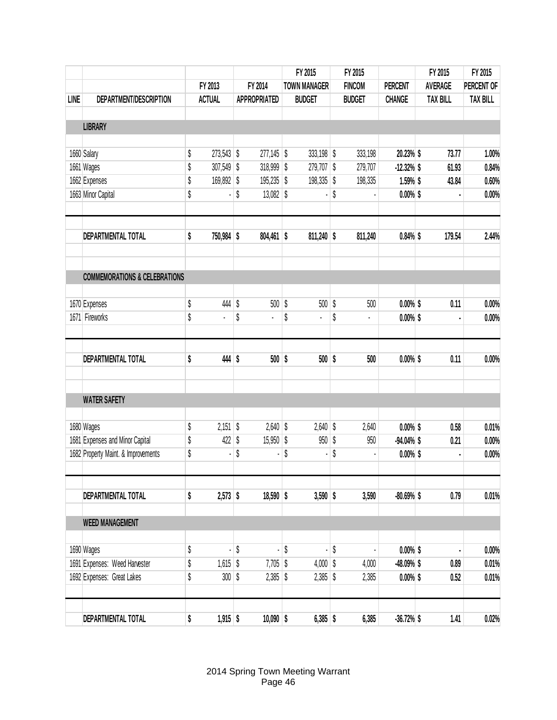|             |                                                                        |          |               |          |                     | FY 2015             |               | FY 2015       |                              | FY 2015         | FY 2015         |
|-------------|------------------------------------------------------------------------|----------|---------------|----------|---------------------|---------------------|---------------|---------------|------------------------------|-----------------|-----------------|
|             |                                                                        |          | FY 2013       |          | FY 2014             | <b>TOWN MANAGER</b> |               | <b>FINCOM</b> | <b>PERCENT</b>               | <b>AVERAGE</b>  | PERCENT OF      |
| <b>LINE</b> | DEPARTMENT/DESCRIPTION                                                 |          | <b>ACTUAL</b> |          | <b>APPROPRIATED</b> | <b>BUDGET</b>       |               | <b>BUDGET</b> | <b>CHANGE</b>                | <b>TAX BILL</b> | <b>TAX BILL</b> |
|             |                                                                        |          |               |          |                     |                     |               |               |                              |                 |                 |
|             | <b>LIBRARY</b>                                                         |          |               |          |                     |                     |               |               |                              |                 |                 |
|             | 1660 Salary                                                            | \$       | $273,543$ \$  |          | 277,145 \$          | $333,198$ \$        |               | 333,198       | 20.23% \$                    | 73.77           | 1.00%           |
|             | 1661 Wages                                                             | \$       | $307,549$ \$  |          | 318,999 \$          | 279,707 \$          |               | 279,707       | $-12.32%$ \$                 | 61.93           | 0.84%           |
|             | 1662 Expenses                                                          | \$       | 169,892 \$    |          | 195,235 \$          | 198,335 \$          |               | 198,335       | 1.59% \$                     | 43.84           | 0.60%           |
|             | 1663 Minor Capital                                                     | \$       |               | \$       | $13,082$ \$         |                     | \$            |               | $0.00\%$ \$                  |                 | 0.00%           |
|             | DEPARTMENTAL TOTAL                                                     | \$       | 750,984 \$    |          | 804,461 \$          | $811,240$ \$        |               | 811,240       | $0.84\%$ \$                  | 179.54          | 2.44%           |
|             |                                                                        |          |               |          |                     |                     |               |               |                              |                 |                 |
|             | <b>COMMEMORATIONS &amp; CELEBRATIONS</b>                               |          |               |          |                     |                     |               |               |                              |                 |                 |
|             | 1670 Expenses                                                          | \$       | 444 \$        |          | $500$ \$            | $500\,$             | $\sqrt[6]{3}$ | 500           | $0.00\%$ \$                  | 0.11            | 0.00%           |
|             | 1671 Fireworks                                                         | \$       |               | \$       |                     | \$                  | \$            | ¥,            | $0.00\%$ \$                  |                 | 0.00%           |
|             | DEPARTMENTAL TOTAL                                                     | \$       | $444$ \$      |          | $500$ \$            | $500$ \$            |               | 500           | $0.00\%$ \$                  | 0.11            | 0.00%           |
|             | <b>WATER SAFETY</b>                                                    |          |               |          |                     |                     |               |               |                              |                 |                 |
|             |                                                                        |          |               |          |                     |                     |               |               |                              |                 |                 |
|             | 1680 Wages                                                             | \$       | $2,151$ \$    |          | $2,640$ \$          | $2,640$ \$          |               | 2,640         | $0.00\%$ \$                  | 0.58            | 0.01%           |
|             | 1681 Expenses and Minor Capital<br>1682 Property Maint. & Improvements | \$<br>\$ | 422           | \$<br>\$ | 15,950 \$           | \$<br>950           | \$<br>\$      | 950           | $-94.04\%$ \$<br>$0.00\%$ \$ | 0.21            | 0.00%<br>0.00%  |
|             |                                                                        |          |               |          |                     |                     |               |               |                              |                 |                 |
|             | DEPARTMENTAL TOTAL                                                     | \$       | $2,573$ \$    |          | $18,590$ \$         | $3,590$ \$          |               | 3,590         | $-80.69%$ \$                 | 0.79            | 0.01%           |
|             | <b>WEED MANAGEMENT</b>                                                 |          |               |          |                     |                     |               |               |                              |                 |                 |
|             | 1690 Wages                                                             | \$       |               | \$       |                     | \$                  | \$            |               | $0.00\%$ \$                  |                 | 0.00%           |
|             | 1691 Expenses: Weed Harvester                                          | \$       | $1,615$ \$    |          | $7,705$ \$          | $4,000$ \$          |               | 4,000         | $-48.09%$ \$                 | 0.89            | 0.01%           |
|             | 1692 Expenses: Great Lakes                                             | \$       | $300$ \$      |          | $2,385$ \$          | $2,385$ \$          |               | 2,385         | $0.00\%$ \$                  | 0.52            | 0.01%           |
|             |                                                                        |          |               |          |                     |                     |               |               |                              |                 |                 |
|             | DEPARTMENTAL TOTAL                                                     | \$       | $1,915$ \$    |          | $10,090$ \$         | $6,385$ \$          |               | 6,385         | $-36.72%$ \$                 | 1.41            | 0.02%           |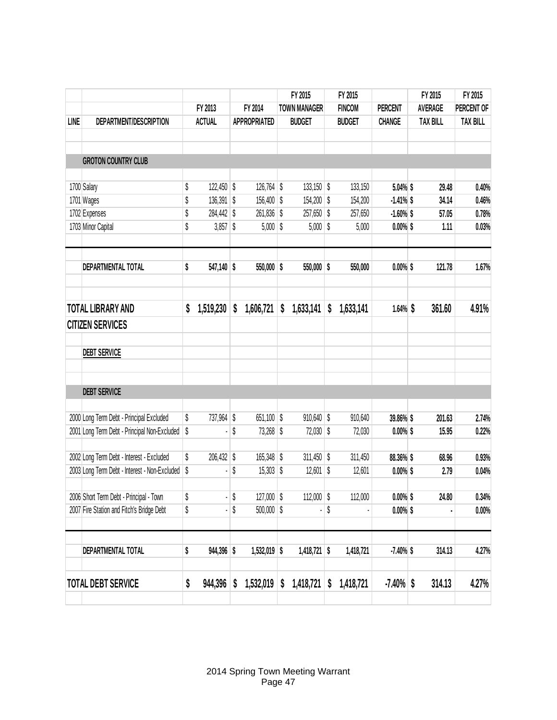|                           |                                                                                                                                                                                                                                                                                                                                                                                                                                                               |               |                                                                                                              |                     | FY 2015                                                                                                                                                                                           |                           | FY 2015                                                                                                                                                            |                    | FY 2015                                                                                                                                                                                    | FY 2015                                                      |
|---------------------------|---------------------------------------------------------------------------------------------------------------------------------------------------------------------------------------------------------------------------------------------------------------------------------------------------------------------------------------------------------------------------------------------------------------------------------------------------------------|---------------|--------------------------------------------------------------------------------------------------------------|---------------------|---------------------------------------------------------------------------------------------------------------------------------------------------------------------------------------------------|---------------------------|--------------------------------------------------------------------------------------------------------------------------------------------------------------------|--------------------|--------------------------------------------------------------------------------------------------------------------------------------------------------------------------------------------|--------------------------------------------------------------|
|                           |                                                                                                                                                                                                                                                                                                                                                                                                                                                               | FY 2013       | FY 2014                                                                                                      |                     |                                                                                                                                                                                                   |                           | <b>FINCOM</b>                                                                                                                                                      | <b>PERCENT</b>     |                                                                                                                                                                                            | PERCENT OF                                                   |
| DEPARTMENT/DESCRIPTION    |                                                                                                                                                                                                                                                                                                                                                                                                                                                               | <b>ACTUAL</b> |                                                                                                              |                     | <b>BUDGET</b>                                                                                                                                                                                     |                           | <b>BUDGET</b>                                                                                                                                                      | <b>CHANGE</b>      | <b>TAX BILL</b>                                                                                                                                                                            | <b>TAX BILL</b>                                              |
|                           |                                                                                                                                                                                                                                                                                                                                                                                                                                                               |               |                                                                                                              |                     |                                                                                                                                                                                                   |                           |                                                                                                                                                                    |                    |                                                                                                                                                                                            |                                                              |
|                           |                                                                                                                                                                                                                                                                                                                                                                                                                                                               |               |                                                                                                              |                     |                                                                                                                                                                                                   |                           |                                                                                                                                                                    |                    |                                                                                                                                                                                            |                                                              |
|                           |                                                                                                                                                                                                                                                                                                                                                                                                                                                               |               |                                                                                                              |                     |                                                                                                                                                                                                   |                           |                                                                                                                                                                    |                    |                                                                                                                                                                                            |                                                              |
|                           | \$                                                                                                                                                                                                                                                                                                                                                                                                                                                            |               |                                                                                                              |                     |                                                                                                                                                                                                   |                           | 133,150                                                                                                                                                            |                    | 29.48                                                                                                                                                                                      | 0.40%                                                        |
|                           | \$                                                                                                                                                                                                                                                                                                                                                                                                                                                            |               |                                                                                                              |                     |                                                                                                                                                                                                   |                           | 154,200                                                                                                                                                            |                    | 34.14                                                                                                                                                                                      | 0.46%                                                        |
|                           | \$                                                                                                                                                                                                                                                                                                                                                                                                                                                            |               |                                                                                                              |                     |                                                                                                                                                                                                   |                           | 257,650                                                                                                                                                            |                    | 57.05                                                                                                                                                                                      | 0.78%                                                        |
|                           | \$                                                                                                                                                                                                                                                                                                                                                                                                                                                            |               |                                                                                                              |                     |                                                                                                                                                                                                   |                           | 5,000                                                                                                                                                              |                    | 1.11                                                                                                                                                                                       | 0.03%                                                        |
|                           |                                                                                                                                                                                                                                                                                                                                                                                                                                                               |               |                                                                                                              |                     |                                                                                                                                                                                                   |                           |                                                                                                                                                                    |                    |                                                                                                                                                                                            | 1.67%                                                        |
|                           |                                                                                                                                                                                                                                                                                                                                                                                                                                                               |               |                                                                                                              |                     |                                                                                                                                                                                                   |                           |                                                                                                                                                                    |                    |                                                                                                                                                                                            |                                                              |
|                           | \$                                                                                                                                                                                                                                                                                                                                                                                                                                                            | 1,519,230     | \$<br>1,606,721                                                                                              | \$                  | 1,633,141                                                                                                                                                                                         | \$                        | 1,633,141                                                                                                                                                          |                    | 361.60                                                                                                                                                                                     | 4.91%                                                        |
|                           |                                                                                                                                                                                                                                                                                                                                                                                                                                                               |               |                                                                                                              |                     |                                                                                                                                                                                                   |                           |                                                                                                                                                                    |                    |                                                                                                                                                                                            |                                                              |
| <b>DEBT SERVICE</b>       |                                                                                                                                                                                                                                                                                                                                                                                                                                                               |               |                                                                                                              |                     |                                                                                                                                                                                                   |                           |                                                                                                                                                                    |                    |                                                                                                                                                                                            |                                                              |
| <b>DEBT SERVICE</b>       |                                                                                                                                                                                                                                                                                                                                                                                                                                                               |               |                                                                                                              |                     |                                                                                                                                                                                                   |                           |                                                                                                                                                                    |                    |                                                                                                                                                                                            |                                                              |
|                           |                                                                                                                                                                                                                                                                                                                                                                                                                                                               |               |                                                                                                              |                     |                                                                                                                                                                                                   |                           |                                                                                                                                                                    |                    |                                                                                                                                                                                            | 2.74%                                                        |
|                           | \$                                                                                                                                                                                                                                                                                                                                                                                                                                                            |               | \$                                                                                                           |                     |                                                                                                                                                                                                   |                           | 72,030                                                                                                                                                             |                    | 15.95                                                                                                                                                                                      | 0.22%                                                        |
|                           | \$                                                                                                                                                                                                                                                                                                                                                                                                                                                            |               |                                                                                                              |                     |                                                                                                                                                                                                   |                           | 311,450                                                                                                                                                            |                    | 68.96                                                                                                                                                                                      | 0.93%                                                        |
|                           | \$                                                                                                                                                                                                                                                                                                                                                                                                                                                            |               | \$                                                                                                           |                     |                                                                                                                                                                                                   |                           | 12,601                                                                                                                                                             |                    | 2.79                                                                                                                                                                                       | 0.04%                                                        |
|                           | \$                                                                                                                                                                                                                                                                                                                                                                                                                                                            |               | \$                                                                                                           |                     |                                                                                                                                                                                                   |                           | 112,000                                                                                                                                                            |                    | 24.80                                                                                                                                                                                      | 0.34%                                                        |
|                           | \$                                                                                                                                                                                                                                                                                                                                                                                                                                                            |               | \$                                                                                                           |                     |                                                                                                                                                                                                   | \$                        |                                                                                                                                                                    |                    |                                                                                                                                                                                            | 0.00%                                                        |
| DEPARTMENTAL TOTAL        | \$                                                                                                                                                                                                                                                                                                                                                                                                                                                            |               |                                                                                                              |                     |                                                                                                                                                                                                   |                           | 1,418,721                                                                                                                                                          |                    | 314.13                                                                                                                                                                                     | 4.27%                                                        |
| <b>TOTAL DEBT SERVICE</b> | \$                                                                                                                                                                                                                                                                                                                                                                                                                                                            | 944,396       | \$                                                                                                           |                     | 1,418,721                                                                                                                                                                                         | \$                        | 1,418,721                                                                                                                                                          |                    |                                                                                                                                                                                            | 4.27%                                                        |
|                           | <b>GROTON COUNTRY CLUB</b><br>1700 Salary<br>1701 Wages<br>1702 Expenses<br>1703 Minor Capital<br>DEPARTMENTAL TOTAL<br><b>TOTAL LIBRARY AND</b><br><b>CITIZEN SERVICES</b><br>2000 Long Term Debt - Principal Excluded<br>2001 Long Term Debt - Principal Non-Excluded<br>2002 Long Term Debt - Interest - Excluded<br>2003 Long Term Debt - Interest - Non-Excluded<br>2006 Short Term Debt - Principal - Town<br>2007 Fire Station and Fitch's Bridge Debt | \$<br>\$      | 122,450 \$<br>136,391 \$<br>284,442 \$<br>$3,857$ \$<br>547,140 \$<br>737,964 \$<br>206,432 \$<br>944,396 \$ | <b>APPROPRIATED</b> | $126,764$ \$<br>$156,400$ \$<br>261,836 \$<br>$5,000$ \$<br>$550,000$ \$<br>$651,100$ \$<br>73,268 \$<br>165,348 \$<br>$15,303$ \$<br>$127,000$ \$<br>$500,000$ \$<br>$1,532,019$ \$<br>1,532,019 | <b>TOWN MANAGER</b><br>\$ | $133,150$ \$<br>154,200 \$<br>257,650 \$<br>$5,000$ \$<br>$550,000$ \$<br>910,640 \$<br>$72,030$ \$<br>$311,450$ \$<br>$12,601$ \$<br>112,000 \$<br>$1,418,721$ \$ | 550,000<br>910,640 | 5.04% \$<br>$-1.41\%$ \$<br>$-1.60\%$ \$<br>$0.00\%$ \$<br>$0.00\%$ \$<br>$1.64\%$ \$<br>39.86% \$<br>$0.00\%$ \$<br>88.36% \$<br>$0.00\%$ \$<br>$0.00\%$ \$<br>$0.00\%$ \$<br>$-7.40%$ \$ | <b>AVERAGE</b><br>121.78<br>201.63<br>$-7.40\%$ \$<br>314.13 |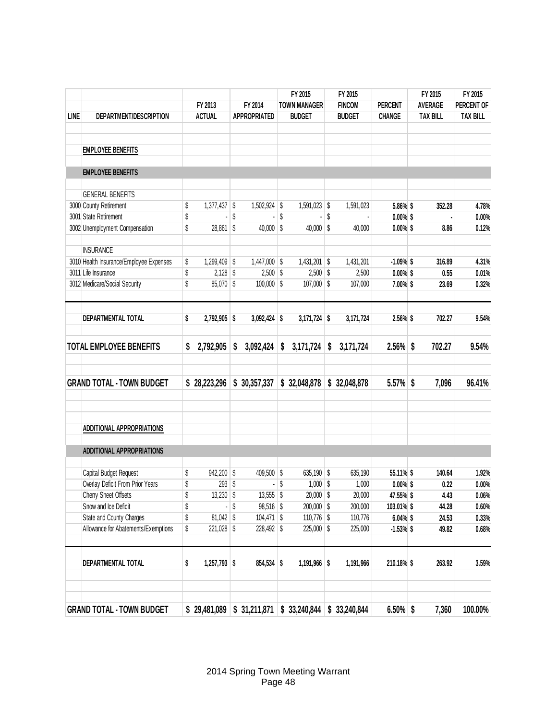|      |                                         |        |                |    |                     | FY 2015             | FY 2015         |                | FY 2015         | FY 2015         |
|------|-----------------------------------------|--------|----------------|----|---------------------|---------------------|-----------------|----------------|-----------------|-----------------|
|      |                                         |        | FY 2013        |    | FY 2014             | <b>TOWN MANAGER</b> | <b>FINCOM</b>   | <b>PERCENT</b> | <b>AVERAGE</b>  | PERCENT OF      |
| LINE | DEPARTMENT/DESCRIPTION                  |        | <b>ACTUAL</b>  |    | <b>APPROPRIATED</b> | <b>BUDGET</b>       | <b>BUDGET</b>   | <b>CHANGE</b>  | <b>TAX BILL</b> | <b>TAX BILL</b> |
|      | <b>EMPLOYEE BENEFITS</b>                |        |                |    |                     |                     |                 |                |                 |                 |
|      | <b>EMPLOYEE BENEFITS</b>                |        |                |    |                     |                     |                 |                |                 |                 |
|      | <b>GENERAL BENEFITS</b>                 |        |                |    |                     |                     |                 |                |                 |                 |
|      | 3000 County Retirement                  | \$     | $1,377,437$ \$ |    | 1,502,924 \$        | 1,591,023 \$        | 1,591,023       | 5.86% \$       | 352.28          | 4.78%           |
|      | 3001 State Retirement                   | \$     |                | S  | $\overline{a}$      | \$                  | \$              | $0.00\%$ \$    |                 | 0.00%           |
|      | 3002 Unemployment Compensation          | \$     | $28,861$ \$    |    | $40,000$ \$         | 40,000 \$           | 40,000          | $0.00\%$ \$    | 8.86            | 0.12%           |
|      | <b>INSURANCE</b>                        |        |                |    |                     |                     |                 |                |                 |                 |
|      | 3010 Health Insurance/Employee Expenses | \$     | 1,299,409 \$   |    | $1,447,000$ \$      | $1,431,201$ \$      | 1,431,201       | $-1.09%$ \$    | 316.89          | 4.31%           |
|      | 3011 Life Insurance                     | \$     | $2,128$ \$     |    | $2,500$ \$          | $2,500$ \$          | 2,500           | $0.00\%$ \$    | 0.55            | 0.01%           |
|      | 3012 Medicare/Social Security           | \$     | 85,070 \$      |    | $100,000$ \$        | 107,000 \$          | 107,000         | 7.00% \$       | 23.69           | 0.32%           |
|      | DEPARTMENTAL TOTAL                      | \$     | 2,792,905 \$   |    | $3,092,424$ \$      | $3,171,724$ \$      | 3,171,724       | 2.56% \$       | 702.27          | 9.54%           |
|      | <b>TOTAL EMPLOYEE BENEFITS</b>          | \$     | 2,792,905      | \$ | 3,092,424           | \$<br>3,171,724     | \$<br>3,171,724 | 2.56%          | \$<br>702.27    | 9.54%           |
|      | <b>GRAND TOTAL - TOWN BUDGET</b>        |        | \$28,223,296   |    | \$30,357,337        | \$32,048,878        | \$32,048,878    | 5.57%          | \$<br>7,096     | 96.41%          |
|      | ADDITIONAL APPROPRIATIONS               |        |                |    |                     |                     |                 |                |                 |                 |
|      | <b>ADDITIONAL APPROPRIATIONS</b>        |        |                |    |                     |                     |                 |                |                 |                 |
|      | Capital Budget Request                  | \$     | 942,200 \$     |    | 409,500 \$          | $635,190$ \$        | 635,190         | 55.11% \$      | 140.64          | 1.92%           |
|      | Overlay Deficit From Prior Years        | \$     | $293$ \$       |    | ä,                  | \$<br>$1,000$ \$    | 1,000           | $0.00\%$ \$    | 0.22            | 0.00%           |
|      | Cherry Sheet Offsets                    | Λ<br>Φ | 13,230 \$      |    | 13,555 \$           | $20,000$ \$         | 20,000          | 47.55% \$      | 4.43            | 0.06%           |
|      | Snow and Ice Deficit                    | \$     |                | Ŝ. | 98,516 \$           | 200,000 \$          | 200,000         | 103.01% \$     | 44.28           | 0.60%           |
|      | State and County Charges                | \$     | $81,042$ \$    |    | $104,471$ \$        | 110,776 \$          | 110,776         | $6.04\%$ \$    | 24.53           | 0.33%           |
|      | Allowance for Abatements/Exemptions     | \$     | 221,028 \$     |    | 228,492 \$          | 225,000 \$          | 225,000         | $-1.53%$ \$    | 49.82           | 0.68%           |
|      | DEPARTMENTAL TOTAL                      | \$     | $1,257,793$ \$ |    | 854,534 \$          | 1,191,966 \$        | 1,191,966       | 210.18% \$     | 263.92          | 3.59%           |
|      | <b>GRAND TOTAL - TOWN BUDGET</b>        |        | \$29,481,089   |    | \$31,211,871        | \$33,240,844        | \$33,240,844    | $6.50\%$ \$    | 7,360           | 100.00%         |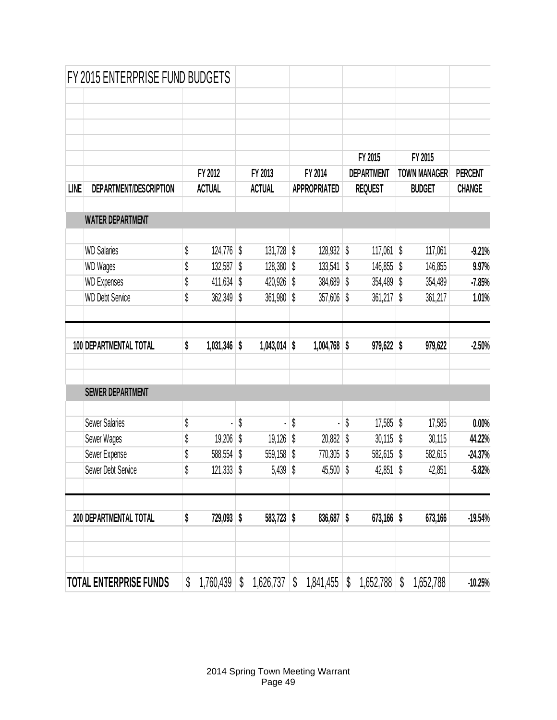|      | FY 2015 ENTERPRISE FUND BUDGETS |                      |                 |                     |                         |                   |    |                     |                |
|------|---------------------------------|----------------------|-----------------|---------------------|-------------------------|-------------------|----|---------------------|----------------|
|      |                                 |                      |                 |                     |                         |                   |    |                     |                |
|      |                                 |                      |                 |                     |                         |                   |    |                     |                |
|      |                                 |                      |                 |                     |                         |                   |    |                     |                |
|      |                                 |                      |                 |                     |                         |                   |    |                     |                |
|      |                                 |                      |                 |                     |                         | FY 2015           |    | FY 2015             |                |
|      |                                 | FY 2012              | FY 2013         | FY 2014             |                         | <b>DEPARTMENT</b> |    | <b>TOWN MANAGER</b> | <b>PERCENT</b> |
| LINE | DEPARTMENT/DESCRIPTION          | <b>ACTUAL</b>        | <b>ACTUAL</b>   | <b>APPROPRIATED</b> |                         | <b>REQUEST</b>    |    | <b>BUDGET</b>       | <b>CHANGE</b>  |
|      |                                 |                      |                 |                     |                         |                   |    |                     |                |
|      | <b>WATER DEPARTMENT</b>         |                      |                 |                     |                         |                   |    |                     |                |
|      | <b>WD Salaries</b>              | \$<br>124,776 \$     | 131,728         | \$<br>128,932 \$    |                         | $117,061$ \$      |    | 117,061             | $-9.21%$       |
|      | <b>WD Wages</b>                 | \$<br>$132,587$ \$   | 128,380         | \$<br>133,541       | \$                      | 146,855 \$        |    | 146,855             | 9.97%          |
|      | <b>WD Expenses</b>              | \$<br>$411,634$ \$   | 420,926         | \$<br>384,689       | $\sqrt[6]{\frac{1}{2}}$ | 354,489 \$        |    | 354,489             | $-7.85%$       |
|      | <b>WD Debt Service</b>          | \$<br>$362,349$ \$   | 361,980         | \$<br>357,606       | S                       | 361,217           | \$ | 361,217             | 1.01%          |
|      |                                 |                      |                 |                     |                         |                   |    |                     |                |
|      |                                 |                      |                 |                     |                         |                   |    |                     |                |
|      | 100 DEPARTMENTAL TOTAL          | \$<br>$1,031,346$ \$ | 1,043,014       | \$<br>1,004,768     | \$                      | $979,622$ \$      |    | 979,622             | $-2.50%$       |
|      |                                 |                      |                 |                     |                         |                   |    |                     |                |
|      | <b>SEWER DEPARTMENT</b>         |                      |                 |                     |                         |                   |    |                     |                |
|      | Sewer Salaries                  | \$                   | \$              | \$                  | \$                      | $17,585$ \$       |    | 17,585              | 0.00%          |
|      | Sewer Wages                     | \$<br>19,206         | \$<br>19,126    | \$<br>20,882        | \$                      | 30,115            | \$ | 30,115              | 44.22%         |
|      | Sewer Expense                   | \$<br>588,554 \$     | 559,158         | \$<br>770,305       | S                       | 582,615           | \$ | 582,615             | $-24.37%$      |
|      | Sewer Debt Service              | \$<br>$121,333$ \$   | 5,439           | \$<br>45,500        | \$                      | 42,851            | \$ | 42,851              | $-5.82%$       |
|      |                                 |                      |                 |                     |                         |                   |    |                     |                |
|      | 200 DEPARTMENTAL TOTAL          | \$<br>729,093 \$     | $583,723$ \$    | 836,687 \$          |                         | $673,166$ \$      |    | 673,166             | $-19.54%$      |
|      |                                 |                      |                 |                     |                         |                   |    |                     |                |
|      |                                 |                      |                 |                     |                         |                   |    |                     |                |
|      | TOTAL ENTERPRISE FUNDS          | \$<br>1,760,439      | \$<br>1,626,737 | \$<br>1,841,455     | S                       | 1,652,788         | S  | 1,652,788           | $-10.25%$      |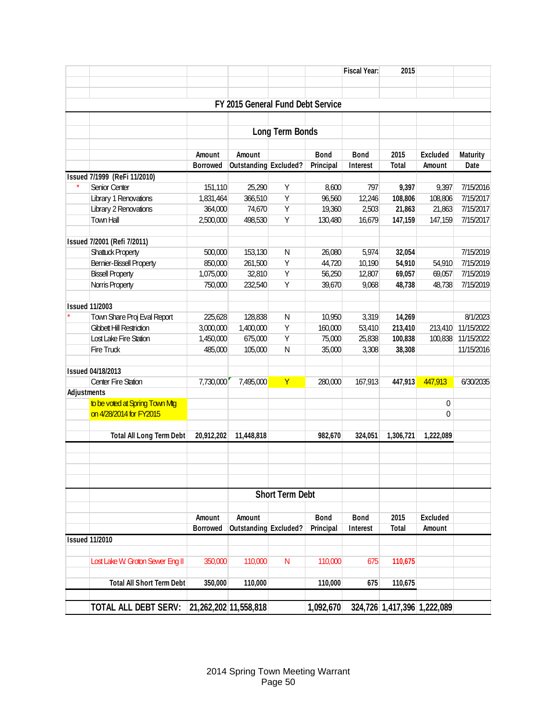|                                  |                           |                                   |                        |                   | Fiscal Year:     | 2015                        |                    |            |
|----------------------------------|---------------------------|-----------------------------------|------------------------|-------------------|------------------|-----------------------------|--------------------|------------|
|                                  |                           |                                   |                        |                   |                  |                             |                    |            |
|                                  |                           | FY 2015 General Fund Debt Service |                        |                   |                  |                             |                    |            |
|                                  |                           |                                   |                        |                   |                  |                             |                    |            |
|                                  |                           |                                   | Long Term Bonds        |                   |                  |                             |                    |            |
|                                  | Amount                    | Amount                            |                        | Bond              | Bond             | 2015                        | <b>Excluded</b>    | Maturity   |
|                                  | <b>Borrowed</b>           | Outstanding Excluded?             |                        | Principal         | Interest         | Total                       | Amount             | Date       |
| Issued 7/1999 (ReFi 11/2010)     |                           |                                   |                        |                   |                  |                             |                    |            |
| ×<br>Senior Center               | 151,110                   | 25,290                            | Υ                      | 8,600             | 797              | 9,397                       | 9,397              | 7/15/2016  |
| Library 1 Renovations            | 1,831,464                 | 366,510                           | Υ                      | 96,560            | 12,246           | 108,806                     | 108,806            | 7/15/2017  |
| Library 2 Renovations            | 364,000                   | 74,670                            | Υ                      | 19,360            | 2,503            | 21,863                      | 21,863             | 7/15/2017  |
| Town Hall                        | 2,500,000                 | 498,530                           | Υ                      | 130,480           | 16,679           | 147,159                     | 147,159            | 7/15/2017  |
| Issued 7/2001 (Refi 7/2011)      |                           |                                   |                        |                   |                  |                             |                    |            |
| Shattuck Property                | 500,000                   | 153,130                           | ${\sf N}$              | 26,080            | 5,974            | 32,054                      |                    | 7/15/2019  |
| Bernier-Bissell Property         | 850,000                   | 261,500                           | Υ                      | 44,720            | 10,190           | 54,910                      | 54,910             | 7/15/2019  |
| <b>Bissell Property</b>          | 1,075,000                 | 32,810                            | Υ                      | 56,250            | 12,807           | 69,057                      | 69,057             | 7/15/2019  |
| Norris Property                  | 750,000                   | 232,540                           | Υ                      | 39,670            | 9,068            | 48,738                      | 48,738             | 7/15/2019  |
| <b>Issued 11/2003</b>            |                           |                                   |                        |                   |                  |                             |                    |            |
| Town Share Proj Eval Report      | 225,628                   | 128,838                           | ${\sf N}$              | 10,950            | 3,319            | 14,269                      |                    | 8/1/2023   |
| Gibbett Hill Restriction         | 3,000,000                 | 1,400,000                         | Υ                      | 160,000           | 53,410           | 213,410                     | 213,410            | 11/15/2022 |
| Lost Lake Fire Station           | 1,450,000                 | 675,000                           | Υ                      | 75,000            | 25,838           | 100,838                     | 100,838            | 11/15/2022 |
| Fire Truck                       | 485,000                   | 105,000                           | ${\sf N}$              | 35,000            | 3,308            | 38,308                      |                    | 11/15/2016 |
| Issued 04/18/2013                |                           |                                   |                        |                   |                  |                             |                    |            |
| Center Fire Station              | 7,730,000                 | 7,495,000                         | Y                      | 280,000           | 167,913          | 447,913                     | 447,913            | 6/30/2035  |
| Adjustments                      |                           |                                   |                        |                   |                  |                             |                    |            |
| to be voted at Spring Town Mtg   |                           |                                   |                        |                   |                  |                             | 0                  |            |
| on 4/28/2014 for FY2015          |                           |                                   |                        |                   |                  |                             | $\mathbf 0$        |            |
|                                  |                           |                                   |                        |                   |                  |                             |                    |            |
| <b>Total All Long Term Debt</b>  | 20,912,202                | 11,448,818                        |                        | 982,670           | 324,051          | 1,306,721                   | 1,222,089          |            |
|                                  |                           |                                   |                        |                   |                  |                             |                    |            |
|                                  |                           |                                   |                        |                   |                  |                             |                    |            |
|                                  |                           |                                   | <b>Short Term Debt</b> |                   |                  |                             |                    |            |
|                                  |                           |                                   |                        |                   |                  |                             |                    |            |
|                                  | Amount<br><b>Borrowed</b> | Amount<br>Outstanding Excluded?   |                        | Bond<br>Principal | Bond<br>Interest | 2015<br>Total               | Excluded<br>Amount |            |
| <b>Issued 11/2010</b>            |                           |                                   |                        |                   |                  |                             |                    |            |
|                                  |                           |                                   |                        |                   |                  |                             |                    |            |
| Lost Lake W. Groton Sewer Eng II | 350,000                   | 110,000                           | $\mathsf{N}$           | 110,000           | 675              | 110,675                     |                    |            |
| <b>Total All Short Term Debt</b> | 350,000                   | 110,000                           |                        | 110,000           | 675              | 110,675                     |                    |            |
|                                  |                           |                                   |                        |                   |                  |                             |                    |            |
| TOTAL ALL DEBT SERV:             |                           | 21,262,202 11,558,818             |                        | 1,092,670         |                  | 324,726 1,417,396 1,222,089 |                    |            |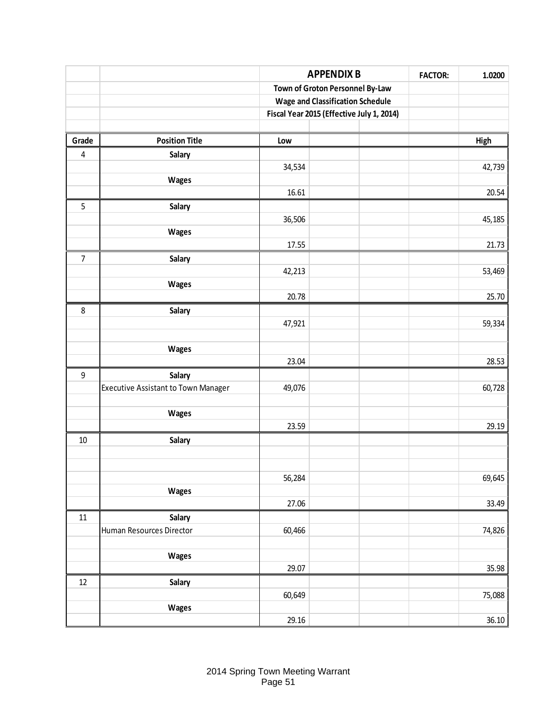|                  |                                     | <b>APPENDIX B</b>                         | <b>FACTOR:</b> | 1.0200 |        |
|------------------|-------------------------------------|-------------------------------------------|----------------|--------|--------|
|                  |                                     | Town of Groton Personnel By-Law           |                |        |        |
|                  |                                     | <b>Wage and Classification Schedule</b>   |                |        |        |
|                  |                                     | Fiscal Year 2015 (Effective July 1, 2014) |                |        |        |
|                  |                                     |                                           |                |        |        |
| Grade            | <b>Position Title</b>               | Low                                       |                |        | High   |
| $\pmb{4}$        | Salary                              |                                           |                |        |        |
|                  |                                     | 34,534                                    |                |        | 42,739 |
|                  | Wages                               |                                           |                |        |        |
|                  |                                     | 16.61                                     |                |        | 20.54  |
| 5                | Salary                              |                                           |                |        |        |
|                  |                                     | 36,506                                    |                |        | 45,185 |
|                  | Wages                               |                                           |                |        |        |
|                  |                                     | 17.55                                     |                |        | 21.73  |
| $\overline{7}$   | Salary                              |                                           |                |        |        |
|                  |                                     | 42,213                                    |                |        | 53,469 |
|                  | Wages                               |                                           |                |        |        |
|                  |                                     | 20.78                                     |                |        | 25.70  |
| 8                | Salary                              |                                           |                |        |        |
|                  |                                     | 47,921                                    |                |        | 59,334 |
|                  |                                     |                                           |                |        |        |
|                  | Wages                               |                                           |                |        |        |
|                  |                                     | 23.04                                     |                |        | 28.53  |
| $\boldsymbol{9}$ | Salary                              |                                           |                |        |        |
|                  | Executive Assistant to Town Manager | 49,076                                    |                |        | 60,728 |
|                  |                                     |                                           |                |        |        |
|                  | Wages                               | 23.59                                     |                |        | 29.19  |
| $10\,$           | Salary                              |                                           |                |        |        |
|                  |                                     |                                           |                |        |        |
|                  |                                     |                                           |                |        |        |
|                  |                                     | 56,284                                    |                |        | 69,645 |
|                  | Wages                               |                                           |                |        |        |
|                  |                                     | 27.06                                     |                |        | 33.49  |
| $11\,$           | Salary                              |                                           |                |        |        |
|                  | Human Resources Director            | 60,466                                    |                |        | 74,826 |
|                  |                                     |                                           |                |        |        |
|                  | Wages                               |                                           |                |        |        |
|                  |                                     | 29.07                                     |                |        | 35.98  |
| $12\,$           | Salary                              |                                           |                |        |        |
|                  |                                     | 60,649                                    |                |        | 75,088 |
|                  | Wages                               |                                           |                |        |        |
|                  |                                     | 29.16                                     |                |        | 36.10  |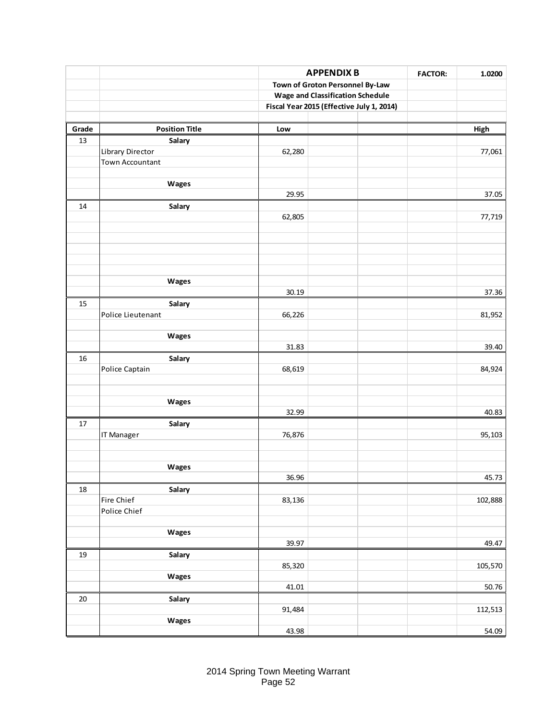|        |                                 | <b>APPENDIX B</b>                         |                                         | <b>FACTOR:</b> | 1.0200  |  |
|--------|---------------------------------|-------------------------------------------|-----------------------------------------|----------------|---------|--|
|        | Town of Groton Personnel By-Law |                                           |                                         |                |         |  |
|        |                                 |                                           | <b>Wage and Classification Schedule</b> |                |         |  |
|        |                                 | Fiscal Year 2015 (Effective July 1, 2014) |                                         |                |         |  |
|        |                                 |                                           |                                         |                |         |  |
| Grade  | <b>Position Title</b>           | Low                                       |                                         |                | High    |  |
| 13     | Salary                          |                                           |                                         |                |         |  |
|        | Library Director                | 62,280                                    |                                         |                | 77,061  |  |
|        | Town Accountant                 |                                           |                                         |                |         |  |
|        |                                 |                                           |                                         |                |         |  |
|        | Wages                           |                                           |                                         |                |         |  |
|        |                                 | 29.95                                     |                                         |                | 37.05   |  |
| 14     | Salary                          |                                           |                                         |                |         |  |
|        |                                 | 62,805                                    |                                         |                | 77,719  |  |
|        |                                 |                                           |                                         |                |         |  |
|        |                                 |                                           |                                         |                |         |  |
|        |                                 |                                           |                                         |                |         |  |
|        |                                 |                                           |                                         |                |         |  |
|        |                                 |                                           |                                         |                |         |  |
|        | Wages                           |                                           |                                         |                |         |  |
|        |                                 | 30.19                                     |                                         |                | 37.36   |  |
| 15     | Salary                          |                                           |                                         |                |         |  |
|        | Police Lieutenant               | 66,226                                    |                                         |                | 81,952  |  |
|        |                                 |                                           |                                         |                |         |  |
|        | Wages                           |                                           |                                         |                |         |  |
|        |                                 | 31.83                                     |                                         |                | 39.40   |  |
| 16     | Salary                          |                                           |                                         |                |         |  |
|        | Police Captain                  | 68,619                                    |                                         |                | 84,924  |  |
|        |                                 |                                           |                                         |                |         |  |
|        |                                 |                                           |                                         |                |         |  |
|        | Wages                           |                                           |                                         |                |         |  |
|        |                                 | 32.99                                     |                                         |                | 40.83   |  |
| 17     | Salary                          |                                           |                                         |                |         |  |
|        | IT Manager                      | 76,876                                    |                                         |                | 95,103  |  |
|        |                                 |                                           |                                         |                |         |  |
|        |                                 |                                           |                                         |                |         |  |
|        | Wages                           |                                           |                                         |                |         |  |
|        |                                 | 36.96                                     |                                         |                | 45.73   |  |
| 18     | Salary                          |                                           |                                         |                |         |  |
|        | Fire Chief                      | 83,136                                    |                                         |                | 102,888 |  |
|        | Police Chief                    |                                           |                                         |                |         |  |
|        |                                 |                                           |                                         |                |         |  |
|        | Wages                           |                                           |                                         |                |         |  |
|        |                                 | 39.97                                     |                                         |                | 49.47   |  |
| 19     | Salary                          |                                           |                                         |                |         |  |
|        |                                 | 85,320                                    |                                         |                | 105,570 |  |
|        | Wages                           |                                           |                                         |                |         |  |
|        |                                 | 41.01                                     |                                         |                | 50.76   |  |
| $20\,$ |                                 |                                           |                                         |                |         |  |
|        | Salary                          |                                           |                                         |                |         |  |
|        |                                 | 91,484                                    |                                         |                | 112,513 |  |
|        | Wages                           |                                           |                                         |                |         |  |
|        |                                 | 43.98                                     |                                         |                | 54.09   |  |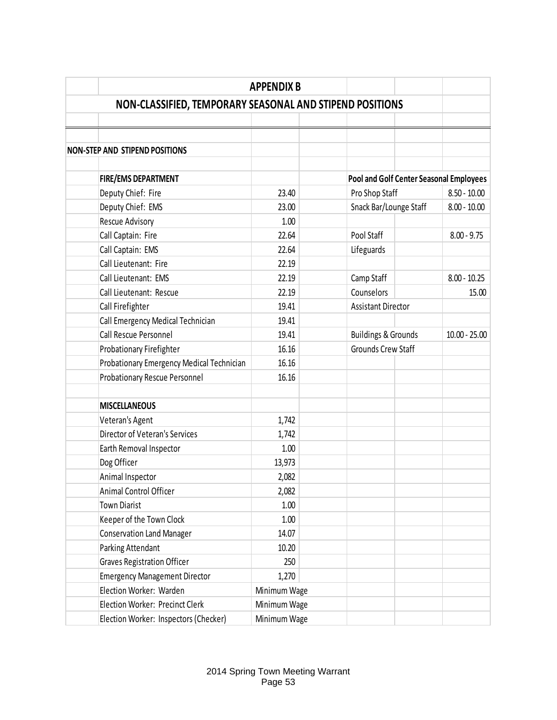| <b>APPENDIX B</b>                                        |              |                                         |                 |  |  |  |  |  |
|----------------------------------------------------------|--------------|-----------------------------------------|-----------------|--|--|--|--|--|
| NON-CLASSIFIED, TEMPORARY SEASONAL AND STIPEND POSITIONS |              |                                         |                 |  |  |  |  |  |
|                                                          |              |                                         |                 |  |  |  |  |  |
|                                                          |              |                                         |                 |  |  |  |  |  |
| <b>NON-STEP AND STIPEND POSITIONS</b>                    |              |                                         |                 |  |  |  |  |  |
|                                                          |              |                                         |                 |  |  |  |  |  |
| <b>FIRE/EMS DEPARTMENT</b>                               |              | Pool and Golf Center Seasonal Employees |                 |  |  |  |  |  |
| Deputy Chief: Fire                                       | 23.40        | Pro Shop Staff                          | $8.50 - 10.00$  |  |  |  |  |  |
| Deputy Chief: EMS                                        | 23.00        | Snack Bar/Lounge Staff                  | $8.00 - 10.00$  |  |  |  |  |  |
| Rescue Advisory                                          | 1.00         |                                         |                 |  |  |  |  |  |
| Call Captain: Fire                                       | 22.64        | Pool Staff                              | $8.00 - 9.75$   |  |  |  |  |  |
| Call Captain: EMS                                        | 22.64        | Lifeguards                              |                 |  |  |  |  |  |
| Call Lieutenant: Fire                                    | 22.19        |                                         |                 |  |  |  |  |  |
| Call Lieutenant: EMS                                     | 22.19        | Camp Staff                              | $8.00 - 10.25$  |  |  |  |  |  |
| Call Lieutenant: Rescue                                  | 22.19        | Counselors                              | 15.00           |  |  |  |  |  |
| Call Firefighter                                         | 19.41        | <b>Assistant Director</b>               |                 |  |  |  |  |  |
| Call Emergency Medical Technician                        | 19.41        |                                         |                 |  |  |  |  |  |
| Call Rescue Personnel                                    | 19.41        | <b>Buildings &amp; Grounds</b>          | $10.00 - 25.00$ |  |  |  |  |  |
| Probationary Firefighter                                 | 16.16        | Grounds Crew Staff                      |                 |  |  |  |  |  |
| Probationary Emergency Medical Technician                | 16.16        |                                         |                 |  |  |  |  |  |
| <b>Probationary Rescue Personnel</b>                     | 16.16        |                                         |                 |  |  |  |  |  |
|                                                          |              |                                         |                 |  |  |  |  |  |
| <b>MISCELLANEOUS</b>                                     |              |                                         |                 |  |  |  |  |  |
| Veteran's Agent                                          | 1,742        |                                         |                 |  |  |  |  |  |
| Director of Veteran's Services                           | 1,742        |                                         |                 |  |  |  |  |  |
| Earth Removal Inspector                                  | 1.00         |                                         |                 |  |  |  |  |  |
| Dog Officer                                              | 13,973       |                                         |                 |  |  |  |  |  |
| Animal Inspector                                         | 2,082        |                                         |                 |  |  |  |  |  |
| Animal Control Officer                                   | 2,082        |                                         |                 |  |  |  |  |  |
| <b>Town Diarist</b>                                      | 1.00         |                                         |                 |  |  |  |  |  |
| Keeper of the Town Clock                                 | 1.00         |                                         |                 |  |  |  |  |  |
| <b>Conservation Land Manager</b>                         | 14.07        |                                         |                 |  |  |  |  |  |
| Parking Attendant                                        | 10.20        |                                         |                 |  |  |  |  |  |
| <b>Graves Registration Officer</b>                       | 250          |                                         |                 |  |  |  |  |  |
| <b>Emergency Management Director</b>                     | 1,270        |                                         |                 |  |  |  |  |  |
| Election Worker: Warden                                  | Minimum Wage |                                         |                 |  |  |  |  |  |
| Election Worker: Precinct Clerk                          | Minimum Wage |                                         |                 |  |  |  |  |  |
| Election Worker: Inspectors (Checker)                    | Minimum Wage |                                         |                 |  |  |  |  |  |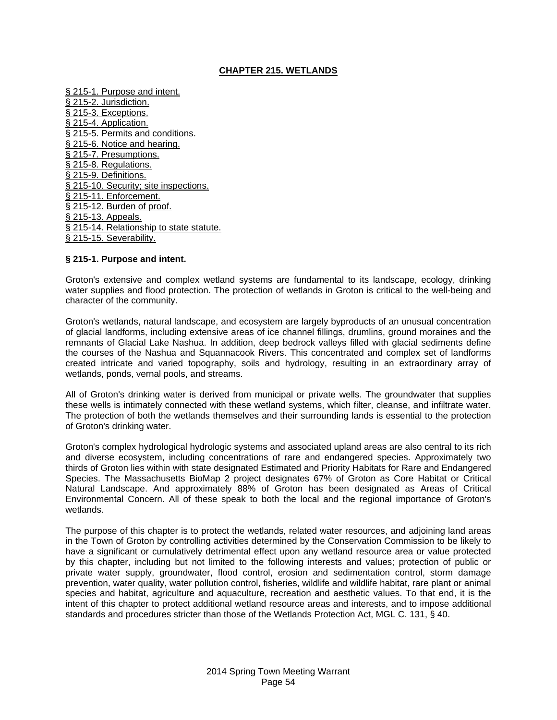#### **CHAPTER 215. WETLANDS**

§ 215-1. Purpose and intent. § 215-2. Jurisdiction. § 215-3. Exceptions. § 215-4. Application. § 215-5. Permits and conditions. § 215-6. Notice and hearing. § 215-7. Presumptions. § 215-8. Regulations. § 215-9. Definitions. § 215-10. Security; site inspections. § 215-11. Enforcement. § 215-12. Burden of proof. § 215-13. Appeals. § 215-14. Relationship to state statute. § 215-15. Severability.

#### **§ 215-1. Purpose and intent.**

Groton's extensive and complex wetland systems are fundamental to its landscape, ecology, drinking water supplies and flood protection. The protection of wetlands in Groton is critical to the well-being and character of the community.

Groton's wetlands, natural landscape, and ecosystem are largely byproducts of an unusual concentration of glacial landforms, including extensive areas of ice channel fillings, drumlins, ground moraines and the remnants of Glacial Lake Nashua. In addition, deep bedrock valleys filled with glacial sediments define the courses of the Nashua and Squannacook Rivers. This concentrated and complex set of landforms created intricate and varied topography, soils and hydrology, resulting in an extraordinary array of wetlands, ponds, vernal pools, and streams.

All of Groton's drinking water is derived from municipal or private wells. The groundwater that supplies these wells is intimately connected with these wetland systems, which filter, cleanse, and infiltrate water. The protection of both the wetlands themselves and their surrounding lands is essential to the protection of Groton's drinking water.

Groton's complex hydrological hydrologic systems and associated upland areas are also central to its rich and diverse ecosystem, including concentrations of rare and endangered species. Approximately two thirds of Groton lies within with state designated Estimated and Priority Habitats for Rare and Endangered Species. The Massachusetts BioMap 2 project designates 67% of Groton as Core Habitat or Critical Natural Landscape. And approximately 88% of Groton has been designated as Areas of Critical Environmental Concern. All of these speak to both the local and the regional importance of Groton's wetlands.

The purpose of this chapter is to protect the wetlands, related water resources, and adjoining land areas in the Town of Groton by controlling activities determined by the Conservation Commission to be likely to have a significant or cumulatively detrimental effect upon any wetland resource area or value protected by this chapter, including but not limited to the following interests and values; protection of public or private water supply, groundwater, flood control, erosion and sedimentation control, storm damage prevention, water quality, water pollution control, fisheries, wildlife and wildlife habitat, rare plant or animal species and habitat, agriculture and aquaculture, recreation and aesthetic values. To that end, it is the intent of this chapter to protect additional wetland resource areas and interests, and to impose additional standards and procedures stricter than those of the Wetlands Protection Act, MGL C. 131, § 40.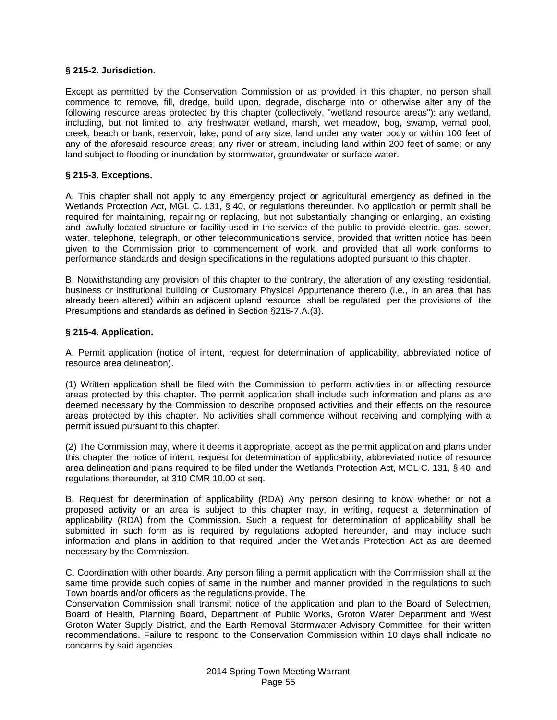#### **§ 215-2. Jurisdiction.**

Except as permitted by the Conservation Commission or as provided in this chapter, no person shall commence to remove, fill, dredge, build upon, degrade, discharge into or otherwise alter any of the following resource areas protected by this chapter (collectively, "wetland resource areas"): any wetland, including, but not limited to, any freshwater wetland, marsh, wet meadow, bog, swamp, vernal pool, creek, beach or bank, reservoir, lake, pond of any size, land under any water body or within 100 feet of any of the aforesaid resource areas; any river or stream, including land within 200 feet of same; or any land subject to flooding or inundation by stormwater, groundwater or surface water.

#### **§ 215-3. Exceptions.**

A. This chapter shall not apply to any emergency project or agricultural emergency as defined in the Wetlands Protection Act, MGL C. 131, § 40, or regulations thereunder. No application or permit shall be required for maintaining, repairing or replacing, but not substantially changing or enlarging, an existing and lawfully located structure or facility used in the service of the public to provide electric, gas, sewer, water, telephone, telegraph, or other telecommunications service, provided that written notice has been given to the Commission prior to commencement of work, and provided that all work conforms to performance standards and design specifications in the regulations adopted pursuant to this chapter.

B. Notwithstanding any provision of this chapter to the contrary, the alteration of any existing residential, business or institutional building or Customary Physical Appurtenance thereto (i.e., in an area that has already been altered) within an adjacent upland resource shall be regulated per the provisions of the Presumptions and standards as defined in Section §215-7.A.(3).

#### **§ 215-4. Application.**

A. Permit application (notice of intent, request for determination of applicability, abbreviated notice of resource area delineation).

(1) Written application shall be filed with the Commission to perform activities in or affecting resource areas protected by this chapter. The permit application shall include such information and plans as are deemed necessary by the Commission to describe proposed activities and their effects on the resource areas protected by this chapter. No activities shall commence without receiving and complying with a permit issued pursuant to this chapter.

(2) The Commission may, where it deems it appropriate, accept as the permit application and plans under this chapter the notice of intent, request for determination of applicability, abbreviated notice of resource area delineation and plans required to be filed under the Wetlands Protection Act, MGL C. 131, § 40, and regulations thereunder, at 310 CMR 10.00 et seq.

B. Request for determination of applicability (RDA) Any person desiring to know whether or not a proposed activity or an area is subject to this chapter may, in writing, request a determination of applicability (RDA) from the Commission. Such a request for determination of applicability shall be submitted in such form as is required by regulations adopted hereunder, and may include such information and plans in addition to that required under the Wetlands Protection Act as are deemed necessary by the Commission.

C. Coordination with other boards. Any person filing a permit application with the Commission shall at the same time provide such copies of same in the number and manner provided in the regulations to such Town boards and/or officers as the regulations provide. The

Conservation Commission shall transmit notice of the application and plan to the Board of Selectmen, Board of Health, Planning Board, Department of Public Works, Groton Water Department and West Groton Water Supply District, and the Earth Removal Stormwater Advisory Committee, for their written recommendations. Failure to respond to the Conservation Commission within 10 days shall indicate no concerns by said agencies.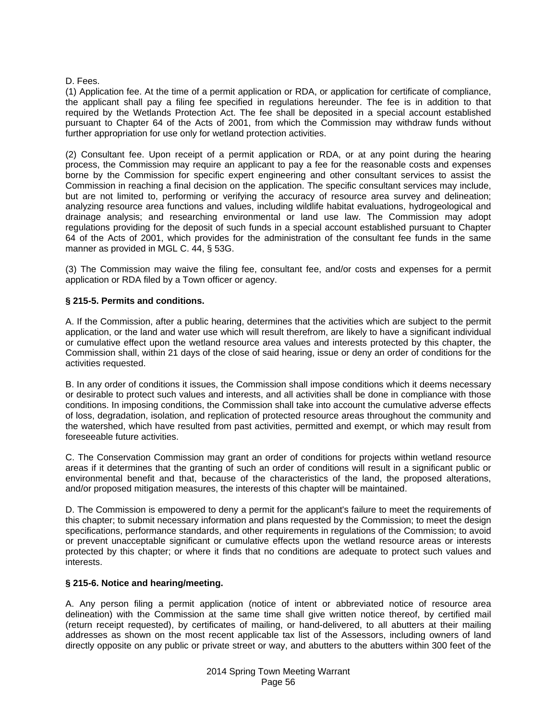#### D. Fees.

(1) Application fee. At the time of a permit application or RDA, or application for certificate of compliance, the applicant shall pay a filing fee specified in regulations hereunder. The fee is in addition to that required by the Wetlands Protection Act. The fee shall be deposited in a special account established pursuant to Chapter 64 of the Acts of 2001, from which the Commission may withdraw funds without further appropriation for use only for wetland protection activities.

(2) Consultant fee. Upon receipt of a permit application or RDA, or at any point during the hearing process, the Commission may require an applicant to pay a fee for the reasonable costs and expenses borne by the Commission for specific expert engineering and other consultant services to assist the Commission in reaching a final decision on the application. The specific consultant services may include, but are not limited to, performing or verifying the accuracy of resource area survey and delineation; analyzing resource area functions and values, including wildlife habitat evaluations, hydrogeological and drainage analysis; and researching environmental or land use law. The Commission may adopt regulations providing for the deposit of such funds in a special account established pursuant to Chapter 64 of the Acts of 2001, which provides for the administration of the consultant fee funds in the same manner as provided in MGL C. 44, § 53G.

(3) The Commission may waive the filing fee, consultant fee, and/or costs and expenses for a permit application or RDA filed by a Town officer or agency.

#### **§ 215-5. Permits and conditions.**

A. If the Commission, after a public hearing, determines that the activities which are subject to the permit application, or the land and water use which will result therefrom, are likely to have a significant individual or cumulative effect upon the wetland resource area values and interests protected by this chapter, the Commission shall, within 21 days of the close of said hearing, issue or deny an order of conditions for the activities requested.

B. In any order of conditions it issues, the Commission shall impose conditions which it deems necessary or desirable to protect such values and interests, and all activities shall be done in compliance with those conditions. In imposing conditions, the Commission shall take into account the cumulative adverse effects of loss, degradation, isolation, and replication of protected resource areas throughout the community and the watershed, which have resulted from past activities, permitted and exempt, or which may result from foreseeable future activities.

C. The Conservation Commission may grant an order of conditions for projects within wetland resource areas if it determines that the granting of such an order of conditions will result in a significant public or environmental benefit and that, because of the characteristics of the land, the proposed alterations, and/or proposed mitigation measures, the interests of this chapter will be maintained.

D. The Commission is empowered to deny a permit for the applicant's failure to meet the requirements of this chapter; to submit necessary information and plans requested by the Commission; to meet the design specifications, performance standards, and other requirements in regulations of the Commission; to avoid or prevent unacceptable significant or cumulative effects upon the wetland resource areas or interests protected by this chapter; or where it finds that no conditions are adequate to protect such values and interests.

#### **§ 215-6. Notice and hearing/meeting.**

A. Any person filing a permit application (notice of intent or abbreviated notice of resource area delineation) with the Commission at the same time shall give written notice thereof, by certified mail (return receipt requested), by certificates of mailing, or hand-delivered, to all abutters at their mailing addresses as shown on the most recent applicable tax list of the Assessors, including owners of land directly opposite on any public or private street or way, and abutters to the abutters within 300 feet of the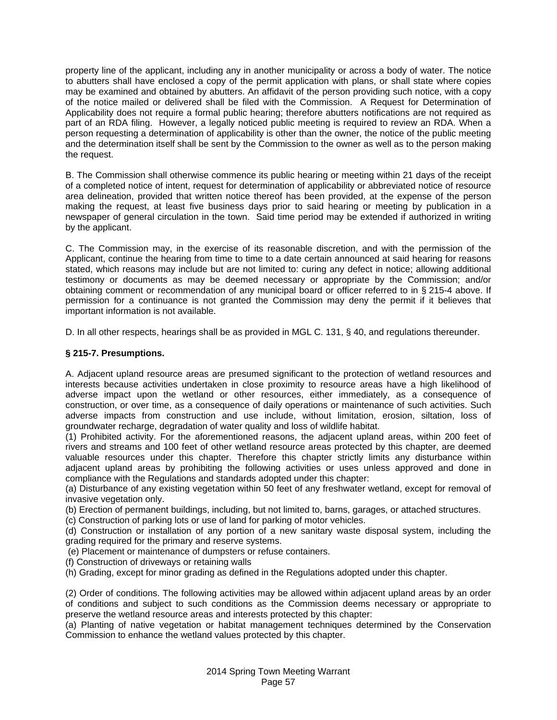property line of the applicant, including any in another municipality or across a body of water. The notice to abutters shall have enclosed a copy of the permit application with plans, or shall state where copies may be examined and obtained by abutters. An affidavit of the person providing such notice, with a copy of the notice mailed or delivered shall be filed with the Commission. A Request for Determination of Applicability does not require a formal public hearing; therefore abutters notifications are not required as part of an RDA filing. However, a legally noticed public meeting is required to review an RDA. When a person requesting a determination of applicability is other than the owner, the notice of the public meeting and the determination itself shall be sent by the Commission to the owner as well as to the person making the request.

B. The Commission shall otherwise commence its public hearing or meeting within 21 days of the receipt of a completed notice of intent, request for determination of applicability or abbreviated notice of resource area delineation, provided that written notice thereof has been provided, at the expense of the person making the request, at least five business days prior to said hearing or meeting by publication in a newspaper of general circulation in the town. Said time period may be extended if authorized in writing by the applicant.

C. The Commission may, in the exercise of its reasonable discretion, and with the permission of the Applicant, continue the hearing from time to time to a date certain announced at said hearing for reasons stated, which reasons may include but are not limited to: curing any defect in notice; allowing additional testimony or documents as may be deemed necessary or appropriate by the Commission; and/or obtaining comment or recommendation of any municipal board or officer referred to in § 215-4 above. If permission for a continuance is not granted the Commission may deny the permit if it believes that important information is not available.

D. In all other respects, hearings shall be as provided in MGL C. 131, § 40, and regulations thereunder.

#### **§ 215-7. Presumptions.**

A. Adjacent upland resource areas are presumed significant to the protection of wetland resources and interests because activities undertaken in close proximity to resource areas have a high likelihood of adverse impact upon the wetland or other resources, either immediately, as a consequence of construction, or over time, as a consequence of daily operations or maintenance of such activities. Such adverse impacts from construction and use include, without limitation, erosion, siltation, loss of groundwater recharge, degradation of water quality and loss of wildlife habitat.

(1) Prohibited activity. For the aforementioned reasons, the adjacent upland areas, within 200 feet of rivers and streams and 100 feet of other wetland resource areas protected by this chapter, are deemed valuable resources under this chapter. Therefore this chapter strictly limits any disturbance within adjacent upland areas by prohibiting the following activities or uses unless approved and done in compliance with the Regulations and standards adopted under this chapter:

(a) Disturbance of any existing vegetation within 50 feet of any freshwater wetland, except for removal of invasive vegetation only.

(b) Erection of permanent buildings, including, but not limited to, barns, garages, or attached structures.

(c) Construction of parking lots or use of land for parking of motor vehicles.

(d) Construction or installation of any portion of a new sanitary waste disposal system, including the grading required for the primary and reserve systems.

(e) Placement or maintenance of dumpsters or refuse containers.

(f) Construction of driveways or retaining walls

(h) Grading, except for minor grading as defined in the Regulations adopted under this chapter.

(2) Order of conditions. The following activities may be allowed within adjacent upland areas by an order of conditions and subject to such conditions as the Commission deems necessary or appropriate to preserve the wetland resource areas and interests protected by this chapter:

(a) Planting of native vegetation or habitat management techniques determined by the Conservation Commission to enhance the wetland values protected by this chapter.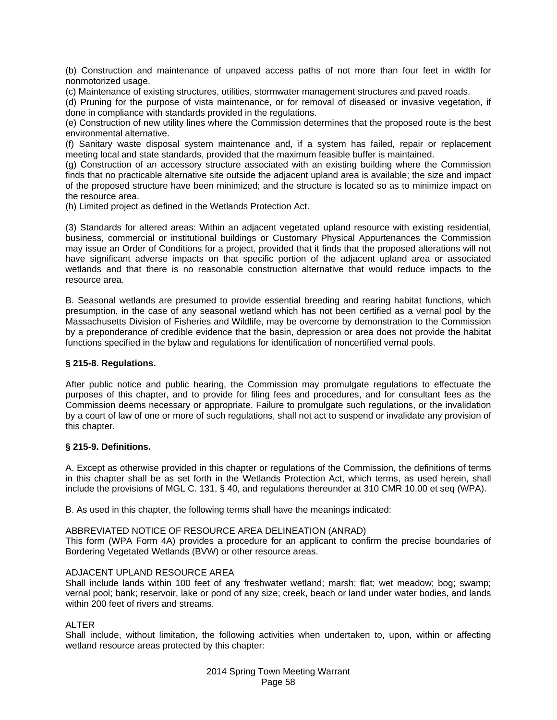(b) Construction and maintenance of unpaved access paths of not more than four feet in width for nonmotorized usage.

(c) Maintenance of existing structures, utilities, stormwater management structures and paved roads.

(d) Pruning for the purpose of vista maintenance, or for removal of diseased or invasive vegetation, if done in compliance with standards provided in the regulations.

(e) Construction of new utility lines where the Commission determines that the proposed route is the best environmental alternative.

(f) Sanitary waste disposal system maintenance and, if a system has failed, repair or replacement meeting local and state standards, provided that the maximum feasible buffer is maintained.

(g) Construction of an accessory structure associated with an existing building where the Commission finds that no practicable alternative site outside the adjacent upland area is available; the size and impact of the proposed structure have been minimized; and the structure is located so as to minimize impact on the resource area.

(h) Limited project as defined in the Wetlands Protection Act.

(3) Standards for altered areas: Within an adjacent vegetated upland resource with existing residential, business, commercial or institutional buildings or Customary Physical Appurtenances the Commission may issue an Order of Conditions for a project, provided that it finds that the proposed alterations will not have significant adverse impacts on that specific portion of the adjacent upland area or associated wetlands and that there is no reasonable construction alternative that would reduce impacts to the resource area.

B. Seasonal wetlands are presumed to provide essential breeding and rearing habitat functions, which presumption, in the case of any seasonal wetland which has not been certified as a vernal pool by the Massachusetts Division of Fisheries and Wildlife, may be overcome by demonstration to the Commission by a preponderance of credible evidence that the basin, depression or area does not provide the habitat functions specified in the bylaw and regulations for identification of noncertified vernal pools.

#### **§ 215-8. Regulations.**

After public notice and public hearing, the Commission may promulgate regulations to effectuate the purposes of this chapter, and to provide for filing fees and procedures, and for consultant fees as the Commission deems necessary or appropriate. Failure to promulgate such regulations, or the invalidation by a court of law of one or more of such regulations, shall not act to suspend or invalidate any provision of this chapter.

#### **§ 215-9. Definitions.**

A. Except as otherwise provided in this chapter or regulations of the Commission, the definitions of terms in this chapter shall be as set forth in the Wetlands Protection Act, which terms, as used herein, shall include the provisions of MGL C. 131, § 40, and regulations thereunder at 310 CMR 10.00 et seq (WPA).

B. As used in this chapter, the following terms shall have the meanings indicated:

#### ABBREVIATED NOTICE OF RESOURCE AREA DELINEATION (ANRAD)

This form (WPA Form 4A) provides a procedure for an applicant to confirm the precise boundaries of Bordering Vegetated Wetlands (BVW) or other resource areas.

#### ADJACENT UPLAND RESOURCE AREA

Shall include lands within 100 feet of any freshwater wetland; marsh; flat; wet meadow; bog; swamp; vernal pool; bank; reservoir, lake or pond of any size; creek, beach or land under water bodies, and lands within 200 feet of rivers and streams.

ALTER

Shall include, without limitation, the following activities when undertaken to, upon, within or affecting wetland resource areas protected by this chapter:

> 2014 Spring Town Meeting Warrant Page 58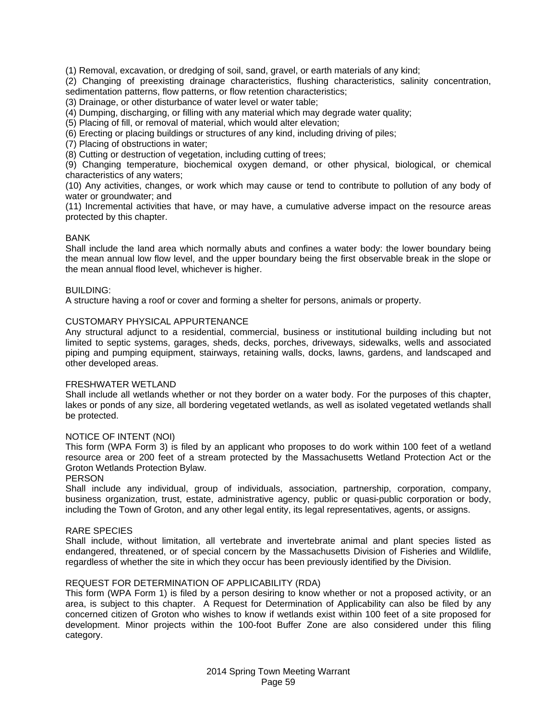(1) Removal, excavation, or dredging of soil, sand, gravel, or earth materials of any kind;

(2) Changing of preexisting drainage characteristics, flushing characteristics, salinity concentration, sedimentation patterns, flow patterns, or flow retention characteristics;

(3) Drainage, or other disturbance of water level or water table;

(4) Dumping, discharging, or filling with any material which may degrade water quality;

(5) Placing of fill, or removal of material, which would alter elevation;

(6) Erecting or placing buildings or structures of any kind, including driving of piles;

(7) Placing of obstructions in water;

(8) Cutting or destruction of vegetation, including cutting of trees;

(9) Changing temperature, biochemical oxygen demand, or other physical, biological, or chemical characteristics of any waters;

(10) Any activities, changes, or work which may cause or tend to contribute to pollution of any body of water or groundwater; and

(11) Incremental activities that have, or may have, a cumulative adverse impact on the resource areas protected by this chapter.

#### BANK

Shall include the land area which normally abuts and confines a water body: the lower boundary being the mean annual low flow level, and the upper boundary being the first observable break in the slope or the mean annual flood level, whichever is higher.

#### BUILDING:

A structure having a roof or cover and forming a shelter for persons, animals or property.

#### CUSTOMARY PHYSICAL APPURTENANCE

Any structural adjunct to a residential, commercial, business or institutional building including but not limited to septic systems, garages, sheds, decks, porches, driveways, sidewalks, wells and associated piping and pumping equipment, stairways, retaining walls, docks, lawns, gardens, and landscaped and other developed areas.

#### FRESHWATER WETLAND

Shall include all wetlands whether or not they border on a water body. For the purposes of this chapter, lakes or ponds of any size, all bordering vegetated wetlands, as well as isolated vegetated wetlands shall be protected.

#### NOTICE OF INTENT (NOI)

This form (WPA Form 3) is filed by an applicant who proposes to do work within 100 feet of a wetland resource area or 200 feet of a stream protected by the Massachusetts Wetland Protection Act or the Groton Wetlands Protection Bylaw.

#### **PERSON**

Shall include any individual, group of individuals, association, partnership, corporation, company, business organization, trust, estate, administrative agency, public or quasi-public corporation or body, including the Town of Groton, and any other legal entity, its legal representatives, agents, or assigns.

#### RARE SPECIES

Shall include, without limitation, all vertebrate and invertebrate animal and plant species listed as endangered, threatened, or of special concern by the Massachusetts Division of Fisheries and Wildlife, regardless of whether the site in which they occur has been previously identified by the Division.

#### REQUEST FOR DETERMINATION OF APPLICABILITY (RDA)

This form (WPA Form 1) is filed by a person desiring to know whether or not a proposed activity, or an area, is subject to this chapter. A Request for Determination of Applicability can also be filed by any concerned citizen of Groton who wishes to know if wetlands exist within 100 feet of a site proposed for development. Minor projects within the 100-foot Buffer Zone are also considered under this filing category.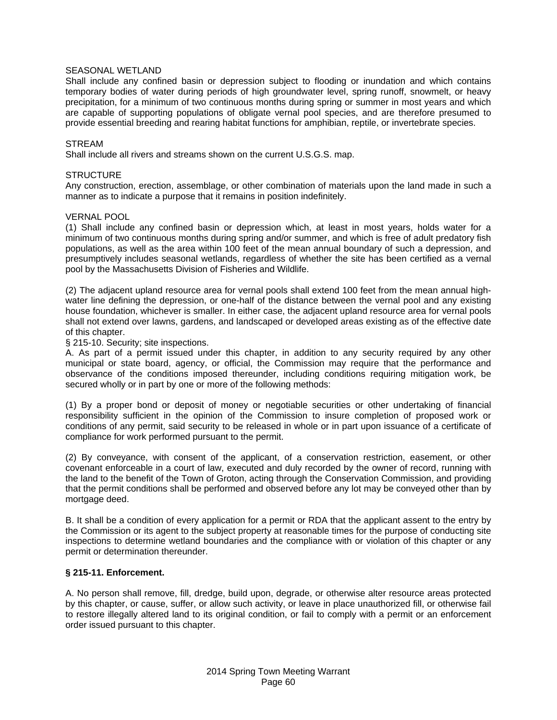#### SEASONAL WETLAND

Shall include any confined basin or depression subject to flooding or inundation and which contains temporary bodies of water during periods of high groundwater level, spring runoff, snowmelt, or heavy precipitation, for a minimum of two continuous months during spring or summer in most years and which are capable of supporting populations of obligate vernal pool species, and are therefore presumed to provide essential breeding and rearing habitat functions for amphibian, reptile, or invertebrate species.

#### STREAM

Shall include all rivers and streams shown on the current U.S.G.S. map.

#### **STRUCTURE**

Any construction, erection, assemblage, or other combination of materials upon the land made in such a manner as to indicate a purpose that it remains in position indefinitely.

#### VERNAL POOL

(1) Shall include any confined basin or depression which, at least in most years, holds water for a minimum of two continuous months during spring and/or summer, and which is free of adult predatory fish populations, as well as the area within 100 feet of the mean annual boundary of such a depression, and presumptively includes seasonal wetlands, regardless of whether the site has been certified as a vernal pool by the Massachusetts Division of Fisheries and Wildlife.

(2) The adjacent upland resource area for vernal pools shall extend 100 feet from the mean annual highwater line defining the depression, or one-half of the distance between the vernal pool and any existing house foundation, whichever is smaller. In either case, the adjacent upland resource area for vernal pools shall not extend over lawns, gardens, and landscaped or developed areas existing as of the effective date of this chapter.

§ 215-10. Security; site inspections.

A. As part of a permit issued under this chapter, in addition to any security required by any other municipal or state board, agency, or official, the Commission may require that the performance and observance of the conditions imposed thereunder, including conditions requiring mitigation work, be secured wholly or in part by one or more of the following methods:

(1) By a proper bond or deposit of money or negotiable securities or other undertaking of financial responsibility sufficient in the opinion of the Commission to insure completion of proposed work or conditions of any permit, said security to be released in whole or in part upon issuance of a certificate of compliance for work performed pursuant to the permit.

(2) By conveyance, with consent of the applicant, of a conservation restriction, easement, or other covenant enforceable in a court of law, executed and duly recorded by the owner of record, running with the land to the benefit of the Town of Groton, acting through the Conservation Commission, and providing that the permit conditions shall be performed and observed before any lot may be conveyed other than by mortgage deed.

B. It shall be a condition of every application for a permit or RDA that the applicant assent to the entry by the Commission or its agent to the subject property at reasonable times for the purpose of conducting site inspections to determine wetland boundaries and the compliance with or violation of this chapter or any permit or determination thereunder.

#### **§ 215-11. Enforcement.**

A. No person shall remove, fill, dredge, build upon, degrade, or otherwise alter resource areas protected by this chapter, or cause, suffer, or allow such activity, or leave in place unauthorized fill, or otherwise fail to restore illegally altered land to its original condition, or fail to comply with a permit or an enforcement order issued pursuant to this chapter.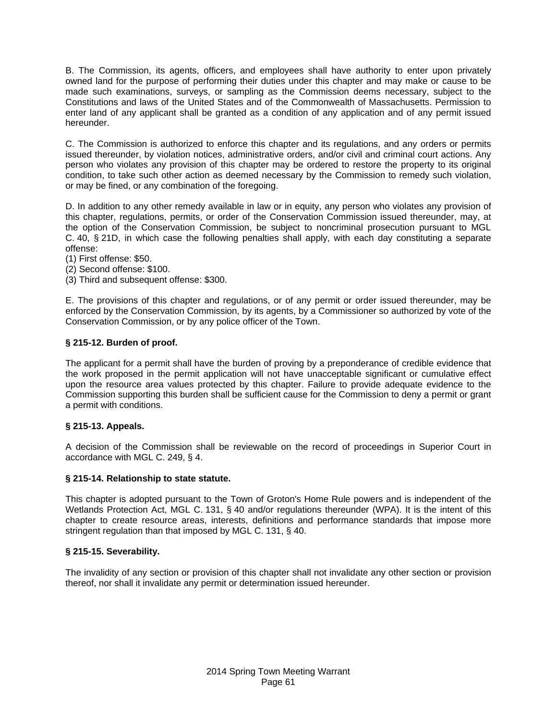B. The Commission, its agents, officers, and employees shall have authority to enter upon privately owned land for the purpose of performing their duties under this chapter and may make or cause to be made such examinations, surveys, or sampling as the Commission deems necessary, subject to the Constitutions and laws of the United States and of the Commonwealth of Massachusetts. Permission to enter land of any applicant shall be granted as a condition of any application and of any permit issued hereunder.

C. The Commission is authorized to enforce this chapter and its regulations, and any orders or permits issued thereunder, by violation notices, administrative orders, and/or civil and criminal court actions. Any person who violates any provision of this chapter may be ordered to restore the property to its original condition, to take such other action as deemed necessary by the Commission to remedy such violation, or may be fined, or any combination of the foregoing.

D. In addition to any other remedy available in law or in equity, any person who violates any provision of this chapter, regulations, permits, or order of the Conservation Commission issued thereunder, may, at the option of the Conservation Commission, be subject to noncriminal prosecution pursuant to MGL C. 40, § 21D, in which case the following penalties shall apply, with each day constituting a separate offense:

(1) First offense: \$50.

- (2) Second offense: \$100.
- (3) Third and subsequent offense: \$300.

E. The provisions of this chapter and regulations, or of any permit or order issued thereunder, may be enforced by the Conservation Commission, by its agents, by a Commissioner so authorized by vote of the Conservation Commission, or by any police officer of the Town.

#### **§ 215-12. Burden of proof.**

The applicant for a permit shall have the burden of proving by a preponderance of credible evidence that the work proposed in the permit application will not have unacceptable significant or cumulative effect upon the resource area values protected by this chapter. Failure to provide adequate evidence to the Commission supporting this burden shall be sufficient cause for the Commission to deny a permit or grant a permit with conditions.

#### **§ 215-13. Appeals.**

A decision of the Commission shall be reviewable on the record of proceedings in Superior Court in accordance with MGL C. 249, § 4.

#### **§ 215-14. Relationship to state statute.**

This chapter is adopted pursuant to the Town of Groton's Home Rule powers and is independent of the Wetlands Protection Act, MGL C. 131, § 40 and/or regulations thereunder (WPA). It is the intent of this chapter to create resource areas, interests, definitions and performance standards that impose more stringent regulation than that imposed by MGL C. 131, § 40.

#### **§ 215-15. Severability.**

The invalidity of any section or provision of this chapter shall not invalidate any other section or provision thereof, nor shall it invalidate any permit or determination issued hereunder.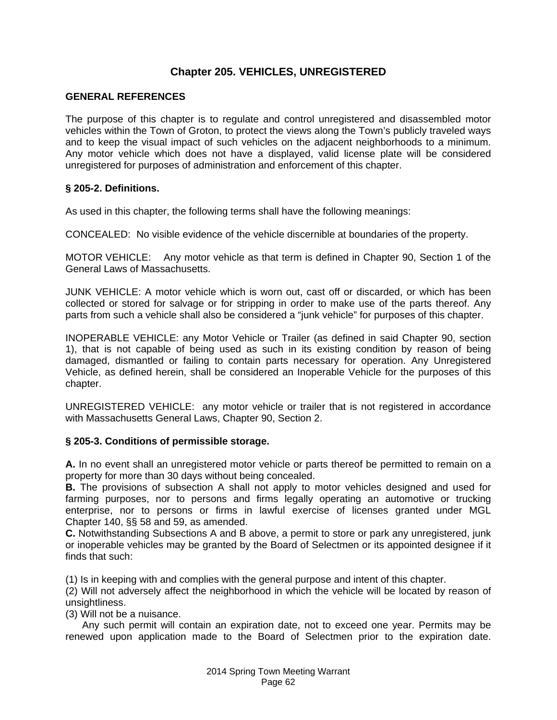#### **Chapter 205. VEHICLES, UNREGISTERED**

#### **GENERAL REFERENCES**

The purpose of this chapter is to regulate and control unregistered and disassembled motor vehicles within the Town of Groton, to protect the views along the Town's publicly traveled ways and to keep the visual impact of such vehicles on the adjacent neighborhoods to a minimum. Any motor vehicle which does not have a displayed, valid license plate will be considered unregistered for purposes of administration and enforcement of this chapter.

#### **§ 205-2. Definitions.**

As used in this chapter, the following terms shall have the following meanings:

CONCEALED: No visible evidence of the vehicle discernible at boundaries of the property.

MOTOR VEHICLE: Any motor vehicle as that term is defined in Chapter 90, Section 1 of the General Laws of Massachusetts.

JUNK VEHICLE: A motor vehicle which is worn out, cast off or discarded, or which has been collected or stored for salvage or for stripping in order to make use of the parts thereof. Any parts from such a vehicle shall also be considered a "junk vehicle" for purposes of this chapter.

INOPERABLE VEHICLE: any Motor Vehicle or Trailer (as defined in said Chapter 90, section 1), that is not capable of being used as such in its existing condition by reason of being damaged, dismantled or failing to contain parts necessary for operation. Any Unregistered Vehicle, as defined herein, shall be considered an Inoperable Vehicle for the purposes of this chapter.

UNREGISTERED VEHICLE: any motor vehicle or trailer that is not registered in accordance with Massachusetts General Laws, Chapter 90, Section 2.

#### **§ 205-3. Conditions of permissible storage.**

**A.** In no event shall an unregistered motor vehicle or parts thereof be permitted to remain on a property for more than 30 days without being concealed.

**B.** The provisions of subsection A shall not apply to motor vehicles designed and used for farming purposes, nor to persons and firms legally operating an automotive or trucking enterprise, nor to persons or firms in lawful exercise of licenses granted under MGL Chapter 140, §§ 58 and 59, as amended.

**C.** Notwithstanding Subsections A and B above, a permit to store or park any unregistered, junk or inoperable vehicles may be granted by the Board of Selectmen or its appointed designee if it finds that such:

(1) Is in keeping with and complies with the general purpose and intent of this chapter.

(2) Will not adversely affect the neighborhood in which the vehicle will be located by reason of unsightliness.

(3) Will not be a nuisance.

 Any such permit will contain an expiration date, not to exceed one year. Permits may be renewed upon application made to the Board of Selectmen prior to the expiration date.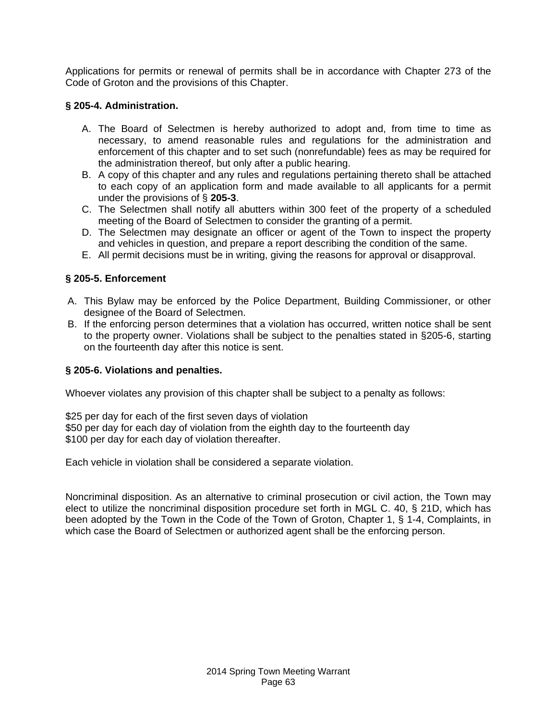Applications for permits or renewal of permits shall be in accordance with Chapter 273 of the Code of Groton and the provisions of this Chapter.

#### **§ 205-4. Administration.**

- A. The Board of Selectmen is hereby authorized to adopt and, from time to time as necessary, to amend reasonable rules and regulations for the administration and enforcement of this chapter and to set such (nonrefundable) fees as may be required for the administration thereof, but only after a public hearing.
- B. A copy of this chapter and any rules and regulations pertaining thereto shall be attached to each copy of an application form and made available to all applicants for a permit under the provisions of § **205-3**.
- C. The Selectmen shall notify all abutters within 300 feet of the property of a scheduled meeting of the Board of Selectmen to consider the granting of a permit.
- D. The Selectmen may designate an officer or agent of the Town to inspect the property and vehicles in question, and prepare a report describing the condition of the same.
- E. All permit decisions must be in writing, giving the reasons for approval or disapproval.

#### **§ 205-5. Enforcement**

- A. This Bylaw may be enforced by the Police Department, Building Commissioner, or other designee of the Board of Selectmen.
- B. If the enforcing person determines that a violation has occurred, written notice shall be sent to the property owner. Violations shall be subject to the penalties stated in §205-6, starting on the fourteenth day after this notice is sent.

#### **§ 205-6. Violations and penalties.**

Whoever violates any provision of this chapter shall be subject to a penalty as follows:

\$25 per day for each of the first seven days of violation \$50 per day for each day of violation from the eighth day to the fourteenth day \$100 per day for each day of violation thereafter.

Each vehicle in violation shall be considered a separate violation.

Noncriminal disposition. As an alternative to criminal prosecution or civil action, the Town may elect to utilize the noncriminal disposition procedure set forth in MGL C. 40, § 21D, which has been adopted by the Town in the Code of the Town of Groton, Chapter 1, § 1-4, Complaints, in which case the Board of Selectmen or authorized agent shall be the enforcing person.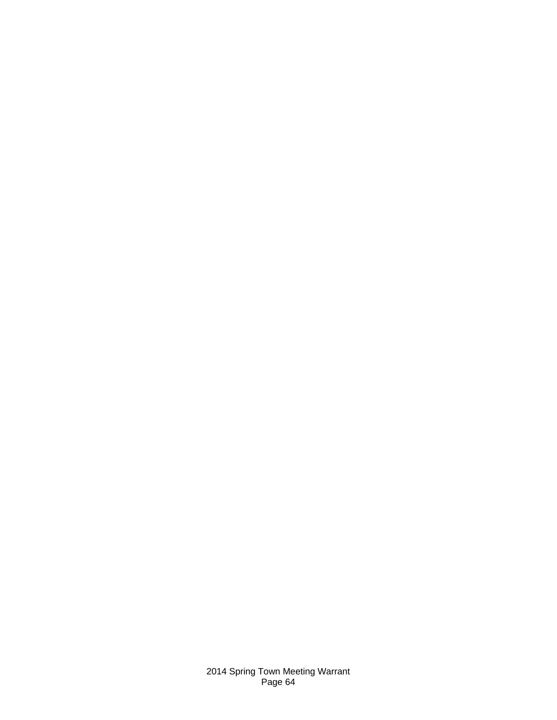2014 Spring Town Meeting Warrant Page 64